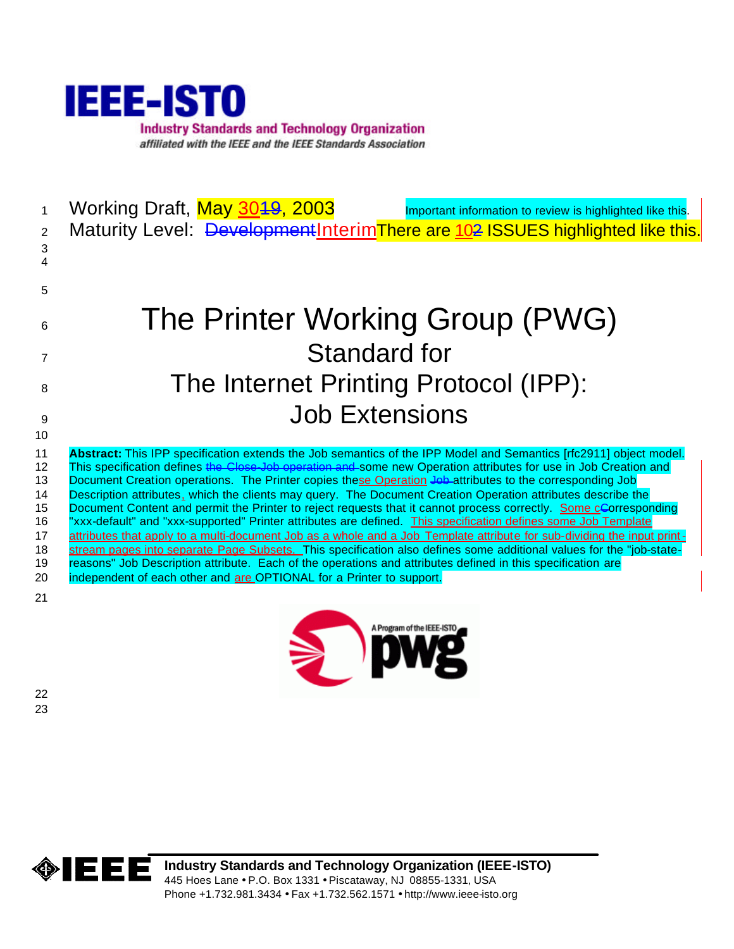

| 1<br>2<br>3                                                             | Working Draft, May 3049, 2003<br>Important information to review is highlighted like this.<br>Maturity Level: Development Interim There are 102 ISSUES highlighted like this.                                                                                                                                                                                                                                                                                                                                                                                                                                                                                                                                                                                                                                                                                                                                                                                                                                                                                                                                                                    |
|-------------------------------------------------------------------------|--------------------------------------------------------------------------------------------------------------------------------------------------------------------------------------------------------------------------------------------------------------------------------------------------------------------------------------------------------------------------------------------------------------------------------------------------------------------------------------------------------------------------------------------------------------------------------------------------------------------------------------------------------------------------------------------------------------------------------------------------------------------------------------------------------------------------------------------------------------------------------------------------------------------------------------------------------------------------------------------------------------------------------------------------------------------------------------------------------------------------------------------------|
| 5                                                                       |                                                                                                                                                                                                                                                                                                                                                                                                                                                                                                                                                                                                                                                                                                                                                                                                                                                                                                                                                                                                                                                                                                                                                  |
| 6                                                                       | The Printer Working Group (PWG)                                                                                                                                                                                                                                                                                                                                                                                                                                                                                                                                                                                                                                                                                                                                                                                                                                                                                                                                                                                                                                                                                                                  |
| 7                                                                       | Standard for                                                                                                                                                                                                                                                                                                                                                                                                                                                                                                                                                                                                                                                                                                                                                                                                                                                                                                                                                                                                                                                                                                                                     |
| 8                                                                       | The Internet Printing Protocol (IPP):                                                                                                                                                                                                                                                                                                                                                                                                                                                                                                                                                                                                                                                                                                                                                                                                                                                                                                                                                                                                                                                                                                            |
| 9                                                                       | <b>Job Extensions</b>                                                                                                                                                                                                                                                                                                                                                                                                                                                                                                                                                                                                                                                                                                                                                                                                                                                                                                                                                                                                                                                                                                                            |
| 10                                                                      |                                                                                                                                                                                                                                                                                                                                                                                                                                                                                                                                                                                                                                                                                                                                                                                                                                                                                                                                                                                                                                                                                                                                                  |
| 11<br>$12 \overline{ }$<br>13<br>14<br>15<br>16<br>17<br>18<br>19<br>20 | Abstract: This IPP specification extends the Job semantics of the IPP Model and Semantics [rfc2911] object model.<br>This specification defines the Close-Job operation and some new Operation attributes for use in Job Creation and<br>Document Creation operations. The Printer copies these Operation Job attributes to the corresponding Job<br>Description attributes, which the clients may query. The Document Creation Operation attributes describe the<br>Document Content and permit the Printer to reject requests that it cannot process correctly. Some cCorresponding<br>"xxx-default" and "xxx-supported" Printer attributes are defined. This specification defines some Job Template<br>attributes that apply to a multi-document Job as a whole and a Job Template attribute for sub-dividing the input print-<br>stream pages into separate Page Subsets. This specification also defines some additional values for the "job-state-<br>reasons" Job Description attribute. Each of the operations and attributes defined in this specification are<br>independent of each other and are OPTIONAL for a Printer to support. |
| 21                                                                      |                                                                                                                                                                                                                                                                                                                                                                                                                                                                                                                                                                                                                                                                                                                                                                                                                                                                                                                                                                                                                                                                                                                                                  |



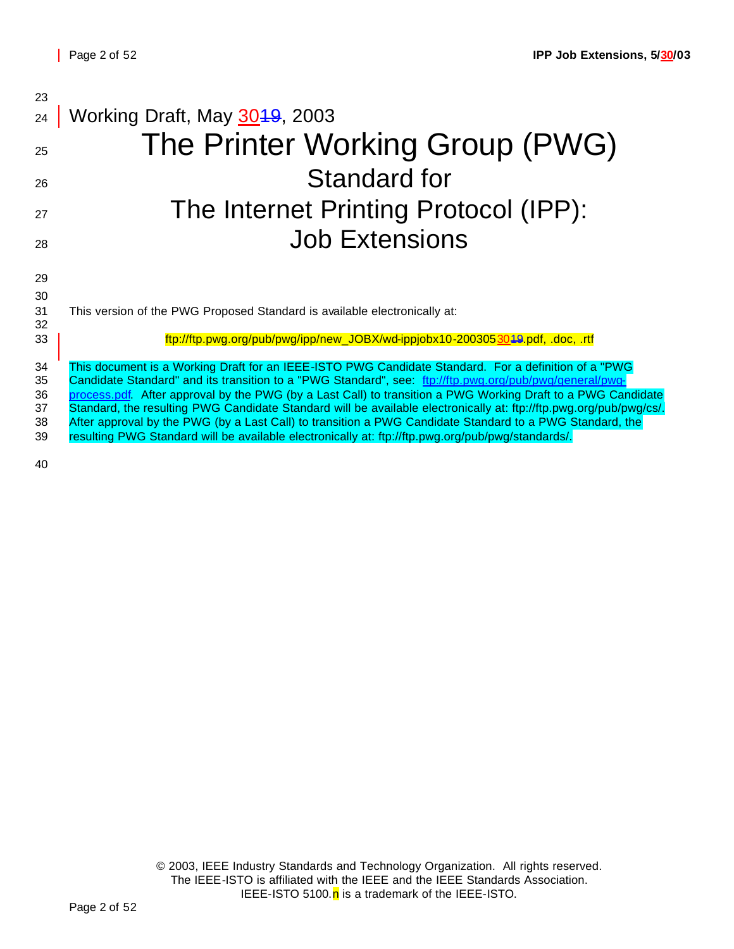| 23       |                                                                                                                                                                                                                                |
|----------|--------------------------------------------------------------------------------------------------------------------------------------------------------------------------------------------------------------------------------|
| 24       | Working Draft, May 3049, 2003                                                                                                                                                                                                  |
| 25       | The Printer Working Group (PWG)                                                                                                                                                                                                |
| 26       | <b>Standard for</b>                                                                                                                                                                                                            |
| 27       | The Internet Printing Protocol (IPP):                                                                                                                                                                                          |
| 28       | <b>Job Extensions</b>                                                                                                                                                                                                          |
| 29       |                                                                                                                                                                                                                                |
| 30       |                                                                                                                                                                                                                                |
| 31<br>32 | This version of the PWG Proposed Standard is available electronically at:                                                                                                                                                      |
| 33       | ftp://ftp.pwg.org/pub/pwg/ipp/new_JOBX/wd-ippjobx10-2003053049.pdf, .doc, .rtf                                                                                                                                                 |
| 34       | This document is a Working Draft for an IEEE-ISTO PWG Candidate Standard. For a definition of a "PWG                                                                                                                           |
| 35       | Candidate Standard" and its transition to a "PWG Standard", see: ftp://ftp.pwq.org/pub/pwg/general/pwg-                                                                                                                        |
| 36       | process.pdf. After approval by the PWG (by a Last Call) to transition a PWG Working Draft to a PWG Candidate                                                                                                                   |
| 37<br>38 | Standard, the resulting PWG Candidate Standard will be available electronically at: ftp://ftp.pwg.org/pub/pwg/cs/.<br>After approval by the PWG (by a Last Call) to transition a PWG Candidate Standard to a PWG Standard, the |
| 39       | resulting PWG Standard will be available electronically at: ftp://ftp.pwg.org/pub/pwg/standards/.                                                                                                                              |
|          |                                                                                                                                                                                                                                |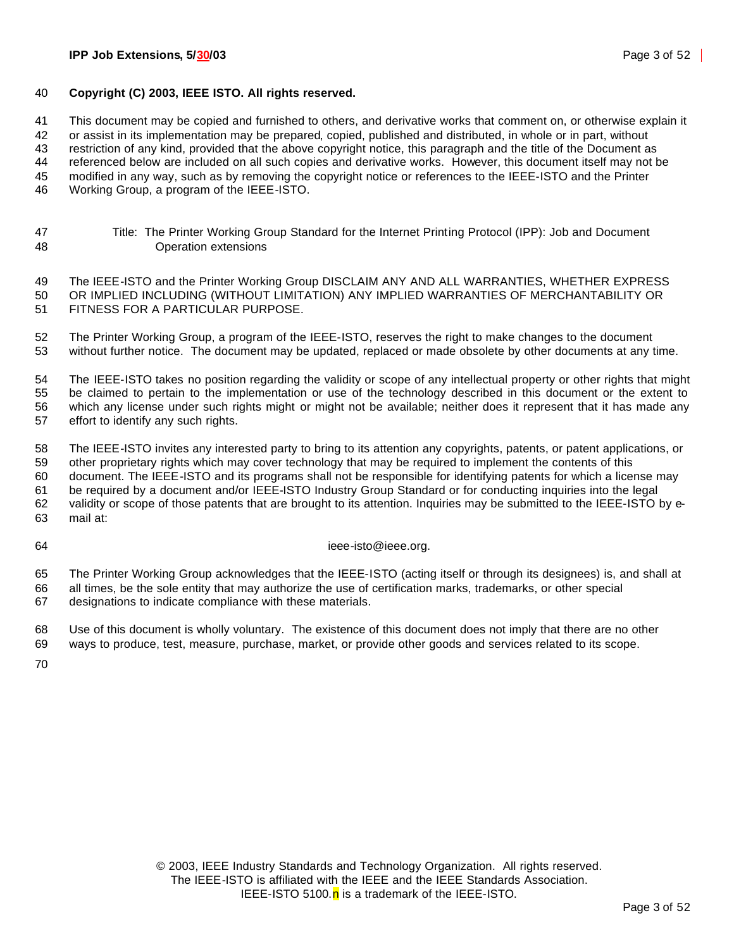#### **Copyright (C) 2003, IEEE ISTO. All rights reserved.**

This document may be copied and furnished to others, and derivative works that comment on, or otherwise explain it

or assist in its implementation may be prepared, copied, published and distributed, in whole or in part, without

restriction of any kind, provided that the above copyright notice, this paragraph and the title of the Document as

referenced below are included on all such copies and derivative works. However, this document itself may not be

modified in any way, such as by removing the copyright notice or references to the IEEE-ISTO and the Printer

Working Group, a program of the IEEE-ISTO.

 Title: The Printer Working Group Standard for the Internet Printing Protocol (IPP): Job and Document Operation extensions

 The IEEE-ISTO and the Printer Working Group DISCLAIM ANY AND ALL WARRANTIES, WHETHER EXPRESS OR IMPLIED INCLUDING (WITHOUT LIMITATION) ANY IMPLIED WARRANTIES OF MERCHANTABILITY OR FITNESS FOR A PARTICULAR PURPOSE.

 The Printer Working Group, a program of the IEEE-ISTO, reserves the right to make changes to the document without further notice. The document may be updated, replaced or made obsolete by other documents at any time.

 The IEEE-ISTO takes no position regarding the validity or scope of any intellectual property or other rights that might be claimed to pertain to the implementation or use of the technology described in this document or the extent to which any license under such rights might or might not be available; neither does it represent that it has made any effort to identify any such rights.

 The IEEE-ISTO invites any interested party to bring to its attention any copyrights, patents, or patent applications, or other proprietary rights which may cover technology that may be required to implement the contents of this document. The IEEE-ISTO and its programs shall not be responsible for identifying patents for which a license may be required by a document and/or IEEE-ISTO Industry Group Standard or for conducting inquiries into the legal validity or scope of those patents that are brought to its attention. Inquiries may be submitted to the IEEE-ISTO by e-mail at:

64 ieee-isto@ieee.org.

 The Printer Working Group acknowledges that the IEEE-ISTO (acting itself or through its designees) is, and shall at all times, be the sole entity that may authorize the use of certification marks, trademarks, or other special designations to indicate compliance with these materials.

 Use of this document is wholly voluntary. The existence of this document does not imply that there are no other ways to produce, test, measure, purchase, market, or provide other goods and services related to its scope.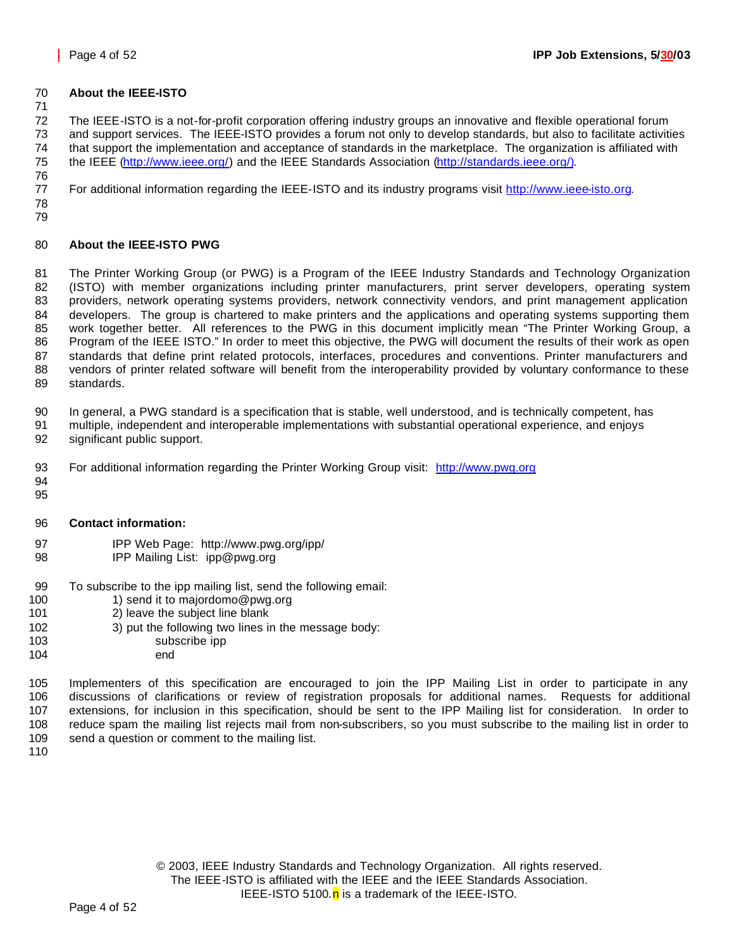#### **About the IEEE-ISTO**

 The IEEE-ISTO is a not-for-profit corporation offering industry groups an innovative and flexible operational forum and support services. The IEEE-ISTO provides a forum not only to develop standards, but also to facilitate activities that support the implementation and acceptance of standards in the marketplace. The organization is affiliated with the IEEE (http://www.ieee.org/) and the IEEE Standards Association (http://standards.ieee.org/). 

For additional information regarding the IEEE-ISTO and its industry programs visit http://www.ieee-isto.org.

 

### **About the IEEE-ISTO PWG**

 The Printer Working Group (or PWG) is a Program of the IEEE Industry Standards and Technology Organization (ISTO) with member organizations including printer manufacturers, print server developers, operating system providers, network operating systems providers, network connectivity vendors, and print management application developers. The group is chartered to make printers and the applications and operating systems supporting them work together better. All references to the PWG in this document implicitly mean "The Printer Working Group, a Program of the IEEE ISTO." In order to meet this objective, the PWG will document the results of their work as open standards that define print related protocols, interfaces, procedures and conventions. Printer manufacturers and vendors of printer related software will benefit from the interoperability provided by voluntary conformance to these standards.

In general, a PWG standard is a specification that is stable, well understood, and is technically competent, has

- multiple, independent and interoperable implementations with substantial operational experience, and enjoys significant public support.
- For additional information regarding the Printer Working Group visit: http://www.pwg.org
- 
- **Contact information:**
- IPP Web Page: http://www.pwg.org/ipp/
- IPP Mailing List: ipp@pwg.org
- To subscribe to the ipp mailing list, send the following email:
- 100 1) send it to majordomo@pwg.org
- 2) leave the subject line blank
- 102 3) put the following two lines in the message body:
- subscribe ipp
- end

 Implementers of this specification are encouraged to join the IPP Mailing List in order to participate in any discussions of clarifications or review of registration proposals for additional names. Requests for additional extensions, for inclusion in this specification, should be sent to the IPP Mailing list for consideration. In order to reduce spam the mailing list rejects mail from non-subscribers, so you must subscribe to the mailing list in order to send a question or comment to the mailing list.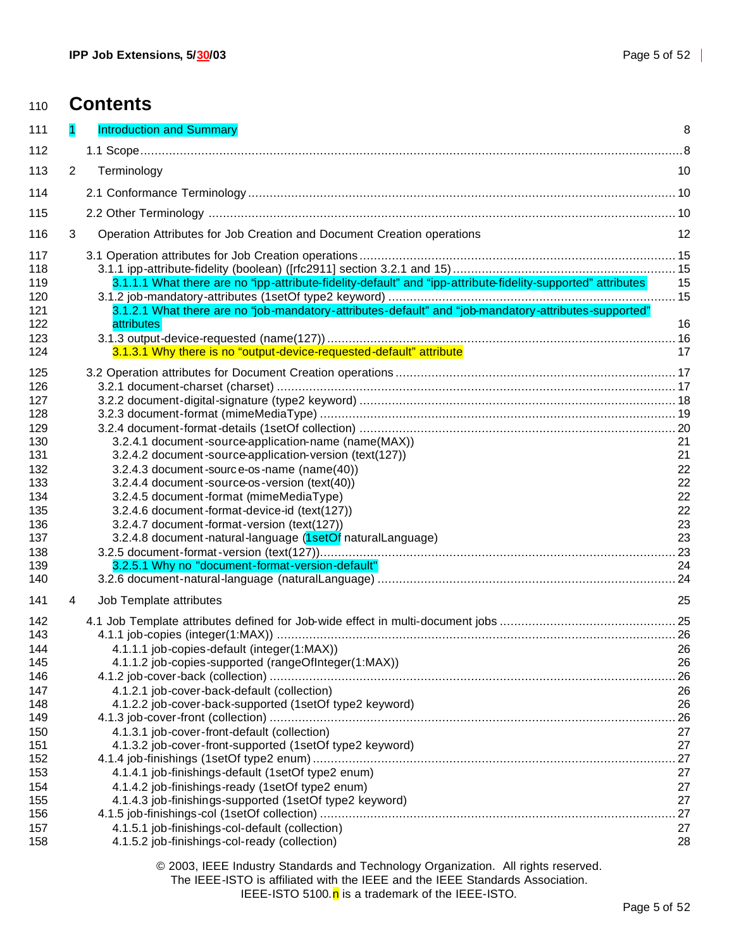| 110        |                | <b>Contents</b>                                                                                              |          |
|------------|----------------|--------------------------------------------------------------------------------------------------------------|----------|
| 111        | 1              | <b>Introduction and Summary</b>                                                                              | 8        |
| 112        |                |                                                                                                              | .8       |
| 113        | $\overline{2}$ | Terminology                                                                                                  | 10       |
| 114        |                |                                                                                                              |          |
| 115        |                |                                                                                                              |          |
| 116        | 3              | Operation Attributes for Job Creation and Document Creation operations                                       | 12       |
| 117        |                |                                                                                                              |          |
| 118        |                |                                                                                                              |          |
| 119        |                | 3.1.1.1 What there are no "ipp-attribute-fidelity-default" and "ipp-attribute-fidelity-supported" attributes | 15       |
| 120        |                |                                                                                                              |          |
| 121        |                | 3.1.2.1 What there are no "job-mandatory-attributes-default" and "job-mandatory-attributes-supported"        |          |
| 122        |                | attributes                                                                                                   | 16       |
| 123<br>124 |                | 3.1.3.1 Why there is no "output-device-requested-default" attribute                                          | 17       |
|            |                |                                                                                                              |          |
| 125        |                |                                                                                                              |          |
| 126        |                |                                                                                                              |          |
| 127<br>128 |                |                                                                                                              |          |
| 129        |                |                                                                                                              |          |
| 130        |                | 3.2.4.1 document-source-application-name (name(MAX))                                                         | 21       |
| 131        |                | 3.2.4.2 document-source-application-version (text(127))                                                      | 21       |
| 132        |                | 3.2.4.3 document-source-os-name (name(40))                                                                   | 22       |
| 133        |                | 3.2.4.4 document-source-os-version (text(40))                                                                | 22       |
| 134        |                | 3.2.4.5 document-format (mimeMediaType)                                                                      | 22       |
| 135<br>136 |                | 3.2.4.6 document-format-device-id (text(127))<br>3.2.4.7 document-format-version (text(127))                 | 22<br>23 |
| 137        |                | 3.2.4.8 document-natural-language (1setOf naturalLanguage)                                                   | 23       |
| 138        |                |                                                                                                              |          |
| 139        |                | 3.2.5.1 Why no "document-format-version-default"                                                             | 24       |
| 140        |                |                                                                                                              |          |
| 141        | 4              | Job Template attributes                                                                                      | 25       |
| 142        |                |                                                                                                              |          |
| 143        |                |                                                                                                              |          |
| 144        |                | 4.1.1.1 job-copies-default (integer(1:MAX))                                                                  | 26       |
| 145        |                | 4.1.1.2 job-copies-supported (rangeOfInteger(1:MAX))                                                         | 26       |
| 146<br>147 |                | 4.1.2.1 job-cover-back-default (collection)                                                                  | 26<br>26 |
| 148        |                | 4.1.2.2 job-cover-back-supported (1setOf type2 keyword)                                                      | 26       |
| 149        |                |                                                                                                              | 26       |
| 150        |                | 4.1.3.1 job-cover-front-default (collection)                                                                 | 27       |
| 151        |                | 4.1.3.2 job-cover-front-supported (1setOf type2 keyword)                                                     | 27       |
| 152        |                |                                                                                                              | 27       |
| 153        |                | 4.1.4.1 job-finishings-default (1setOf type2 enum)                                                           | 27       |
| 154<br>155 |                | 4.1.4.2 job-finishings-ready (1setOf type2 enum)<br>4.1.4.3 job-finishings-supported (1setOf type2 keyword)  | 27<br>27 |
| 156        |                |                                                                                                              | 27       |
| 157        |                | 4.1.5.1 job-finishings-col-default (collection)                                                              | 27       |

4.1.5.2 job-finishings-col-ready (collection) 28

© 2003, IEEE Industry Standards and Technology Organization. All rights reserved.

The IEEE-ISTO is affiliated with the IEEE and the IEEE Standards Association.

IEEE-ISTO 5100. $n$  is a trademark of the IEEE-ISTO.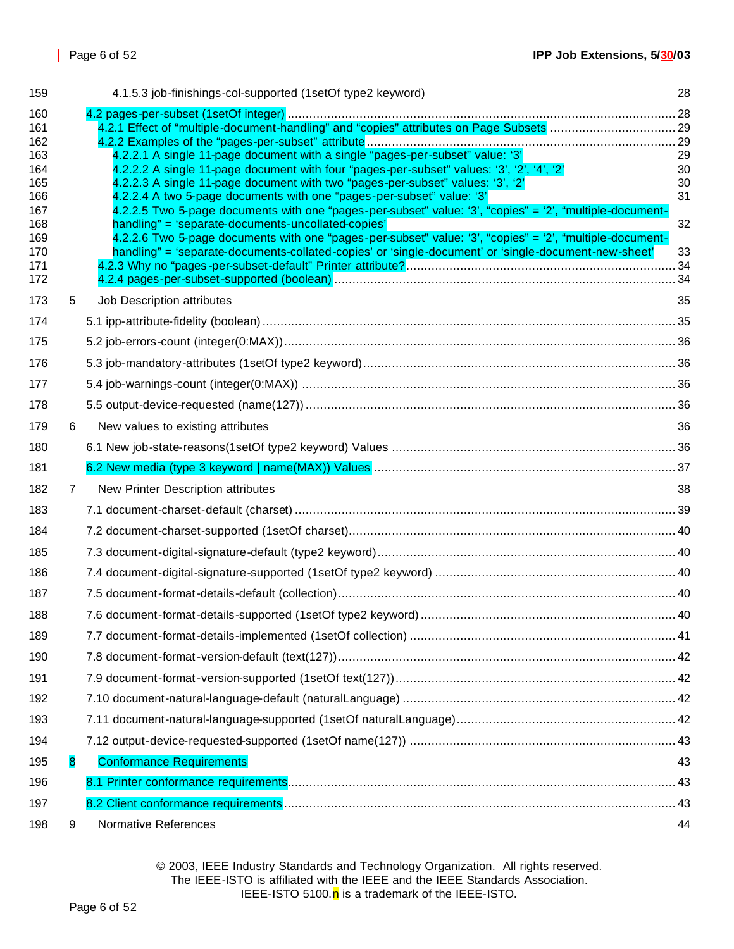| 159                                                                                     |              | 4.1.5.3 job-finishings-col-supported (1setOf type2 keyword)                                                                                                                                                                                                                                                                                                                                                                                                                                                                                                                                                                                                                                                                 | 28                               |
|-----------------------------------------------------------------------------------------|--------------|-----------------------------------------------------------------------------------------------------------------------------------------------------------------------------------------------------------------------------------------------------------------------------------------------------------------------------------------------------------------------------------------------------------------------------------------------------------------------------------------------------------------------------------------------------------------------------------------------------------------------------------------------------------------------------------------------------------------------------|----------------------------------|
| 160<br>161<br>162<br>163<br>164<br>165<br>166<br>167<br>168<br>169<br>170<br>171<br>172 |              | 4.2.2.1 A single 11-page document with a single "pages-per-subset" value: '3'<br>4.2.2.2 A single 11-page document with four "pages-per-subset" values: '3', '2', '4', '2'<br>4.2.2.3 A single 11-page document with two "pages-per-subset" values: '3', '2'<br>4.2.2.4 A two 5-page documents with one "pages-per-subset" value: '3'<br>4.2.2.5 Two 5-page documents with one "pages-per-subset" value: '3', "copies" = '2', "multiple-document-<br>handling" = 'separate-documents-uncollated-copies'<br>4.2.2.6 Two 5-page documents with one "pages-per-subset" value: '3', "copies" = '2', "multiple-document-<br>handling" = 'separate-documents-collated-copies' or 'single-document' or 'single-document-new-sheet' | 29<br>30<br>30<br>31<br>32<br>33 |
| 173                                                                                     | 5            | Job Description attributes                                                                                                                                                                                                                                                                                                                                                                                                                                                                                                                                                                                                                                                                                                  | 35                               |
| 174                                                                                     |              |                                                                                                                                                                                                                                                                                                                                                                                                                                                                                                                                                                                                                                                                                                                             |                                  |
| 175                                                                                     |              |                                                                                                                                                                                                                                                                                                                                                                                                                                                                                                                                                                                                                                                                                                                             |                                  |
| 176                                                                                     |              |                                                                                                                                                                                                                                                                                                                                                                                                                                                                                                                                                                                                                                                                                                                             |                                  |
| 177                                                                                     |              |                                                                                                                                                                                                                                                                                                                                                                                                                                                                                                                                                                                                                                                                                                                             |                                  |
| 178                                                                                     |              |                                                                                                                                                                                                                                                                                                                                                                                                                                                                                                                                                                                                                                                                                                                             |                                  |
| 179                                                                                     | 6            | New values to existing attributes                                                                                                                                                                                                                                                                                                                                                                                                                                                                                                                                                                                                                                                                                           | 36                               |
| 180                                                                                     |              |                                                                                                                                                                                                                                                                                                                                                                                                                                                                                                                                                                                                                                                                                                                             |                                  |
| 181                                                                                     |              |                                                                                                                                                                                                                                                                                                                                                                                                                                                                                                                                                                                                                                                                                                                             |                                  |
| 182                                                                                     | $\mathbf{7}$ | New Printer Description attributes                                                                                                                                                                                                                                                                                                                                                                                                                                                                                                                                                                                                                                                                                          | 38                               |
| 183                                                                                     |              |                                                                                                                                                                                                                                                                                                                                                                                                                                                                                                                                                                                                                                                                                                                             |                                  |
| 184                                                                                     |              |                                                                                                                                                                                                                                                                                                                                                                                                                                                                                                                                                                                                                                                                                                                             |                                  |
| 185                                                                                     |              |                                                                                                                                                                                                                                                                                                                                                                                                                                                                                                                                                                                                                                                                                                                             |                                  |
| 186                                                                                     |              |                                                                                                                                                                                                                                                                                                                                                                                                                                                                                                                                                                                                                                                                                                                             |                                  |
| 187                                                                                     |              |                                                                                                                                                                                                                                                                                                                                                                                                                                                                                                                                                                                                                                                                                                                             |                                  |
| 188                                                                                     |              |                                                                                                                                                                                                                                                                                                                                                                                                                                                                                                                                                                                                                                                                                                                             |                                  |
| 189                                                                                     |              |                                                                                                                                                                                                                                                                                                                                                                                                                                                                                                                                                                                                                                                                                                                             |                                  |
| 190                                                                                     |              |                                                                                                                                                                                                                                                                                                                                                                                                                                                                                                                                                                                                                                                                                                                             |                                  |
| 191                                                                                     |              |                                                                                                                                                                                                                                                                                                                                                                                                                                                                                                                                                                                                                                                                                                                             |                                  |
| 192                                                                                     |              |                                                                                                                                                                                                                                                                                                                                                                                                                                                                                                                                                                                                                                                                                                                             |                                  |
| 193                                                                                     |              |                                                                                                                                                                                                                                                                                                                                                                                                                                                                                                                                                                                                                                                                                                                             |                                  |
| 194                                                                                     |              |                                                                                                                                                                                                                                                                                                                                                                                                                                                                                                                                                                                                                                                                                                                             |                                  |
| 195                                                                                     | 8            | <b>Conformance Requirements</b>                                                                                                                                                                                                                                                                                                                                                                                                                                                                                                                                                                                                                                                                                             | 43                               |
| 196                                                                                     |              |                                                                                                                                                                                                                                                                                                                                                                                                                                                                                                                                                                                                                                                                                                                             |                                  |
|                                                                                         |              |                                                                                                                                                                                                                                                                                                                                                                                                                                                                                                                                                                                                                                                                                                                             |                                  |
| 197                                                                                     |              |                                                                                                                                                                                                                                                                                                                                                                                                                                                                                                                                                                                                                                                                                                                             |                                  |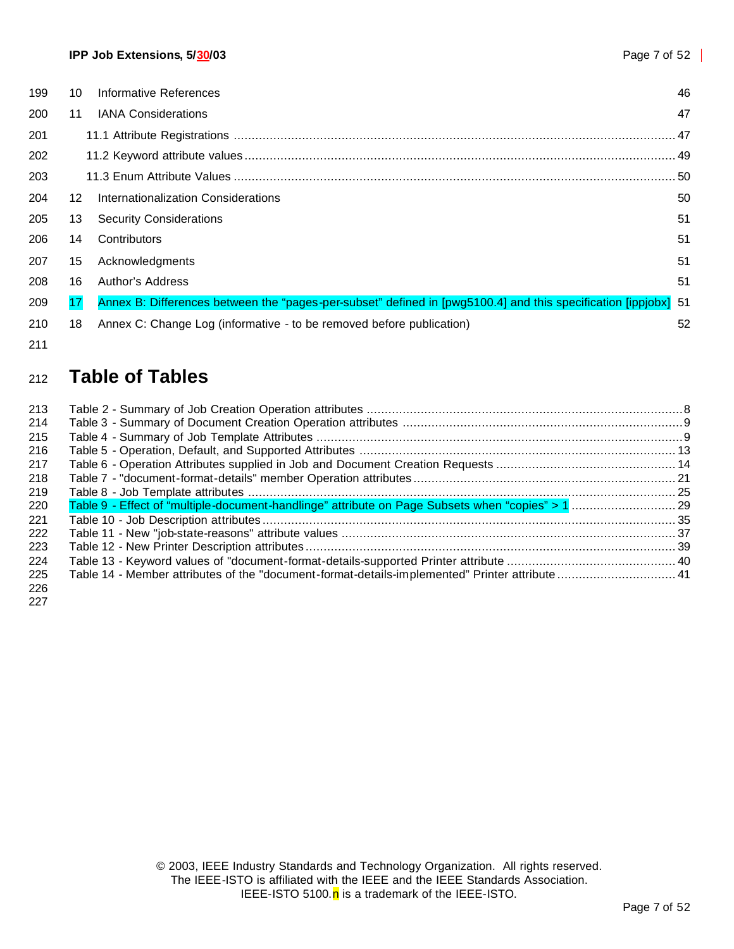| 199 | 10 | Informative References                                                                                      | 46   |
|-----|----|-------------------------------------------------------------------------------------------------------------|------|
| 200 | 11 | <b>IANA Considerations</b>                                                                                  | 47   |
| 201 |    |                                                                                                             | .47  |
| 202 |    |                                                                                                             | . 49 |
| 203 |    |                                                                                                             | . 50 |
| 204 | 12 | Internationalization Considerations                                                                         | 50   |
| 205 | 13 | <b>Security Considerations</b>                                                                              | 51   |
| 206 | 14 | Contributors                                                                                                | 51   |
| 207 | 15 | Acknowledgments                                                                                             | 51   |
| 208 | 16 | Author's Address                                                                                            | 51   |
| 209 | 17 | Annex B: Differences between the "pages-per-subset" defined in [pwg5100.4] and this specification [ippjobx] | -51  |
| 210 | 18 | Annex C: Change Log (informative - to be removed before publication)                                        | 52   |
|     |    |                                                                                                             |      |

# **Table of Tables**

| 213        |                                                                                                 |  |
|------------|-------------------------------------------------------------------------------------------------|--|
| 214        |                                                                                                 |  |
| 215        |                                                                                                 |  |
| 216        |                                                                                                 |  |
| 217        |                                                                                                 |  |
| 218        |                                                                                                 |  |
| 219        |                                                                                                 |  |
| 220        |                                                                                                 |  |
| 221        |                                                                                                 |  |
| 222        |                                                                                                 |  |
| 223        |                                                                                                 |  |
| 224        |                                                                                                 |  |
| 225<br>226 | Table 14 - Member attributes of the "document-format-details-implemented" Printer attribute  41 |  |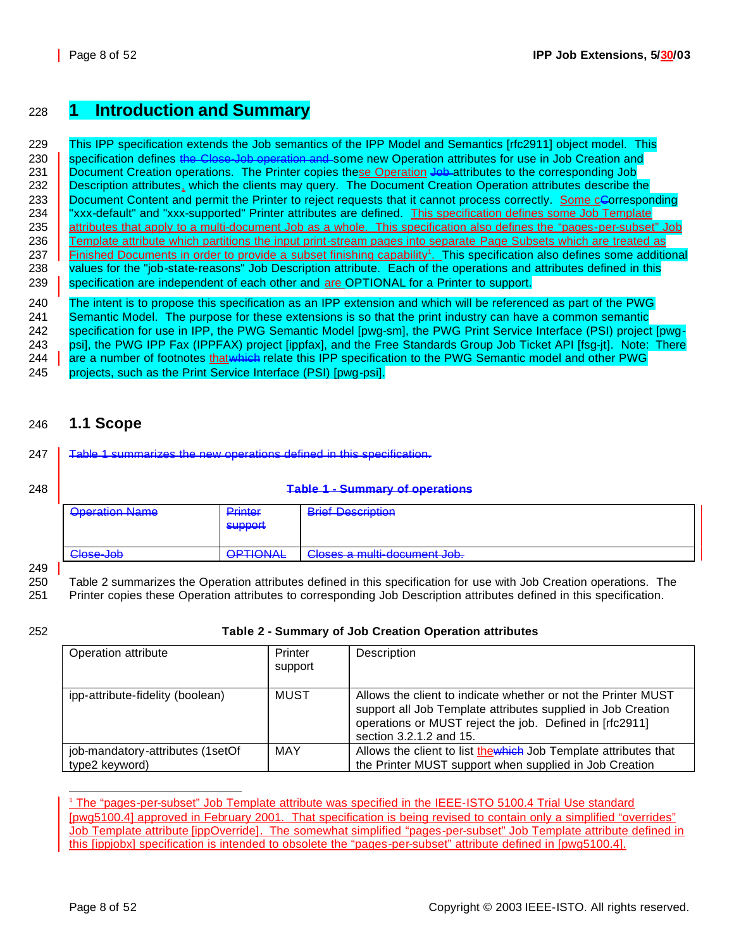### <sup>228</sup> **1 Introduction and Summary**

229 This IPP specification extends the Job semantics of the IPP Model and Semantics [rfc2911] object model. This 230 specification defines the Close-Job operation and some new Operation attributes for use in Job Creation and 231 Document Creation operations. The Printer copies these Operation Job attributes to the corresponding Job 232 **Description attributes, which the clients may query. The Document Creation Operation attributes describe the** 233 Document Content and permit the Printer to reject requests that it cannot process correctly. Some cCorresponding 234 | "xxx-default" and "xxx-supported" Printer attributes are defined. This specification defines some Job Template 235 attributes that apply to a multi-document Job as a whole. This specification also defines the "pages-per-subset" Job 236 Template attribute which partitions the input print-stream pages into separate Page Subsets which are treated as 237 **Finished Documents in order to provide a subset finishing capability<sup>1</sup>. This specification also defines some additional** 238 values for the "job-state-reasons" Job Description attribute. Each of the operations and attributes defined in this 239 specification are independent of each other and are OPTIONAL for a Printer to support.

 The intent is to propose this specification as an IPP extension and which will be referenced as part of the PWG 241 Semantic Model. The purpose for these extensions is so that the print industry can have a common semantic specification for use in IPP, the PWG Semantic Model [pwg-sm], the PWG Print Service Interface (PSI) project [pwg- psi], the PWG IPP Fax (IPPFAX) project [ippfax], and the Free Standards Group Job Ticket API [fsg-jt]. Note: There 244 are a number of footnotes that which relate this IPP specification to the PWG Semantic model and other PWG projects, such as the Print Service Interface (PSI) [pwg-psi].

### 246 **1.1 Scope**

247 **Table 1 summarizes the new operations defined in this specification.** 

#### 248 **Table 1 - Summary of operations**

| <b>Oneration Name</b><br><del>oporation riamo</del> | Printer<br><del>r muor</del><br>support | <b>Rrief Description</b><br><del>DHOL DOOUIDHUH</del> |
|-----------------------------------------------------|-----------------------------------------|-------------------------------------------------------|
| Close-Joh<br><del>01000000</del>                    | <b>OPTIONAL</b>                         | Closes a multi-document Job.                          |

249

250 Table 2 summarizes the Operation attributes defined in this specification for use with Job Creation operations. The

251 Printer copies these Operation attributes to corresponding Job Description attributes defined in this specification.

#### 252 **Table 2 - Summary of Job Creation Operation attributes**

| Operation attribute              | Printer<br>support | Description                                                                                                                                                                                                         |
|----------------------------------|--------------------|---------------------------------------------------------------------------------------------------------------------------------------------------------------------------------------------------------------------|
| ipp-attribute-fidelity (boolean) | MUST               | Allows the client to indicate whether or not the Printer MUST<br>support all Job Template attributes supplied in Job Creation<br>operations or MUST reject the job. Defined in [rfc2911]<br>section 3.2.1.2 and 15. |
| job-mandatory-attributes (1setOf | MAY                | Allows the client to list thewhich Job Template attributes that                                                                                                                                                     |
| type2 keyword)                   |                    | the Printer MUST support when supplied in Job Creation                                                                                                                                                              |

<sup>1</sup> The "pages-per-subset" Job Template attribute was specified in the IEEE-ISTO 5100.4 Trial Use standard [pwg5100.4] approved in February 2001. That specification is being revised to contain only a simplified "overrides" Job Template attribute [ippOverride]. The somewhat simplified "pages-per-subset" Job Template attribute defined in this [ippjobx] specification is intended to obsolete the "pages-per-subset" attribute defined in [pwg5100.4].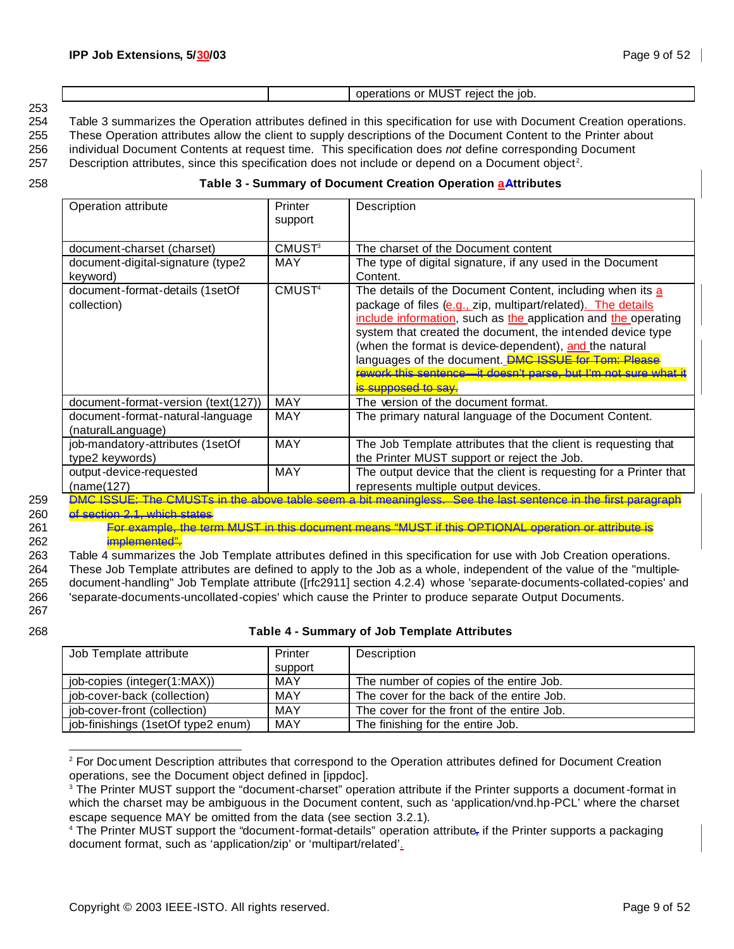|     |  | the iob.<br>reiec<br>≛ MU.<br>or<br>аног |
|-----|--|------------------------------------------|
| 253 |  |                                          |

254 Table 3 summarizes the Operation attributes defined in this specification for use with Document Creation operations.

255 These Operation attributes allow the client to supply descriptions of the Document Content to the Printer about

256 individual Document Contents at request time. This specification does *not* define corresponding Document

 $257$  Description attributes, since this specification does not include or depend on a Document object<sup>2</sup>.

#### 258 **Table 3 - Summary of Document Creation Operation aAttributes**

| Operation attribute                                   | Printer<br>support       | Description                                                                                                                                                                                                                                                                                                                                                                                                                                                           |
|-------------------------------------------------------|--------------------------|-----------------------------------------------------------------------------------------------------------------------------------------------------------------------------------------------------------------------------------------------------------------------------------------------------------------------------------------------------------------------------------------------------------------------------------------------------------------------|
| document-charset (charset)                            | <b>CMUST<sup>3</sup></b> | The charset of the Document content                                                                                                                                                                                                                                                                                                                                                                                                                                   |
| document-digital-signature (type2<br>keyword)         | <b>MAY</b>               | The type of digital signature, if any used in the Document<br>Content.                                                                                                                                                                                                                                                                                                                                                                                                |
| document-format-details (1setOf<br>collection)        | CMUST <sup>4</sup>       | The details of the Document Content, including when its a<br>package of files (e.g., zip, multipart/related). The details<br>include information, such as the application and the operating<br>system that created the document, the intended device type<br>(when the format is device-dependent), and the natural<br>languages of the document. DMC ISSUE for Tom: Please<br>rework this sentence—it doesn't parse, but I'm not sure what it<br>is supposed to say. |
| document-format-version (text(127))                   | MAY                      | The version of the document format.                                                                                                                                                                                                                                                                                                                                                                                                                                   |
| document-format-natural-language<br>(naturalLanguage) | <b>MAY</b>               | The primary natural language of the Document Content.                                                                                                                                                                                                                                                                                                                                                                                                                 |
| job-mandatory-attributes (1setOf<br>type2 keywords)   | <b>MAY</b>               | The Job Template attributes that the client is requesting that<br>the Printer MUST support or reject the Job.                                                                                                                                                                                                                                                                                                                                                         |
| output-device-requested<br>(name(127)                 | <b>MAY</b>               | The output device that the client is requesting for a Printer that<br>represents multiple output devices.                                                                                                                                                                                                                                                                                                                                                             |

260 of section 2.1, which states

261 For example, the term MUST in this document means "MUST if this OPTIONAL operation or attribute is 262 implemented".

263 Table 4 summarizes the Job Template attributes defined in this specification for use with Job Creation operations.

264 These Job Template attributes are defined to apply to the Job as a whole, independent of the value of the "multiple-265 document-handling" Job Template attribute ([rfc2911] section 4.2.4) whose 'separate-documents-collated-copies' and 266 'separate-documents-uncollated-copies' which cause the Printer to produce separate Output Documents.

267

#### 268 **Table 4 - Summary of Job Template Attributes**

| Job Template attribute             | Printer | Description                                |
|------------------------------------|---------|--------------------------------------------|
|                                    | support |                                            |
| job-copies (integer(1:MAX))        | MAY     | The number of copies of the entire Job.    |
| job-cover-back (collection)        | MAY     | The cover for the back of the entire Job.  |
| job-cover-front (collection)       | MAY     | The cover for the front of the entire Job. |
| job-finishings (1setOf type2 enum) | MAY     | The finishing for the entire Job.          |

<sup>&</sup>lt;sup>2</sup> For Document Description attributes that correspond to the Operation attributes defined for Document Creation operations, see the Document object defined in [ippdoc].

<sup>&</sup>lt;sup>3</sup> The Printer MUST support the "document-charset" operation attribute if the Printer supports a document-format in which the charset may be ambiguous in the Document content, such as 'application/vnd.hp-PCL' where the charset escape sequence MAY be omitted from the data (see section 3.2.1).

<sup>&</sup>lt;sup>4</sup> The Printer MUST support the "document-format-details" operation attribute<sub>r</sub> if the Printer supports a packaging document format, such as 'application/zip' or 'multipart/related'.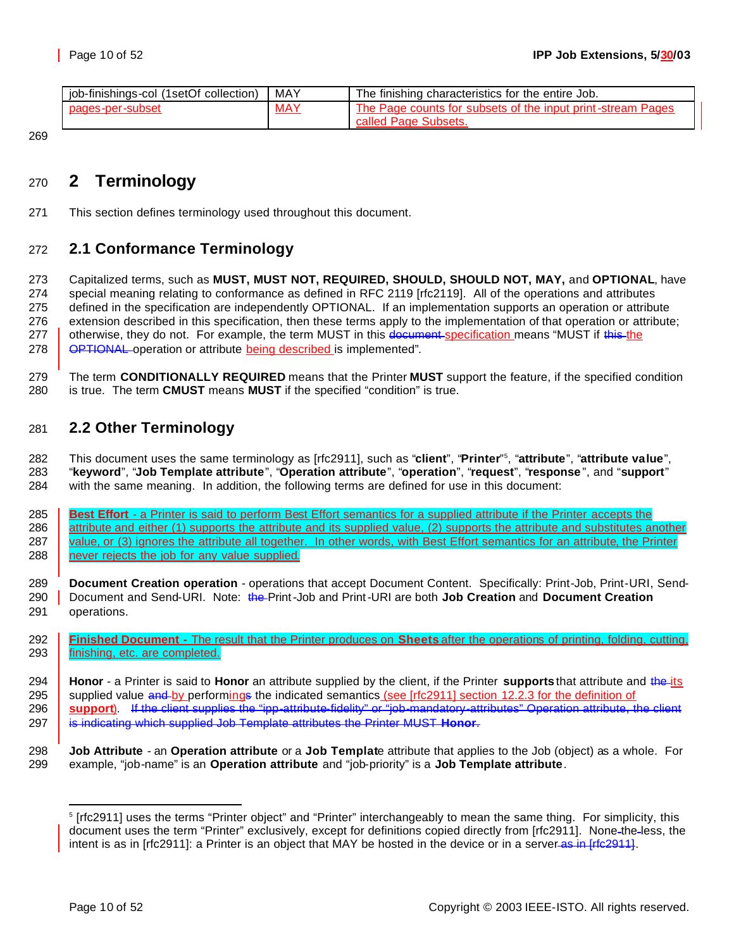| job-finishings-col (1setOf collection) | MAY        | The finishing characteristics for the entire Job.           |
|----------------------------------------|------------|-------------------------------------------------------------|
| pages-per-subset                       | <b>MAY</b> | The Page counts for subsets of the input print-stream Pages |
|                                        |            | ' Page Subsets.<br>called <b>H</b>                          |

# **2 Terminology**

This section defines terminology used throughout this document.

### **2.1 Conformance Terminology**

 Capitalized terms, such as **MUST, MUST NOT, REQUIRED, SHOULD, SHOULD NOT, MAY,** and **OPTIONAL**, have special meaning relating to conformance as defined in RFC 2119 [rfc2119]. All of the operations and attributes defined in the specification are independently OPTIONAL. If an implementation supports an operation or attribute extension described in this specification, then these terms apply to the implementation of that operation or attribute; 277 | otherwise, they do not. For example, the term MUST in this document specification means "MUST if this the **OPTIONAL** operation or attribute **being described** is implemented".

 The term **CONDITIONALLY REQUIRED** means that the Printer **MUST** support the feature, if the specified condition is true. The term **CMUST** means **MUST** if the specified "condition" is true.

### **2.2 Other Terminology**

This document uses the same terminology as [rfc2911], such as "**client**", "**Printer**" <sup>5</sup> , "**attribute**", "**attribute value**", "**keyword**", "**Job Template attribute**", "**Operation attribute**", "**operation**", "**request**", "**response** ", and "**support**" with the same meaning. In addition, the following terms are defined for use in this document:

- **Best Effort**  a Printer is said to perform Best Effort semantics for a supplied attribute if the Printer accepts the 286 attribute and either (1) supports the attribute and its supplied value, (2) supports the attribute and substitutes another 287 value, or (3) ignores the attribute all together. In other words, with Best Effort semantics for an attribute, the Printer 288 mever rejects the job for any value supplied.
- **Document Creation operation**  operations that accept Document Content. Specifically: Print-Job, Print-URI, Send- Document and Send-URI. Note: the Print-Job and Print-URI are both **Job Creation** and **Document Creation** operations.
- **Finished Document -** The result that the Printer produces on **Sheets** after the operations of printing, folding, cutting, 293 finishing, etc. are completed.

 **Job Attribute** - an **Operation attribute** or a **Job Templat**e attribute that applies to the Job (object) as a whole. For example, "job-name" is an **Operation attribute** and "job-priority" is a **Job Template attribute**.

 **Honor** - a Printer is said to **Honor** an attribute supplied by the client, if the Printer **supports** that attribute and the its 295 supplied value and by performings the indicated semantics (see [rfc2911] section 12.2.3 for the definition of **support**). If the client supplies the "ipp-attribute-fidelity" or "job-mandatory-attributes" Operation attribute, the client is indicating which supplied Job Template attributes the Printer MUST **Honor**.

<sup>&</sup>lt;sup>5</sup> [rfc2911] uses the terms "Printer object" and "Printer" interchangeably to mean the same thing. For simplicity, this document uses the term "Printer" exclusively, except for definitions copied directly from [rfc2911]. None-the-less, the intent is as in [rfc2911]: a Printer is an object that MAY be hosted in the device or in a server as in [rfc2911].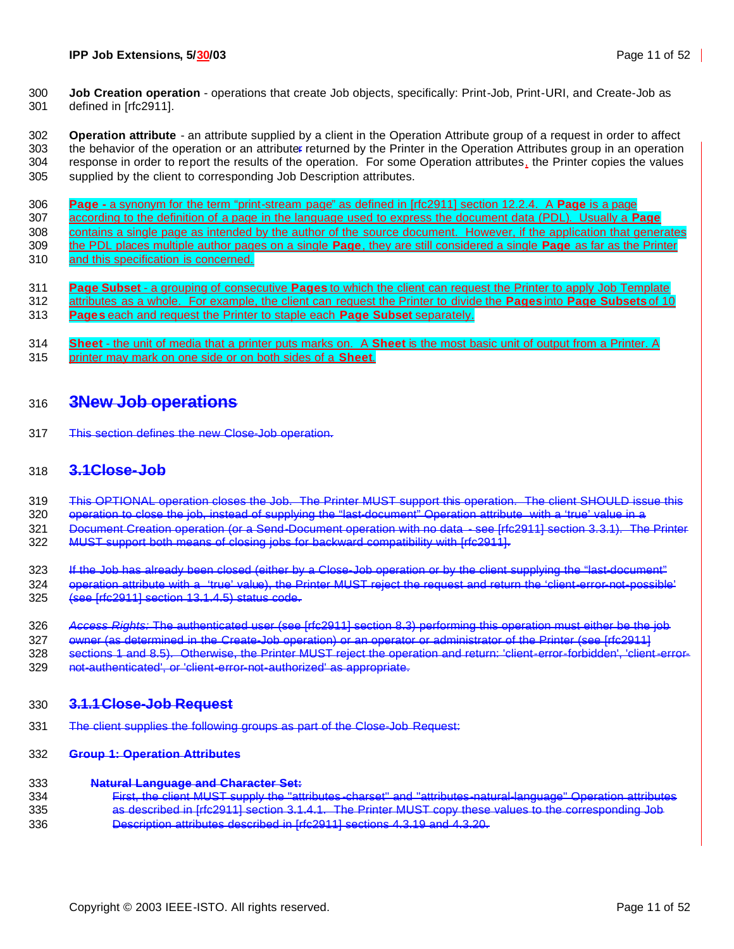**Job Creation operation** - operations that create Job objects, specifically: Print-Job, Print-URI, and Create-Job as defined in [rfc2911].

 **Operation attribute** - an attribute supplied by a client in the Operation Attribute group of a request in order to affect the behavior of the operation or an attributer returned by the Printer in the Operation Attributes group in an operation 304 response in order to report the results of the operation. For some Operation attributes, the Printer copies the values supplied by the client to corresponding Job Description attributes.

**Page -** a synonym for the term "print-stream page" as defined in [rfc2911] section 12.2.4. A **Page** is a page

- according to the definition of a page in the language used to express the document data (PDL). Usually a **Page**
- 308 contains a single page as intended by the author of the source document. However, if the application that generates the PDL places multiple author pages on a single **Page**, they are still considered a single **Page** as far as the Printer
- and this specification is concerned.
	- **Page Subset** a grouping of consecutive **Pages** to which the client can request the Printer to apply Job Template attributes as a whole. For example, the client can request the Printer to divide the **Pages** into **Page Subsets** of 10
	- **Pages** each and request the Printer to staple each **Page Subset** separately.
	- **Sheet** the unit of media that a printer puts marks on. A **Sheet** is the most basic unit of output from a Printer. A
	- printer may mark on one side or on both sides of a **Sheet**.

### **3New Job operations**

This section defines the new Close-Job operation.

### **3.1Close-Job**

This OPTIONAL operation closes the Job. The Printer MUST support this operation. The client SHOULD issue this

operation to close the job, instead of supplying the "last-document" Operation attribute with a 'true' value in a

- Document Creation operation (or a Send-Document operation with no data see [rfc2911] section 3.3.1). The Printer
- MUST support both means of closing jobs for backward compatibility with [rfc2911].
- 323 If the Job has already been closed (either by a Close-Job operation or by the client supplying the "last-document"
- operation attribute with a 'true' value), the Printer MUST reject the request and return the 'client-error-not-possible' (see [rfc2911] section 13.1.4.5) status code.
- *Access Rights:* The authenticated user (see [rfc2911] section 8.3) performing this operation must either be the job
- owner (as determined in the Create-Job operation) or an operator or administrator of the Printer (see [rfc2911]
- sections 1 and 8.5). Otherwise, the Printer MUST reject the operation and return: 'client-error-forbidden', 'client-error-
- not-authenticated', or 'client-error-not-authorized' as appropriate.

### **3.1.1Close-Job Request**

The client supplies the following groups as part of the Close-Job Request:

#### **Group 1: Operation Attributes**

#### **Natural Language and Character Set:**

 First, the client MUST supply the "attributes -charset" and "attributes-natural-language" Operation attributes as described in [rfc2911] section 3.1.4.1. The Printer MUST copy these values to the corresponding Job Description attributes described in [rfc2911] sections 4.3.19 and 4.3.20.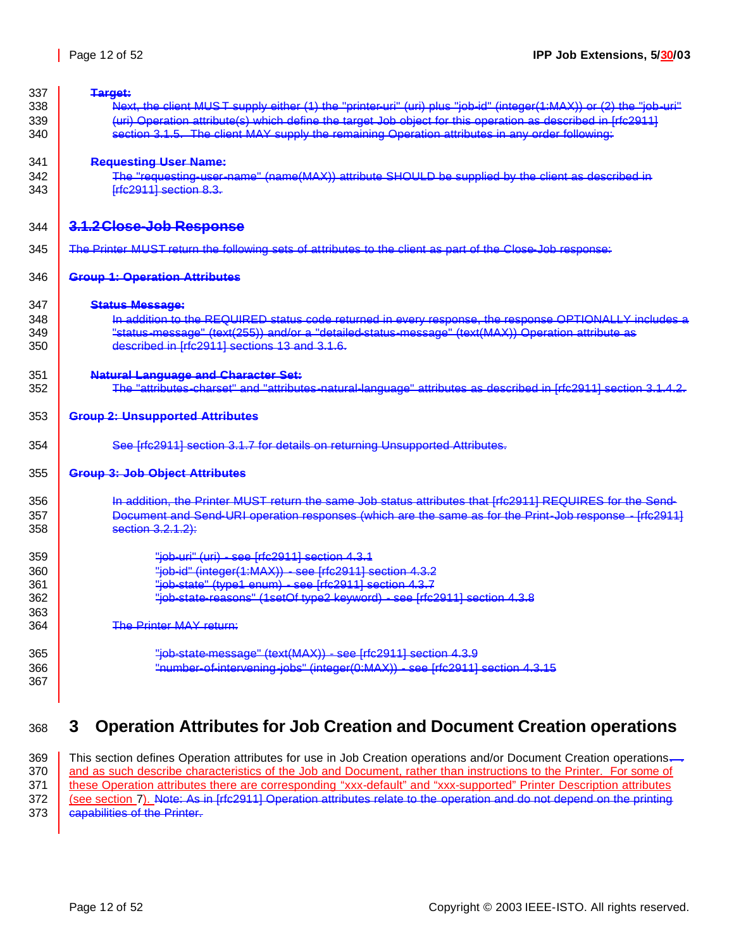| 337 | Target:                                                                                                             |
|-----|---------------------------------------------------------------------------------------------------------------------|
| 338 | Next, the client MUST supply either (1) the "printer-uri" (uri) plus "job-id" (integer(1:MAX)) or (2) the "job-uri" |
| 339 | (uri) Operation attribute(s) which define the target Job object for this operation as described in [rfc2911]        |
| 340 | section 3.1.5. The client MAY supply the remaining Operation attributes in any order following.                     |
| 341 | <b>Requesting User Name:</b>                                                                                        |
| 342 | The "requesting-user-name" (name(MAX)) attribute SHOULD be supplied by the client as described in                   |
| 343 | Frfc2911] section 8.3.                                                                                              |
| 344 | 3.1.2 Close-Job Response                                                                                            |
| 345 | The Printer MUST return the following sets of attributes to the client as part of the Close-Job response:           |
| 346 | <b>Group 1: Operation Attributes</b>                                                                                |
| 347 | <b>Status Message:</b>                                                                                              |
| 348 | In addition to the REQUIRED status code returned in every response, the response OPTIONALLY includes a              |
| 349 | "status-message" (text(255)) and/or a "detailed-status-message" (text(MAX)) Operation attribute as                  |
| 350 | described in Irrc29111 sections 13 and 3.1.6.                                                                       |
| 351 | <b>Natural Language and Character Set:</b>                                                                          |
| 352 | The "attributes-charset" and "attributes-natural-language" attributes as described in [rfc2911] section 3.1.4.2.    |
| 353 | <b>Group 2: Unsupported Attributes</b>                                                                              |
| 354 | See [rfc2911] section 3.1.7 for details on returning Unsupported Attributes.                                        |
| 355 | <b>Group 3: Job Object Attributes</b>                                                                               |
| 356 | In addition, the Printer MUST return the same Job status attributes that [rfc2911] REQUIRES for the Send-           |
| 357 | Document and Send-URI operation responses (which are the same as for the Print-Job response - Irfc29111             |
| 358 | section 3.2.1.2):                                                                                                   |
| 359 | "job-uri" (uri) - see [rfc2911] section 4.3.1                                                                       |
| 360 | "job-id" (integer(1:MAX)) - see [rfc2911] section 4.3.2                                                             |
| 361 | "job-state" (type1 enum) - see [rfc2911] section 4.3.7                                                              |
| 362 | "job-state-reasons" (1setOf type2 keyword) - see [rfc2911] section 4.3.8                                            |
| 363 |                                                                                                                     |
| 364 | The Printer MAY return:                                                                                             |
| 365 | "job-state-message" (text(MAX)) - see [rfc2911] section 4.3.9                                                       |
| 366 | "number-of-intervening-jobs" (integer(0:MAX)) - see [rfc2911] section 4.3.15                                        |
| 367 |                                                                                                                     |
|     |                                                                                                                     |

# **3 Operation Attributes for Job Creation and Document Creation operations**

369 This section defines Operation attributes for use in Job Creation operations and/or Document Creation operations.<br>370 and as such describe characteristics of the Job and Document, rather than instructions to the Printe and as such describe characteristics of the Job and Document, rather than instructions to the Printer. For some of 371 | these Operation attributes there are corresponding "xxx-default" and "xxx-supported" Printer Description attributes 372 | (see section 7). Note: As in [rfc2911] Operation attributes relate to the operation and do not depend on the printing **capabilities of the Printer.**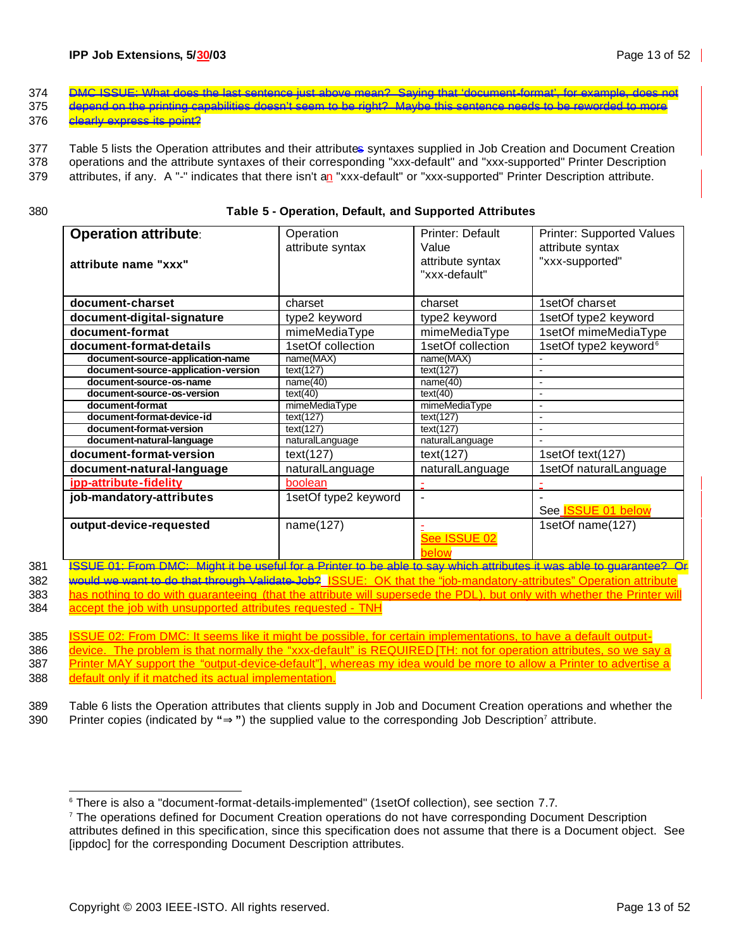- 374 DMC ISSUE: What does the last sentence just above mean? Saying that 'document-format', for example, does not 375 depend on the printing capabilities doesn't seem to be right? Maybe this sentence needs to be reworded to more
- 376 **clearly express its point?**

377 Table 5 lists the Operation attributes and their attributes syntaxes supplied in Job Creation and Document Creation

378 operations and the attribute syntaxes of their corresponding "xxx-default" and "xxx-supported" Printer Description

379 attributes, if any. A "-" indicates that there isn't an "xxx-default" or "xxx-supported" Printer Description attribute.

| I<br><br>. .<br>$\sim$<br>$-$ |  |
|-------------------------------|--|

#### 380 **Table 5 - Operation, Default, and Supported Attributes**

| <b>Operation attribute:</b><br>attribute name "xxx" | Operation<br>attribute syntax                                                                                                                        | <b>Printer: Default</b><br>Value<br>attribute syntax<br>"xxx-default"                                                                    | <b>Printer: Supported Values</b><br>attribute syntax<br>"xxx-supported" |
|-----------------------------------------------------|------------------------------------------------------------------------------------------------------------------------------------------------------|------------------------------------------------------------------------------------------------------------------------------------------|-------------------------------------------------------------------------|
| document-charset                                    | charset                                                                                                                                              | charset                                                                                                                                  | 1setOf charset                                                          |
| document-digital-signature                          | type2 keyword                                                                                                                                        | type2 keyword                                                                                                                            | 1setOf type2 keyword                                                    |
| document-format                                     | mimeMediaType                                                                                                                                        | mimeMediaType                                                                                                                            | 1setOf mimeMediaType                                                    |
| document-format-details                             | 1setOf collection                                                                                                                                    | 1setOf collection                                                                                                                        | 1setOf type2 keyword <sup>6</sup>                                       |
| document-source-application-name                    | name(MAX)                                                                                                                                            | name(MAX)                                                                                                                                |                                                                         |
| document-source-application-version                 | text(127)                                                                                                                                            | text(127)                                                                                                                                |                                                                         |
| document-source-os-name                             | name(40)                                                                                                                                             | name(40)                                                                                                                                 |                                                                         |
| document-source-os-version                          | text(40)                                                                                                                                             | text(40)                                                                                                                                 |                                                                         |
| document-format                                     | mimeMediaType                                                                                                                                        | mimeMediaType                                                                                                                            | $\blacksquare$                                                          |
| document-format-device-id                           | text(127)                                                                                                                                            | text(127)                                                                                                                                |                                                                         |
| document-format-version                             | text(127)                                                                                                                                            | text(127)                                                                                                                                |                                                                         |
| document-natural-language                           | naturalLanguage                                                                                                                                      | naturalLanguage                                                                                                                          |                                                                         |
| document-format-version                             | text(127)                                                                                                                                            | text(127)                                                                                                                                | 1setOf text(127)                                                        |
| document-natural-language                           | naturalLanguage                                                                                                                                      | naturalLanguage                                                                                                                          | 1setOf naturalLanguage                                                  |
| ipp-attribute-fidelity                              | boolean                                                                                                                                              |                                                                                                                                          |                                                                         |
| job-mandatory-attributes                            | 1setOf type2 keyword                                                                                                                                 | $\blacksquare$                                                                                                                           | See <b>ISSUE 01 below</b>                                               |
| output-device-requested                             | name(127)<br>$\sim$ $\sim$ $\sim$<br>the contract of the contract of the contract of the contract of the contract of the contract of the contract of | See ISSUE 02<br>below<br>and the state of the state of the state of the state of the state of the state of the state of the state of the | 1setOf name(127)<br><b>Contract Contract Contract</b>                   |

381 ISSUE 01: From DMC: Might it be useful for a Printer to be able to say which attributes it was able to guarantee? Or 382 would we want to do that through Validate-Job? ISSUE: OK that the "job-mandatory-attributes" Operation attribute

383 has nothing to do with guaranteeing (that the attribute will supersede the PDL), but only with whether the Printer will 384 accept the job with unsupported attributes requested - TNH

385 ISSUE 02: From DMC: It seems like it might be possible, for certain implementations, to have a default output-386 device. The problem is that normally the "xxx-default" is REQUIRED [TH: not for operation attributes, so we say a 387 Printer MAY support the "output-device-default"], whereas my idea would be more to allow a Printer to advertise a 388 default only if it matched its actual implementation.

389 Table 6 lists the Operation attributes that clients supply in Job and Document Creation operations and whether the

390 Printer copies (indicated by "**P**<sup>"</sup>) the supplied value to the corresponding Job Description<sup>7</sup> attribute.

<sup>&</sup>lt;sup>6</sup> There is also a "document-format-details-implemented" (1setOf collection), see section 7.7.

<sup>&</sup>lt;sup>7</sup> The operations defined for Document Creation operations do not have corresponding Document Description attributes defined in this specification, since this specification does not assume that there is a Document object. See [ippdoc] for the corresponding Document Description attributes.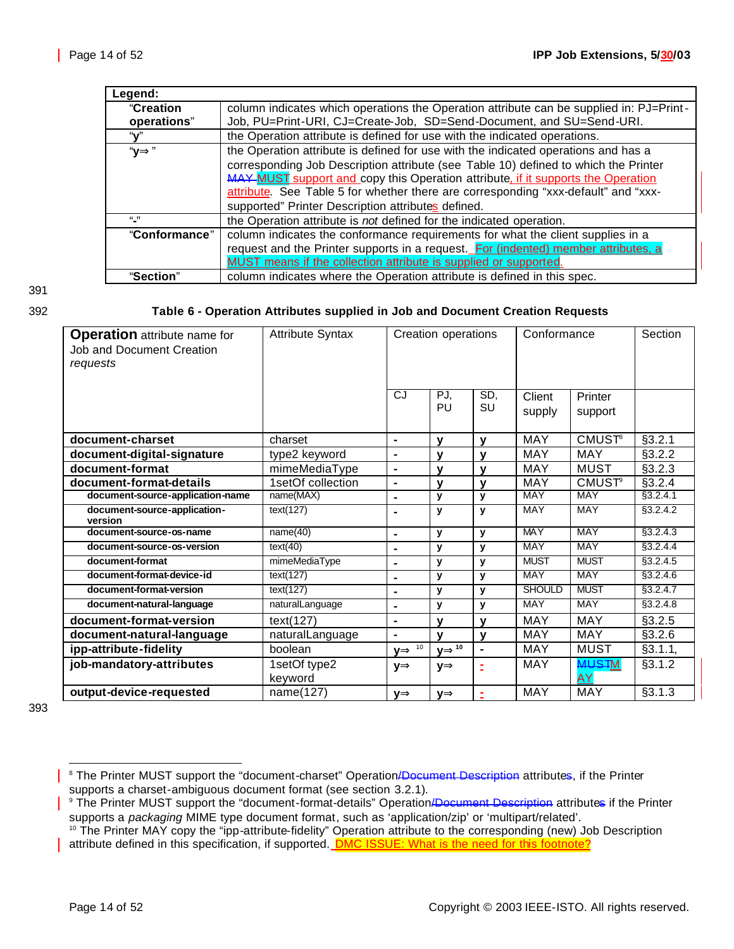| Legend:       |                                                                                         |
|---------------|-----------------------------------------------------------------------------------------|
| "Creation     | column indicates which operations the Operation attribute can be supplied in: PJ=Print- |
| operations"   | Job, PU=Print-URI, CJ=Create-Job, SD=Send-Document, and SU=Send-URI.                    |
| "v"           | the Operation attribute is defined for use with the indicated operations.               |
| " $V$         | the Operation attribute is defined for use with the indicated operations and has a      |
|               | corresponding Job Description attribute (see Table 10) defined to which the Printer     |
|               | MAY MUST support and copy this Operation attribute, if it supports the Operation        |
|               | attribute. See Table 5 for whether there are corresponding "xxx-default" and "xxx-      |
|               | supported" Printer Description attributes defined.                                      |
| $(1 - 1)$     | the Operation attribute is not defined for the indicated operation.                     |
| "Conformance" | column indicates the conformance requirements for what the client supplies in a         |
|               | request and the Printer supports in a request. For (indented) member attributes, a      |
|               | MUST means if the collection attribute is supplied or supported.                        |
| "Section"     | column indicates where the Operation attribute is defined in this spec.                 |

# 391

#### 392 **Table 6 - Operation Attributes supplied in Job and Document Creation Requests**

| <b>Operation</b> attribute name for<br>Job and Document Creation<br>requests | <b>Attribute Syntax</b> | Creation operations |              | Conformance    |                  | Section                   |           |
|------------------------------------------------------------------------------|-------------------------|---------------------|--------------|----------------|------------------|---------------------------|-----------|
|                                                                              |                         | CJ                  | PJ,<br>PU    | SD,<br>SU      | Client<br>supply | Printer<br>support        |           |
| document-charset                                                             | charset                 | $\blacksquare$      | $\mathbf v$  | $\mathbf{V}$   | <b>MAY</b>       | <b>CMUST<sup>8</sup></b>  | §3.2.1    |
| document-digital-signature                                                   | type2 keyword           | $\blacksquare$      | $\mathbf v$  | $\mathbf v$    | <b>MAY</b>       | <b>MAY</b>                | §3.2.2    |
| document-format                                                              | mimeMediaType           | $\blacksquare$      | $\mathbf{v}$ | $\mathbf{V}$   | <b>MAY</b>       | <b>MUST</b>               | §3.2.3    |
| document-format-details                                                      | 1setOf collection       | $\blacksquare$      | $\mathbf v$  | $\mathbf v$    | <b>MAY</b>       | <b>CMUST<sup>9</sup></b>  | §3.2.4    |
| document-source-application-name                                             | name(MAX)               | $\blacksquare$      | y            | y              | <b>MAY</b>       | <b>MAY</b>                | §3.2.4.1  |
| document-source-application-<br>version                                      | text(127)               | $\blacksquare$      | y            | y              | <b>MAY</b>       | <b>MAY</b>                | §3.2.4.2  |
| document-source-os-name                                                      | name(40)                | $\blacksquare$      | y            | $\mathbf{y}$   | <b>MAY</b>       | <b>MAY</b>                | §3.2.4.3  |
| document-source-os-version                                                   | text(40)                | ä,                  | y            | y              | <b>MAY</b>       | <b>MAY</b>                | §3.2.4.4  |
| document-format                                                              | mimeMediaType           | $\blacksquare$      | y            | y              | <b>MUST</b>      | <b>MUST</b>               | \$3.2.4.5 |
| document-format-device-id                                                    | text(127)               | $\blacksquare$      | y            | $\mathbf{v}$   | <b>MAY</b>       | <b>MAY</b>                | \$3.2.4.6 |
| document-format-version                                                      | text(127)               | ä,                  | y            | $\mathbf{y}$   | <b>SHOULD</b>    | <b>MUST</b>               | \$3.2.4.7 |
| document-natural-language                                                    | naturalLanguage         | $\blacksquare$      | y            | $\mathbf{y}$   | <b>MAY</b>       | <b>MAY</b>                | \$3.2.4.8 |
| document-format-version                                                      | text(127)               | $\blacksquare$      | $\mathbf v$  | $\mathbf v$    | <b>MAY</b>       | <b>MAY</b>                | §3.2.5    |
| document-natural-language                                                    | naturalLanguage         | $\blacksquare$      | $\mathbf v$  | $\mathbf{V}$   | <b>MAY</b>       | <b>MAY</b>                | §3.2.6    |
| ipp-attribute-fidelity                                                       | boolean                 | yD <sup>10</sup>    | $yI P^{10}$  | $\blacksquare$ | <b>MAY</b>       | <b>MUST</b>               | §3.1.1,   |
| job-mandatory-attributes                                                     | 1setOf type2<br>keyword | уÞ                  | уÞ           | Ξ              | <b>MAY</b>       | <b>MUSTM</b><br><b>AY</b> | §3.1.2    |
| output-device-requested                                                      | name(127)               | νÞ                  | уÞ           | ž,             | <b>MAY</b>       | MAY                       | §3.1.3    |

393

<sup>&</sup>lt;sup>8</sup> The Printer MUST support the "document-charset" Operation/<del>Document Description</del> attributes, if the Printer supports a charset-ambiguous document format (see section 3.2.1).

<sup>&</sup>lt;sup>9</sup> The Printer MUST support the "document-format-details" Operation/Document Description attributes if the Printer supports a *packaging* MIME type document format, such as 'application/zip' or 'multipart/related'.

<sup>&</sup>lt;sup>10</sup> The Printer MAY copy the "ipp-attribute-fidelity" Operation attribute to the corresponding (new) Job Description attribute defined in this specification, if supported. **DMC ISSUE: What is the need for this footnote?**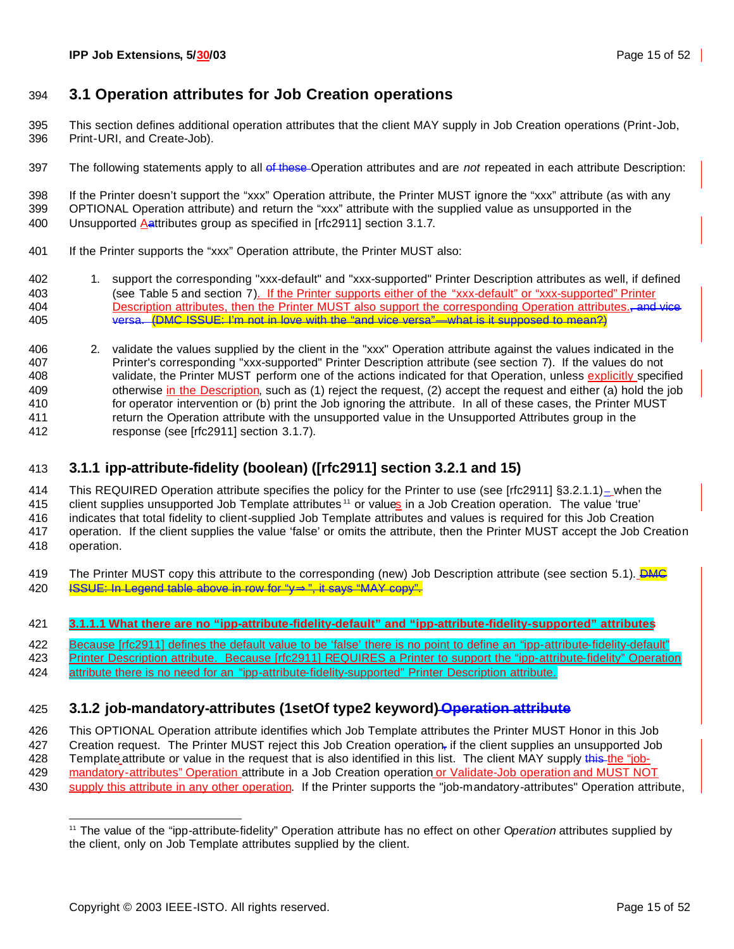### **3.1 Operation attributes for Job Creation operations**

- This section defines additional operation attributes that the client MAY supply in Job Creation operations (Print-Job, Print-URI, and Create-Job).
- The following statements apply to all of these Operation attributes and are *not* repeated in each attribute Description:

 If the Printer doesn't support the "xxx" Operation attribute, the Printer MUST ignore the "xxx" attribute (as with any OPTIONAL Operation attribute) and return the "xxx" attribute with the supplied value as unsupported in the 400 Unsupported Aattributes group as specified in [rfc2911] section 3.1.7.

- If the Printer supports the "xxx" Operation attribute, the Printer MUST also:
- 1. support the corresponding "xxx-default" and "xxx-supported" Printer Description attributes as well, if defined (see Table 5 and section 7). If the Printer supports either of the "xxx-default" or "xxx-supported" Printer 404 Description attributes, then the Printer MUST also support the corresponding Operation attributes. and vice versa. (DMC ISSUE: I'm not in love with the "and vice versa"—what is it supposed to mean?)
- 2. validate the values supplied by the client in the "xxx" Operation attribute against the values indicated in the Printer's corresponding "xxx-supported" Printer Description attribute (see section 7). If the values do not 408 validate, the Printer MUST perform one of the actions indicated for that Operation, unless explicitly specified 409 otherwise in the Description, such as (1) reject the request, (2) accept the request and either (a) hold the job for operator intervention or (b) print the Job ignoring the attribute. In all of these cases, the Printer MUST return the Operation attribute with the unsupported value in the Unsupported Attributes group in the response (see [rfc2911] section 3.1.7).

### **3.1.1 ipp-attribute-fidelity (boolean) ([rfc2911] section 3.2.1 and 15)**

 This REQUIRED Operation attribute specifies the policy for the Printer to use (see [rfc2911] §3.2.1.1)\_ when the 415 client supplies unsupported Job Template attributes <sup>11</sup> or values in a Job Creation operation. The value 'true' indicates that total fidelity to client-supplied Job Template attributes and values is required for this Job Creation operation. If the client supplies the value 'false' or omits the attribute, then the Printer MUST accept the Job Creation operation.

- 419 The Printer MUST copy this attribute to the corresponding (new) Job Description attribute (see section 5.1). DMC ISSUE: In Legend table above in row for "y**Þ**", it says "MAY copy".
- **3.1.1.1 What there are no "ipp-attribute-fidelity-default" and "ipp-attribute-fidelity-supported" attributes**
- 422 Because [rfc2911] defines the default value to be 'false' there is no point to define an "ipp-attribute-fidelity-default"
- 423 Printer Description attribute. Because [rfc2911] REQUIRES a Printer to support the "ipp-attribute-fidelity" Operation 424 attribute there is no need for an "ipp-attribute-fidelity-supported" Printer Description attribute.

### **3.1.2 job-mandatory-attributes (1setOf type2 keyword) Operation attribute**

This OPTIONAL Operation attribute identifies which Job Template attributes the Printer MUST Honor in this Job

- 427 Creation request. The Printer MUST reject this Job Creation operation, if the client supplies an unsupported Job
- 428 Template attribute or value in the request that is also identified in this list. The client MAY supply this the "job-
- mandatory-attributes" Operation attribute in a Job Creation operation or Validate-Job operation and MUST NOT
- supply this attribute in any other operation. If the Printer supports the "job-mandatory-attributes" Operation attribute,

 The value of the "ipp-attribute-fidelity" Operation attribute has no effect on other O*peration* attributes supplied by the client, only on Job Template attributes supplied by the client.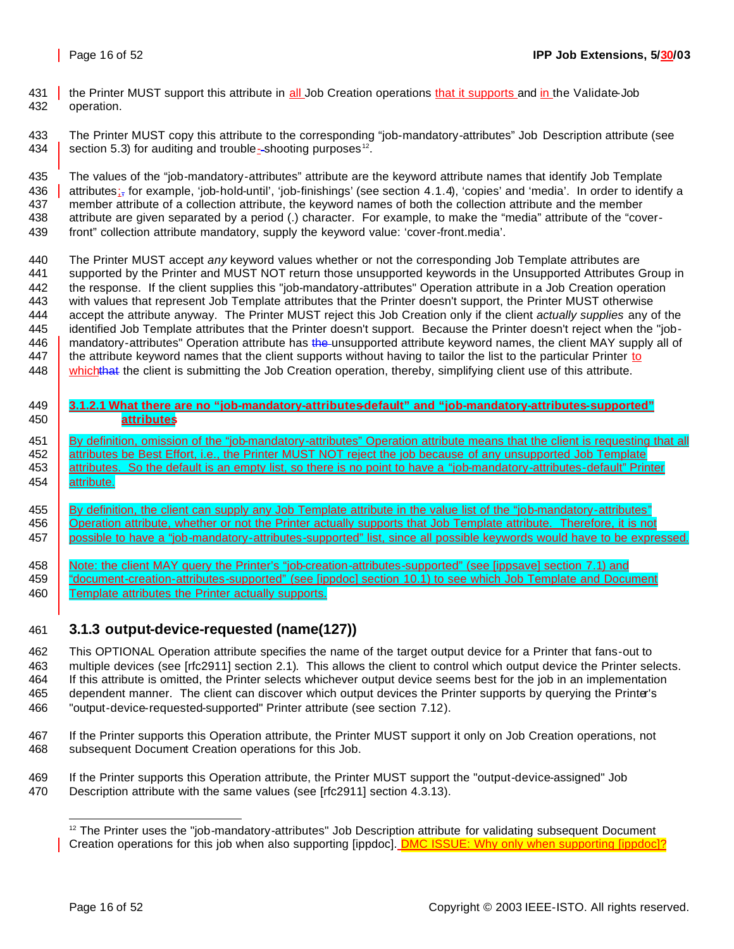431 the Printer MUST support this attribute in all Job Creation operations that it supports and in the Validate-Job operation.

 The Printer MUST copy this attribute to the corresponding "job-mandatory-attributes" Job Description attribute (see 434 **Section 5.3)** for auditing and trouble-shooting purposes<sup>12</sup>.

 The values of the "job-mandatory-attributes" attribute are the keyword attribute names that identify Job Template 436 attributes<sub>is</sub> for example, 'job-hold-until', 'job-finishings' (see section 4.1.4), 'copies' and 'media'. In order to identify a member attribute of a collection attribute, the keyword names of both the collection attribute and the member attribute are given separated by a period (.) character. For example, to make the "media" attribute of the "cover-front" collection attribute mandatory, supply the keyword value: 'cover-front.media'.

 The Printer MUST accept *any* keyword values whether or not the corresponding Job Template attributes are supported by the Printer and MUST NOT return those unsupported keywords in the Unsupported Attributes Group in the response. If the client supplies this "job-mandatory-attributes" Operation attribute in a Job Creation operation with values that represent Job Template attributes that the Printer doesn't support, the Printer MUST otherwise accept the attribute anyway. The Printer MUST reject this Job Creation only if the client *actually supplies* any of the identified Job Template attributes that the Printer doesn't support. Because the Printer doesn't reject when the "job-446 mandatory-attributes" Operation attribute has the unsupported attribute keyword names, the client MAY supply all of 447 the attribute keyword names that the client supports without having to tailor the list to the particular Printer to 448 whichthat the client is submitting the Job Creation operation, thereby, simplifying client use of this attribute.

 **3.1.2.1 What there are no "job-mandatory-attributes-default" and "job-mandatory-attributes-supported" attributes**

451 By definition, omission of the "job-mandatory-attributes" Operation attribute means that the client is requesting that all 452 attributes be Best Effort, i.e., the Printer MUST NOT reject the job because of any unsupported Job Template 453 attributes. So the default is an empty list, so there is no point to have a "job-mandatory-attributes-default" Printer 454 | attribute.

455 By definition, the client can supply any Job Template attribute in the value list of the "job-mandatory-attributes" **Operation attribute, whether or not the Printer actually supports that Job Template attribute. Therefore, it is not** possible to have a "job-mandatory-attributes-supported" list, since all possible keywords would have to be expressed.

458 Note: the client MAY query the Printer's "job-creation-attributes-supported" (see [ippsave] section 7.1) and **Consument-creation-attributes-supported"** (see [ippdoc] section 10.1) to see which Job Template and Document 460 Template attributes the Printer actually supports.

### **3.1.3 output-device-requested (name(127))**

 This OPTIONAL Operation attribute specifies the name of the target output device for a Printer that fans-out to multiple devices (see [rfc2911] section 2.1). This allows the client to control which output device the Printer selects. If this attribute is omitted, the Printer selects whichever output device seems best for the job in an implementation dependent manner. The client can discover which output devices the Printer supports by querying the Printer's "output-device-requested-supported" Printer attribute (see section 7.12).

- If the Printer supports this Operation attribute, the Printer MUST support it only on Job Creation operations, not subsequent Document Creation operations for this Job.
- If the Printer supports this Operation attribute, the Printer MUST support the "output-device-assigned" Job
- Description attribute with the same values (see [rfc2911] section 4.3.13).

 The Printer uses the "job-mandatory-attributes" Job Description attribute for validating subsequent Document Creation operations for this job when also supporting [ippdoc]. **DMC ISSUE: Why only when supporting [ippdoc]?**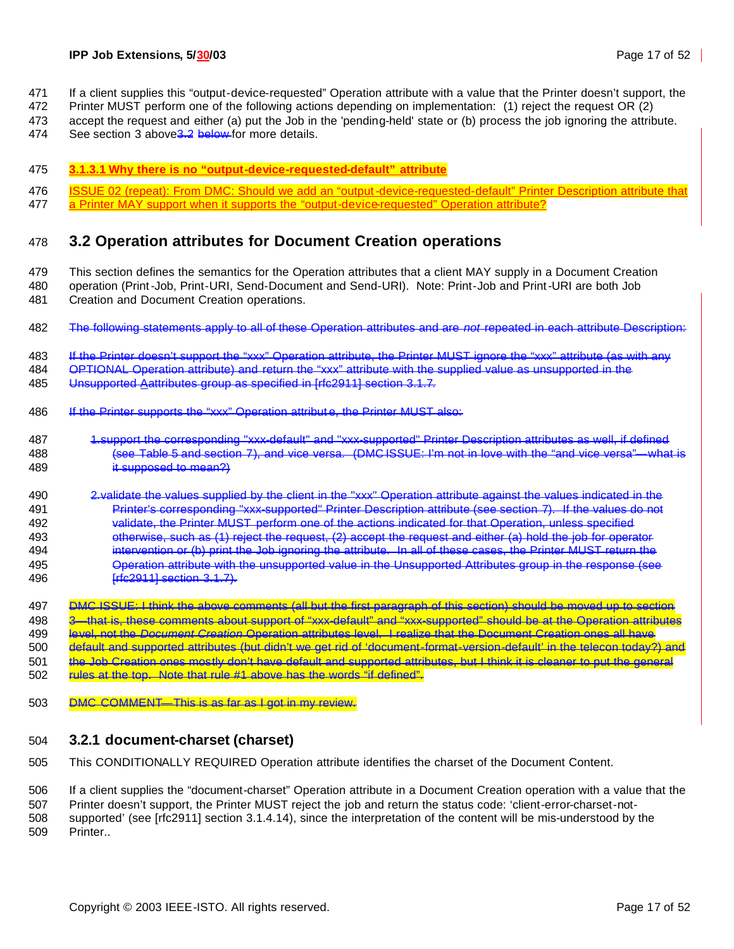- If a client supplies this "output-device-requested" Operation attribute with a value that the Printer doesn't support, the
- Printer MUST perform one of the following actions depending on implementation: (1) reject the request OR (2)
- accept the request and either (a) put the Job in the 'pending-held' state or (b) process the job ignoring the attribute.
- 474 See section 3 above<sup>3.2</sup> below for more details.
- **3.1.3.1 Why there is no "output-device-requested-default" attribute**
- 476 ISSUE 02 (repeat): From DMC: Should we add an "output-device-requested-default" Printer Description attribute that
- 477 a Printer MAY support when it supports the "output-device-requested" Operation attribute?

#### **3.2 Operation attributes for Document Creation operations**

- This section defines the semantics for the Operation attributes that a client MAY supply in a Document Creation operation (Print-Job, Print-URI, Send-Document and Send-URI). Note: Print-Job and Print-URI are both Job Creation and Document Creation operations.
- The following statements apply to all of these Operation attributes and are *not* repeated in each attribute Description:
- 483 If the Printer doesn't support the "xxx" Operation attribute, the Printer MUST ignore the "xxx" attribute (as with any

OPTIONAL Operation attribute) and return the "xxx" attribute with the supplied value as unsupported in the

Unsupported Aattributes group as specified in [rfc2911] section 3.1.7.

- If the Printer supports the "xxx" Operation attribut e, the Printer MUST also:
- 1.support the corresponding "xxx-default" and "xxx-supported" Printer Description attributes as well, if defined (see Table 5 and section 7), and vice versa. (DMC ISSUE: I'm not in love with the "and vice versa"—what is it supposed to mean?)
- 2.validate the values supplied by the client in the "xxx" Operation attribute against the values indicated in the Printer's corresponding "xxx-supported" Printer Description attribute (see section 7). If the values do not validate, the Printer MUST perform one of the actions indicated for that Operation, unless specified 493 otherwise, such as (1) reject the request, (2) accept the request and either (a) hold the job for operator intervention or (b) print the Job ignoring the attribute. In all of these cases, the Printer MUST return the Operation attribute with the unsupported value in the Unsupported Attributes group in the response (see [rfc2911] section 3.1.7).

 DMC ISSUE: I think the above comments (all but the first paragraph of this section) should be moved up to section 3—that is, these comments about support of "xxx-default" and "xxx-supported" should be at the Operation attributes level, not the *Document Creation* Operation attributes level. I realize that the Document Creation ones all have default and supported attributes (but didn't we get rid of 'document-format-version-default' in the telecon today?) and the Job Creation ones mostly don't have default and supported attributes, but I think it is cleaner to put the general **rules at the top. Note that rule #1 above has the words "if defined".** 

DMC COMMENT—This is as far as I got in my review.

#### **3.2.1 document-charset (charset)**

This CONDITIONALLY REQUIRED Operation attribute identifies the charset of the Document Content.

If a client supplies the "document-charset" Operation attribute in a Document Creation operation with a value that the

Printer doesn't support, the Printer MUST reject the job and return the status code: 'client-error-charset-not-

 supported' (see [rfc2911] section 3.1.4.14), since the interpretation of the content will be mis-understood by the Printer..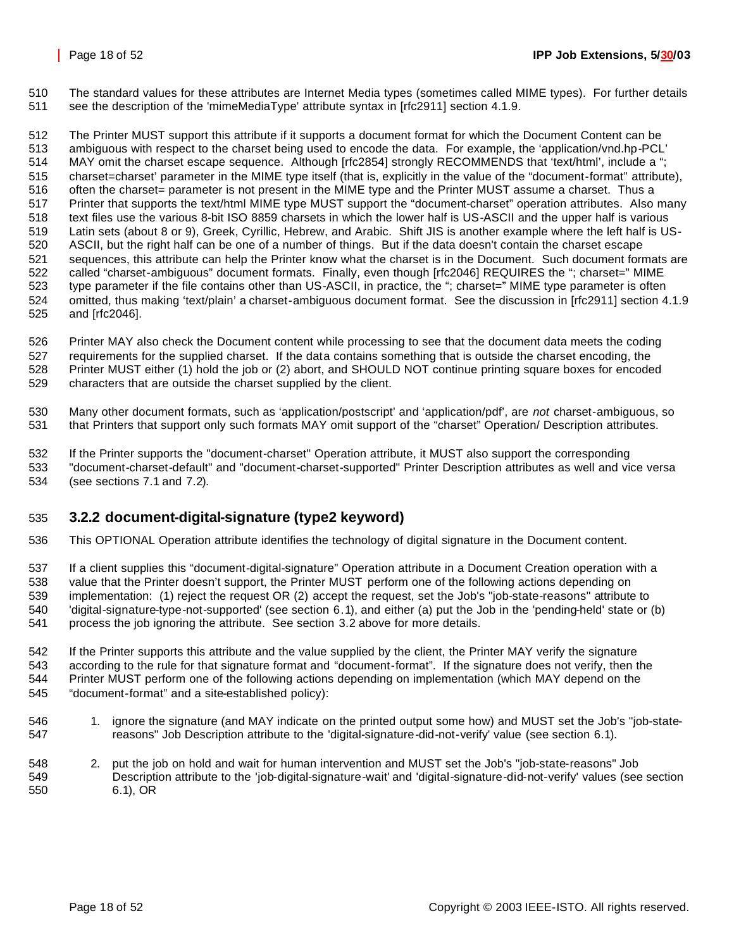The standard values for these attributes are Internet Media types (sometimes called MIME types). For further details see the description of the 'mimeMediaType' attribute syntax in [rfc2911] section 4.1.9.

 The Printer MUST support this attribute if it supports a document format for which the Document Content can be ambiguous with respect to the charset being used to encode the data. For example, the 'application/vnd.hp-PCL' MAY omit the charset escape sequence. Although [rfc2854] strongly RECOMMENDS that 'text/html', include a "; charset=charset' parameter in the MIME type itself (that is, explicitly in the value of the "document-format" attribute), often the charset= parameter is not present in the MIME type and the Printer MUST assume a charset. Thus a Printer that supports the text/html MIME type MUST support the "document-charset" operation attributes. Also many text files use the various 8-bit ISO 8859 charsets in which the lower half is US-ASCII and the upper half is various Latin sets (about 8 or 9), Greek, Cyrillic, Hebrew, and Arabic. Shift JIS is another example where the left half is US- ASCII, but the right half can be one of a number of things. But if the data doesn't contain the charset escape sequences, this attribute can help the Printer know what the charset is in the Document. Such document formats are 522 called "charset-ambiguous" document formats. Finally, even though [rfc2046] REQUIRES the "; charset=" MIME 523 type parameter if the file contains other than US-ASCII, in practice, the "; charset=" MIME type parameter is often omitted, thus making 'text/plain' a charset-ambiguous document format. See the discussion in [rfc2911] section 4.1.9 and [rfc2046].

 Printer MAY also check the Document content while processing to see that the document data meets the coding requirements for the supplied charset. If the data contains something that is outside the charset encoding, the Printer MUST either (1) hold the job or (2) abort, and SHOULD NOT continue printing square boxes for encoded characters that are outside the charset supplied by the client.

 Many other document formats, such as 'application/postscript' and 'application/pdf', are *not* charset-ambiguous, so that Printers that support only such formats MAY omit support of the "charset" Operation/ Description attributes.

 If the Printer supports the "document-charset" Operation attribute, it MUST also support the corresponding "document-charset-default" and "document-charset-supported" Printer Description attributes as well and vice versa (see sections 7.1 and 7.2).

### **3.2.2 document-digital-signature (type2 keyword)**

This OPTIONAL Operation attribute identifies the technology of digital signature in the Document content.

 If a client supplies this "document-digital-signature" Operation attribute in a Document Creation operation with a value that the Printer doesn't support, the Printer MUST perform one of the following actions depending on implementation: (1) reject the request OR (2) accept the request, set the Job's "job-state-reasons" attribute to 'digital-signature-type-not-supported' (see section 6.1), and either (a) put the Job in the 'pending-held' state or (b) process the job ignoring the attribute. See section 3.2 above for more details.

 If the Printer supports this attribute and the value supplied by the client, the Printer MAY verify the signature according to the rule for that signature format and "document-format". If the signature does not verify, then the Printer MUST perform one of the following actions depending on implementation (which MAY depend on the "document-format" and a site-established policy):

- 1. ignore the signature (and MAY indicate on the printed output some how) and MUST set the Job's "job-state-reasons" Job Description attribute to the 'digital-signature-did-not-verify' value (see section 6.1).
- 2. put the job on hold and wait for human intervention and MUST set the Job's "job-state-reasons" Job Description attribute to the 'job-digital-signature-wait' and 'digital-signature-did-not-verify' values (see section 6.1), OR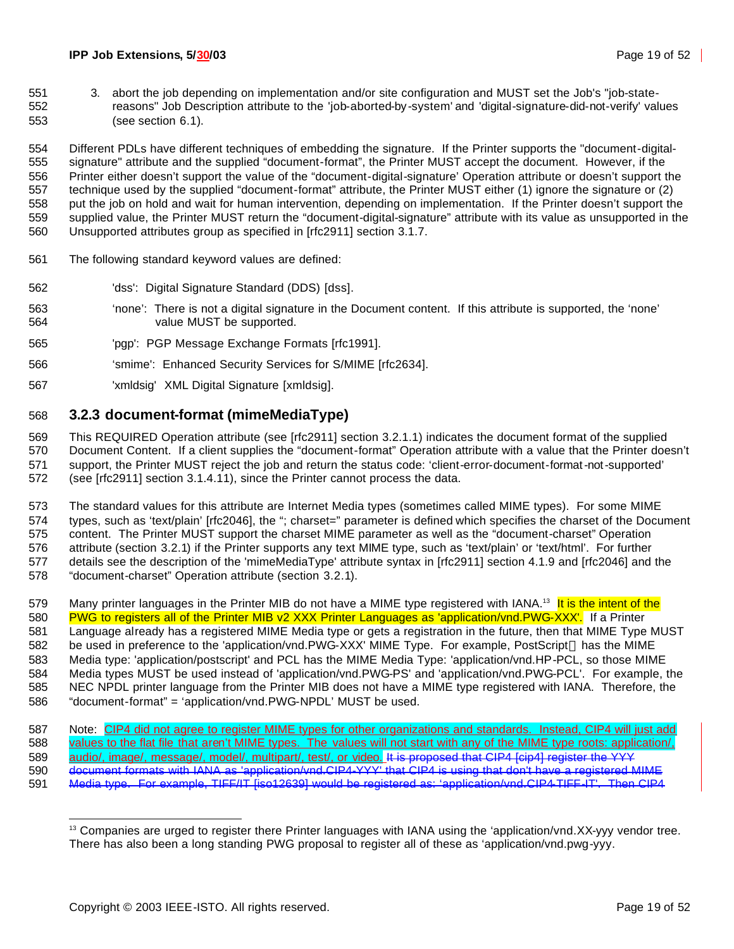3. abort the job depending on implementation and/or site configuration and MUST set the Job's "job-state- reasons" Job Description attribute to the 'job-aborted-by -system' and 'digital-signature-did-not-verify' values (see section 6.1).

 Different PDLs have different techniques of embedding the signature. If the Printer supports the "document-digital- signature" attribute and the supplied "document-format", the Printer MUST accept the document. However, if the Printer either doesn't support the value of the "document-digital-signature' Operation attribute or doesn't support the technique used by the supplied "document-format" attribute, the Printer MUST either (1) ignore the signature or (2) put the job on hold and wait for human intervention, depending on implementation. If the Printer doesn't support the supplied value, the Printer MUST return the "document-digital-signature" attribute with its value as unsupported in the Unsupported attributes group as specified in [rfc2911] section 3.1.7.

- The following standard keyword values are defined:
- 'dss': Digital Signature Standard (DDS) [dss].
- 'none': There is not a digital signature in the Document content. If this attribute is supported, the 'none' value MUST be supported.
- 'pgp': PGP Message Exchange Formats [rfc1991].
- 'smime': Enhanced Security Services for S/MIME [rfc2634].
- 'xmldsig' XML Digital Signature [xmldsig].

### **3.2.3 document-format (mimeMediaType)**

This REQUIRED Operation attribute (see [rfc2911] section 3.2.1.1) indicates the document format of the supplied

 Document Content. If a client supplies the "document-format" Operation attribute with a value that the Printer doesn't support, the Printer MUST reject the job and return the status code: 'client-error-document-format-not-supported' (see [rfc2911] section 3.1.4.11), since the Printer cannot process the data.

 The standard values for this attribute are Internet Media types (sometimes called MIME types). For some MIME 574 types, such as 'text/plain' [rfc2046], the "; charset=" parameter is defined which specifies the charset of the Document content. The Printer MUST support the charset MIME parameter as well as the "document-charset" Operation attribute (section 3.2.1) if the Printer supports any text MIME type, such as 'text/plain' or 'text/html'. For further details see the description of the 'mimeMediaType' attribute syntax in [rfc2911] section 4.1.9 and [rfc2046] and the

"document-charset" Operation attribute (section 3.2.1).

579 Many printer languages in the Printer MIB do not have a MIME type registered with IANA.<sup>13</sup> It is the intent of the 580 PWG to registers all of the Printer MIB v2 XXX Printer Languages as 'application/vnd.PWG-XXX'. If a Printer Language already has a registered MIME Media type or gets a registration in the future, then that MIME Type MUST 582 be used in preference to the 'application/vnd.PWG-XXX' MIME Type. For example, PostScript ® has the MIME Media type: 'application/postscript' and PCL has the MIME Media Type: 'application/vnd.HP-PCL, so those MIME Media types MUST be used instead of 'application/vnd.PWG-PS' and 'application/vnd.PWG-PCL'. For example, the NEC NPDL printer language from the Printer MIB does not have a MIME type registered with IANA. Therefore, the

- "document-format" = 'application/vnd.PWG-NPDL' MUST be used.
- 587 Note: CIP4 did not agree to register MIME types for other organizations and standards. Instead, CIP4 will just add 588 values to the flat file that aren't MIME types. The values will not start with any of the MIME type roots: application/, 589 audio/, image/, message/, model/, multipart/, test/, or video. It is proposed that CIP4 [cip4] register the YYY document formats with IANA as 'application/vnd.CIP4-YYY' that CIP4 is using that don't have a registered MIME Media type. For example, TIFF/IT [iso12639] would be registered as: 'application/vnd.CIP4-TIFF-IT'. Then CIP4

 <sup>13</sup> Companies are urged to register there Printer languages with IANA using the 'application/vnd.XX-yyy vendor tree. There has also been a long standing PWG proposal to register all of these as 'application/vnd.pwg-yyy.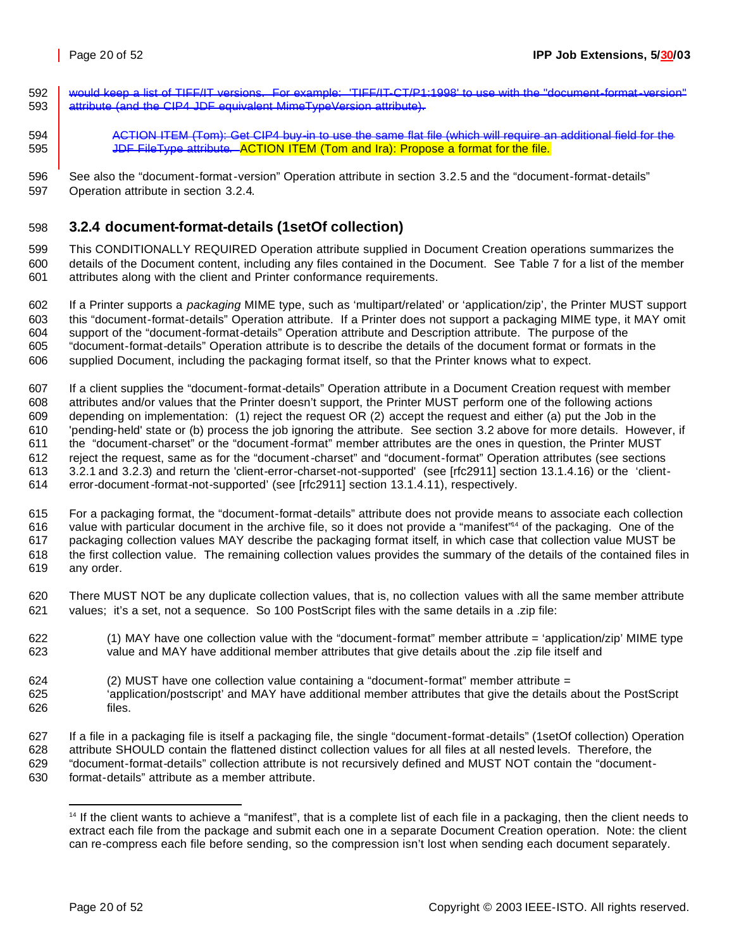would keep a list of TIFF/IT versions. For example: 'TIFF/IT-CT/P1:1998' to use with the "document-format-version" 593 attribute (and the CIP4 JDF equivalent MimeTypeVersion attribute).

ACTION ITEM (Tom): Get CIP4 buy-in to use the same flat file (which will require an additional field for the

**JULF File Type attribute. ACTION ITEM (Tom and Ira): Propose a format for the file.** 

 See also the "document-format-version" Operation attribute in section 3.2.5 and the "document-format-details" Operation attribute in section 3.2.4.

### **3.2.4 document-format-details (1setOf collection)**

 This CONDITIONALLY REQUIRED Operation attribute supplied in Document Creation operations summarizes the details of the Document content, including any files contained in the Document. See Table 7 for a list of the member attributes along with the client and Printer conformance requirements.

 If a Printer supports a *packaging* MIME type, such as 'multipart/related' or 'application/zip', the Printer MUST support this "document-format-details" Operation attribute. If a Printer does not support a packaging MIME type, it MAY omit support of the "document-format-details" Operation attribute and Description attribute. The purpose of the "document-format-details" Operation attribute is to describe the details of the document format or formats in the supplied Document, including the packaging format itself, so that the Printer knows what to expect.

 If a client supplies the "document-format-details" Operation attribute in a Document Creation request with member attributes and/or values that the Printer doesn't support, the Printer MUST perform one of the following actions depending on implementation: (1) reject the request OR (2) accept the request and either (a) put the Job in the 'pending-held' state or (b) process the job ignoring the attribute. See section 3.2 above for more details. However, if the "document-charset" or the "document-format" member attributes are the ones in question, the Printer MUST reject the request, same as for the "document-charset" and "document-format" Operation attributes (see sections 3.2.1 and 3.2.3) and return the 'client-error-charset-not-supported' (see [rfc2911] section 13.1.4.16) or the 'client-error-document-format-not-supported' (see [rfc2911] section 13.1.4.11), respectively.

 For a packaging format, the "document-format-details" attribute does not provide means to associate each collection 616 value with particular document in the archive file, so it does not provide a "manifest"<sup>4</sup> of the packaging. One of the packaging collection values MAY describe the packaging format itself, in which case that collection value MUST be the first collection value. The remaining collection values provides the summary of the details of the contained files in any order.

- There MUST NOT be any duplicate collection values, that is, no collection values with all the same member attribute values; it's a set, not a sequence. So 100 PostScript files with the same details in a .zip file:
- (1) MAY have one collection value with the "document-format" member attribute = 'application/zip' MIME type value and MAY have additional member attributes that give details about the .zip file itself and
- (2) MUST have one collection value containing a "document-format" member attribute =
- 'application/postscript' and MAY have additional member attributes that give the details about the PostScript files.
- If a file in a packaging file is itself a packaging file, the single "document-format-details" (1setOf collection) Operation attribute SHOULD contain the flattened distinct collection values for all files at all nested levels. Therefore, the "document-format-details" collection attribute is not recursively defined and MUST NOT contain the "document-
- format-details" attribute as a member attribute.

<sup>&</sup>lt;sup>14</sup> If the client wants to achieve a "manifest", that is a complete list of each file in a packaging, then the client needs to extract each file from the package and submit each one in a separate Document Creation operation. Note: the client can re-compress each file before sending, so the compression isn't lost when sending each document separately.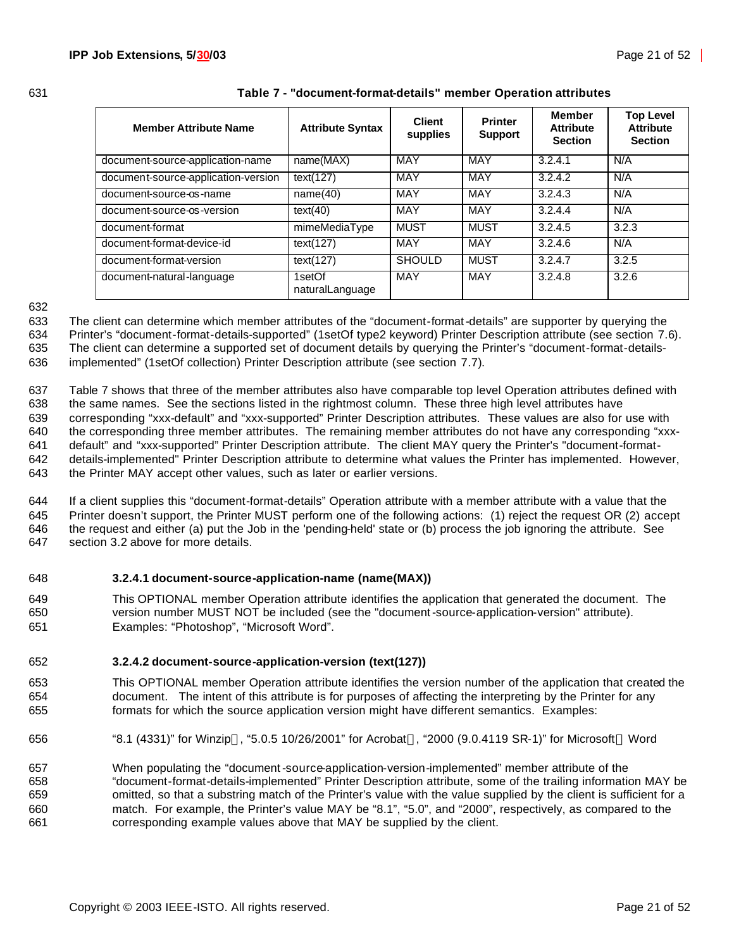| <b>Member Attribute Name</b>        | <b>Attribute Syntax</b>   | <b>Client</b><br>supplies | <b>Printer</b><br><b>Support</b> | Member<br><b>Attribute</b><br><b>Section</b> | <b>Top Level</b><br><b>Attribute</b><br><b>Section</b> |
|-------------------------------------|---------------------------|---------------------------|----------------------------------|----------------------------------------------|--------------------------------------------------------|
| document-source-application-name    | name(MAX)                 | MAY                       | MAY                              | 3.2.4.1                                      | N/A                                                    |
| document-source-application-version | text(127)                 | MAY                       | <b>MAY</b>                       | 3.2.4.2                                      | N/A                                                    |
| document-source-os-name             | name(40)                  | MAY                       | MAY                              | 3.2.4.3                                      | N/A                                                    |
| document-source-os-version          | text(40)                  | MAY                       | <b>MAY</b>                       | 3.2.4.4                                      | N/A                                                    |
| document-format                     | mimeMediaType             | <b>MUST</b>               | <b>MUST</b>                      | 3.2.4.5                                      | 3.2.3                                                  |
| document-format-device-id           | text(127)                 | MAY                       | <b>MAY</b>                       | 3.2.4.6                                      | N/A                                                    |
| document-format-version             | text(127)                 | <b>SHOULD</b>             | <b>MUST</b>                      | 3.2.4.7                                      | 3.2.5                                                  |
| document-natural-language           | 1setOf<br>naturalLanguage | MAY                       | MAY                              | 3.2.4.8                                      | 3.2.6                                                  |

#### 631 **Table 7 - "document-format-details" member Operation attributes**

632

633 The client can determine which member attributes of the "document-format-details" are supporter by querying the

634 Printer's "document-format-details-supported" (1setOf type2 keyword) Printer Description attribute (see section 7.6).

635 The client can determine a supported set of document details by querying the Printer's "document-format-details-636 implemented" (1setOf collection) Printer Description attribute (see section 7.7).

 Table 7 shows that three of the member attributes also have comparable top level Operation attributes defined with the same names. See the sections listed in the rightmost column. These three high level attributes have corresponding "xxx-default" and "xxx-supported" Printer Description attributes. These values are also for use with the corresponding three member attributes. The remaining member attributes do not have any corresponding "xxx- default" and "xxx-supported" Printer Description attribute. The client MAY query the Printer's "document-format- details-implemented" Printer Description attribute to determine what values the Printer has implemented. However, the Printer MAY accept other values, such as later or earlier versions.

 If a client supplies this "document-format-details" Operation attribute with a member attribute with a value that the Printer doesn't support, the Printer MUST perform one of the following actions: (1) reject the request OR (2) accept the request and either (a) put the Job in the 'pending-held' state or (b) process the job ignoring the attribute. See section 3.2 above for more details.

- 648 **3.2.4.1 document-source-application-name (name(MAX))**
- 649 This OPTIONAL member Operation attribute identifies the application that generated the document. The 650 version number MUST NOT be included (see the "document-source-application-version" attribute). 651 Examples: "Photoshop", "Microsoft Word".
- 652 **3.2.4.2 document-source-application-version (text(127))**
- 653 This OPTIONAL member Operation attribute identifies the version number of the application that created the 654 document. The intent of this attribute is for purposes of affecting the interpreting by the Printer for any 655 formats for which the source application version might have different semantics. Examples:
- 656 "8.1 (4331)" for Winzip®, "5.0.5 10/26/2001" for Acrobat®, "2000 (9.0.4119 SR-1)" for Microsoft® Word

 When populating the "document-source-application-version-implemented" member attribute of the "document-format-details-implemented" Printer Description attribute, some of the trailing information MAY be omitted, so that a substring match of the Printer's value with the value supplied by the client is sufficient for a match. For example, the Printer's value MAY be "8.1", "5.0", and "2000", respectively, as compared to the corresponding example values above that MAY be supplied by the client.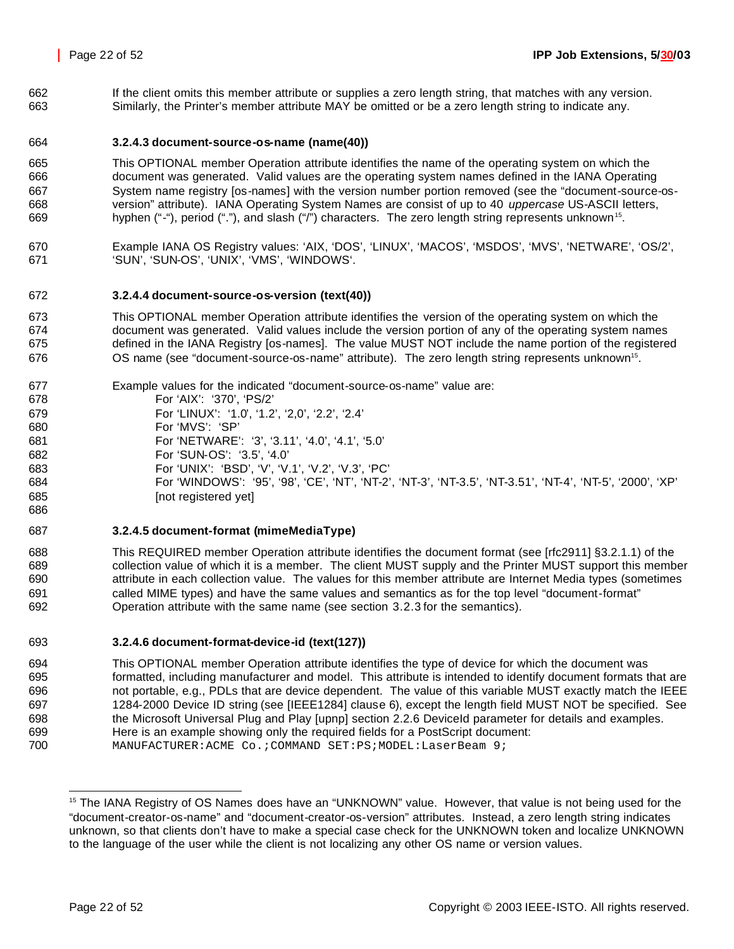If the client omits this member attribute or supplies a zero length string, that matches with any version. Similarly, the Printer's member attribute MAY be omitted or be a zero length string to indicate any.

#### **3.2.4.3 document-source-os-name (name(40))**

 This OPTIONAL member Operation attribute identifies the name of the operating system on which the document was generated. Valid values are the operating system names defined in the IANA Operating System name registry [os-names] with the version number portion removed (see the "document-source-os- version" attribute). IANA Operating System Names are consist of up to 40 *uppercase* US-ASCII letters, hyphen ("-"), period ("."), and slash ("/") characters. The zero length string represents unknown<sup>15</sup>.

 Example IANA OS Registry values: 'AIX, 'DOS', 'LINUX', 'MACOS', 'MSDOS', 'MVS', 'NETWARE', 'OS/2', 'SUN', 'SUN-OS', 'UNIX', 'VMS', 'WINDOWS'.

#### **3.2.4.4 document-source-os-version (text(40))**

 This OPTIONAL member Operation attribute identifies the version of the operating system on which the document was generated. Valid values include the version portion of any of the operating system names defined in the IANA Registry [os-names]. The value MUST NOT include the name portion of the registered **OS name (see "document-source-os-name" attribute).** The zero length string represents unknown<sup>15</sup>.

 Example values for the indicated "document-source-os-name" value are: For 'AIX': '370', 'PS/2' For 'LINUX': '1.0', '1.2', '2,0', '2.2', '2.4' For 'MVS': 'SP' For 'NETWARE': '3', '3.11', '4.0', '4.1', '5.0' For 'SUN-OS': '3.5', '4.0' For 'UNIX': 'BSD', 'V', 'V.1', 'V.2', 'V.3', 'PC' For 'WINDOWS': '95', '98', 'CE', 'NT', 'NT-2', 'NT-3', 'NT-3.5', 'NT-3.51', 'NT-4', 'NT-5', '2000', 'XP' **Inot registered yet** 

#### **3.2.4.5 document-format (mimeMediaType)**

 This REQUIRED member Operation attribute identifies the document format (see [rfc2911] §3.2.1.1) of the collection value of which it is a member. The client MUST supply and the Printer MUST support this member attribute in each collection value. The values for this member attribute are Internet Media types (sometimes called MIME types) and have the same values and semantics as for the top level "document-format" Operation attribute with the same name (see section 3.2.3 for the semantics).

#### **3.2.4.6 document-format-device-id (text(127))**

 This OPTIONAL member Operation attribute identifies the type of device for which the document was formatted, including manufacturer and model. This attribute is intended to identify document formats that are not portable, e.g., PDLs that are device dependent. The value of this variable MUST exactly match the IEEE 1284-2000 Device ID string (see [IEEE1284] clause 6), except the length field MUST NOT be specified. See the Microsoft Universal Plug and Play [upnp] section 2.2.6 DeviceId parameter for details and examples. Here is an example showing only the required fields for a PostScript document: 700 MANUFACTURER:ACME Co.; COMMAND SET:PS; MODEL: LaserBeam 9;

<sup>&</sup>lt;sup>15</sup> The IANA Registry of OS Names does have an "UNKNOWN" value. However, that value is not being used for the "document-creator-os-name" and "document-creator-os-version" attributes. Instead, a zero length string indicates unknown, so that clients don't have to make a special case check for the UNKNOWN token and localize UNKNOWN to the language of the user while the client is not localizing any other OS name or version values.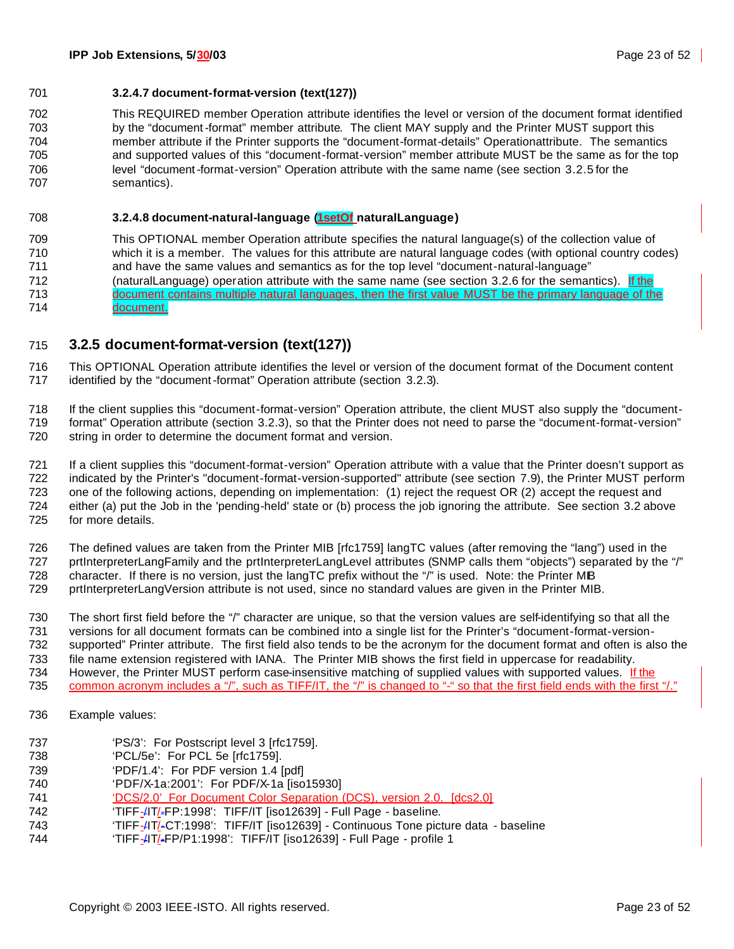#### **3.2.4.7 document-format-version (text(127))**

 This REQUIRED member Operation attribute identifies the level or version of the document format identified by the "document-format" member attribute. The client MAY supply and the Printer MUST support this member attribute if the Printer supports the "document-format-details" Operationattribute. The semantics and supported values of this "document-format-version" member attribute MUST be the same as for the top level "document-format-version" Operation attribute with the same name (see section 3.2.5 for the semantics).

#### **3.2.4.8 document-natural-language (1setOf naturalLanguage)**

 This OPTIONAL member Operation attribute specifies the natural language(s) of the collection value of which it is a member. The values for this attribute are natural language codes (with optional country codes) and have the same values and semantics as for the top level "document-natural-language" (naturalLanguage) operation attribute with the same name (see section 3.2.6 for the semantics). If the document contains multiple natural languages, then the first value MUST be the primary language of the document.

#### **3.2.5 document-format-version (text(127))**

 This OPTIONAL Operation attribute identifies the level or version of the document format of the Document content identified by the "document-format" Operation attribute (section 3.2.3).

 If the client supplies this "document-format-version" Operation attribute, the client MUST also supply the "document- format" Operation attribute (section 3.2.3), so that the Printer does not need to parse the "document-format-version" string in order to determine the document format and version.

 If a client supplies this "document-format-version" Operation attribute with a value that the Printer doesn't support as indicated by the Printer's "document-format-version-supported" attribute (see section 7.9), the Printer MUST perform one of the following actions, depending on implementation: (1) reject the request OR (2) accept the request and either (a) put the Job in the 'pending-held' state or (b) process the job ignoring the attribute. See section 3.2 above for more details.

 The defined values are taken from the Printer MIB [rfc1759] langTC values (after removing the "lang") used in the prtInterpreterLangFamily and the prtInterpreterLangLevel attributes (SNMP calls them "objects") separated by the "/" character. If there is no version, just the langTC prefix without the "/" is used. Note: the Printer MIB prtInterpreterLangVersion attribute is not used, since no standard values are given in the Printer MIB.

 The short first field before the "/" character are unique, so that the version values are self-identifying so that all the versions for all document formats can be combined into a single list for the Printer's "document-format-version- supported" Printer attribute. The first field also tends to be the acronym for the document format and often is also the file name extension registered with IANA. The Printer MIB shows the first field in uppercase for readability. 734 However, the Printer MUST perform case-insensitive matching of supplied values with supported values. If the common acronym includes a "/", such as TIFF/IT, the "/" is changed to "-" so that the first field ends with the first "/."

- Example values:
- 737 'PS/3': For Postscript level 3 [rfc1759].
- 'PCL/5e': For PCL 5e [rfc1759].
- 'PDF/1.4': For PDF version 1.4 [pdf]
- 'PDF/X-1a:2001': For PDF/X-1a [iso15930]
- 741 'DCS/2.0' For Document Color Separation (DCS), version 2.0. [dcs2.0]
- 'TIFF-/IT/-FP:1998': TIFF/IT [iso12639] Full Page baseline.
- 'TIFF-/IT/-CT:1998': TIFF/IT [iso12639] Continuous Tone picture data baseline
- 'TIFF-/IT/-FP/P1:1998': TIFF/IT [iso12639] Full Page profile 1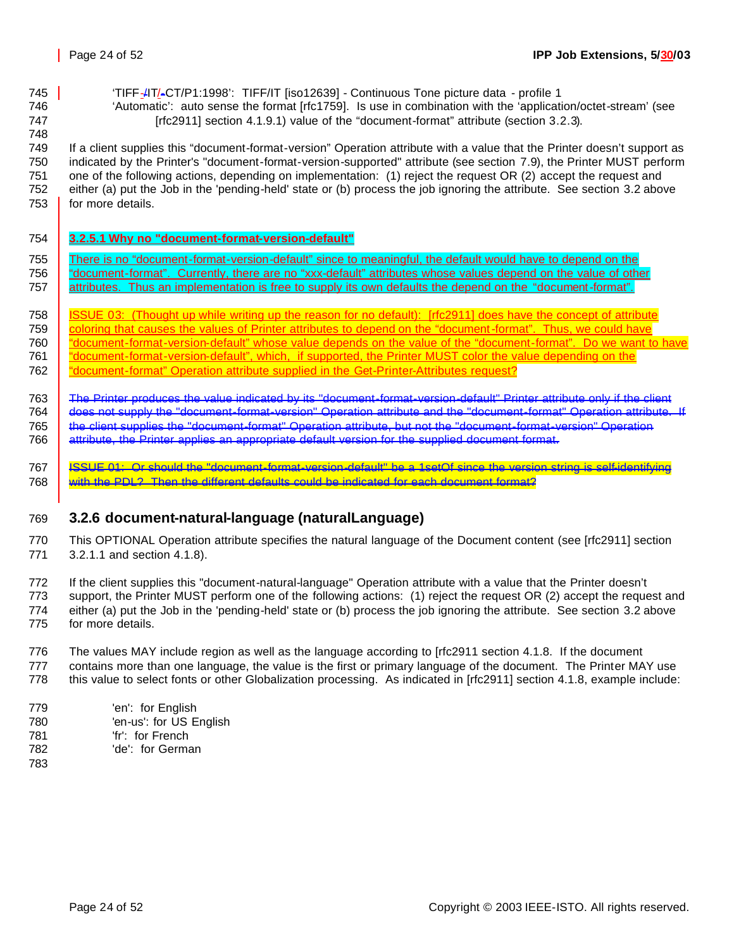'TIFF-/IT/-CT/P1:1998': TIFF/IT [iso12639] - Continuous Tone picture data - profile 1

 'Automatic': auto sense the format [rfc1759]. Is use in combination with the 'application/octet-stream' (see **IFFC2911** section 4.1.9.1) value of the "document-format" attribute (section 3.2.3).

 If a client supplies this "document-format-version" Operation attribute with a value that the Printer doesn't support as indicated by the Printer's "document-format-version-supported" attribute (see section 7.9), the Printer MUST perform one of the following actions, depending on implementation: (1) reject the request OR (2) accept the request and either (a) put the Job in the 'pending-held' state or (b) process the job ignoring the attribute. See section 3.2 above 753 for more details.

- **3.2.5.1 Why no "document-format-version-default"**
- 755 There is no "document-format-version-default" since to meaningful, the default would have to depend on the 756 | "document-format". Currently, there are no "xxx-default" attributes whose values depend on the value of other 757 attributes. Thus an implementation is free to supply its own defaults the depend on the "document-format".
- ISSUE 03: (Thought up while writing up the reason for no default): [rfc2911] does have the concept of attribute 759 coloring that causes the values of Printer attributes to depend on the "document-format". Thus, we could have 760 <u>"document-format-version-default" whose value depends on the value of the "document-format". Do we want to have</u> 761 | "document-format-version-default", which, if supported, the Printer MUST color the value depending on the
- 762 | "document-format" Operation attribute supplied in the Get-Printer-Attributes request?
- The Printer produces the value indicated by its "document-format-version-default" Printer attribute only if the client does not supply the "document-format-version" Operation attribute and the "document-format" Operation attribute. If
- the client supplies the "document-format" Operation attribute, but not the "document-format-version" Operation
- attribute, the Printer applies an appropriate default version for the supplied document format.
- ISSUE 01: Or should the "document-format-version-default" be a 1setOf since the version string is self-identifying with the PDL? Then the different defaults could be indicated for each document format?

### **3.2.6 document-natural-language (naturalLanguage)**

- This OPTIONAL Operation attribute specifies the natural language of the Document content (see [rfc2911] section 3.2.1.1 and section 4.1.8).
- If the client supplies this "document-natural-language" Operation attribute with a value that the Printer doesn't support, the Printer MUST perform one of the following actions: (1) reject the request OR (2) accept the request and either (a) put the Job in the 'pending-held' state or (b) process the job ignoring the attribute. See section 3.2 above for more details.
- The values MAY include region as well as the language according to [rfc2911 section 4.1.8. If the document contains more than one language, the value is the first or primary language of the document. The Printer MAY use this value to select fonts or other Globalization processing. As indicated in [rfc2911] section 4.1.8, example include:
- 779 'en': for English 'en-us': for US English 'fr': for French
- 'de': for German
-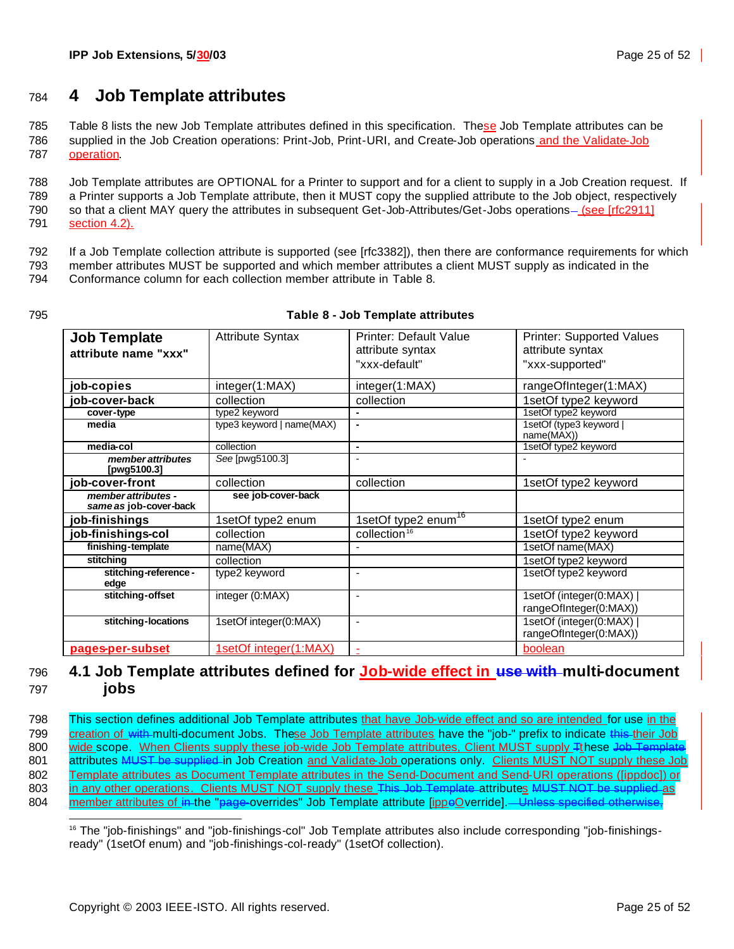## <sup>784</sup> **4 Job Template attributes**

785 Table 8 lists the new Job Template attributes defined in this specification. These Job Template attributes can be 786 supplied in the Job Creation operations: Print-Job, Print-URI, and Create-Job operations and the Validate-Job 787 operation.

 Job Template attributes are OPTIONAL for a Printer to support and for a client to supply in a Job Creation request. If a Printer supports a Job Template attribute, then it MUST copy the supplied attribute to the Job object, respectively 790 so that a client MAY query the attributes in subsequent Get-Job-Attributes/Get-Jobs operations-(see [rfc2911] section 4.2).

- 792 If a Job Template collection attribute is supported (see [rfc3382]), then there are conformance requirements for which
- 793 member attributes MUST be supported and which member attributes a client MUST supply as indicated in the
- 794 Conformance column for each collection member attribute in Table 8.
- 

#### 795 **Table 8 - Job Template attributes**

| <b>Job Template</b>                           | <b>Attribute Syntax</b>   | <b>Printer: Default Value</b>   | <b>Printer: Supported Values</b>                 |
|-----------------------------------------------|---------------------------|---------------------------------|--------------------------------------------------|
| attribute name "xxx"                          |                           | attribute syntax                | attribute syntax                                 |
|                                               |                           | "xxx-default"                   | "xxx-supported"                                  |
| job-copies                                    | integer(1:MAX)            | integer(1:MAX)                  | rangeOfInteger(1:MAX)                            |
| job-cover-back                                | collection                | collection                      | 1setOf type2 keyword                             |
| cover-type                                    | type2 keyword             |                                 | 1setOf type2 keyword                             |
| media                                         | type3 keyword   name(MAX) |                                 | 1setOf (type3 keyword  <br>name(MAX))            |
| media-col                                     | collection                | $\blacksquare$                  | 1setOf type2 keyword                             |
| member attributes<br>[pwg5100.3]              | See [pwg5100.3]           |                                 |                                                  |
| job-cover-front                               | collection                | collection                      | 1setOf type2 keyword                             |
| member attributes -<br>same as job-cover-back | see job-cover-back        |                                 |                                                  |
| job-finishings                                | 1setOf type2 enum         | 1setOf type2 enum <sup>16</sup> | 1setOf type2 enum                                |
| job-finishings-col                            | collection                | collection <sup>16</sup>        | 1setOf type2 keyword                             |
| finishing-template                            | name(MAX)                 |                                 | 1setOf name(MAX)                                 |
| stitching                                     | collection                |                                 | 1setOf type2 keyword                             |
| stitching-reference -<br>edge                 | type2 keyword             | $\blacksquare$                  | 1setOf type2 keyword                             |
| stitching-offset                              | integer (0:MAX)           | $\overline{\phantom{a}}$        | 1setOf (integer(0:MAX)<br>rangeOfInteger(0:MAX)) |
| stitching-locations                           | 1setOf integer(0:MAX)     | $\blacksquare$                  | 1setOf (integer(0:MAX)<br>rangeOfInteger(0:MAX)) |
| pages-per-subset                              | 1setOf integer(1:MAX)     |                                 | boolean                                          |

### 796 **4.1 Job Template attributes defined for Job-wide effect in use with multi-document**  797 **jobs**

798 This section defines additional Job Template attributes that have Job-wide effect and so are intended for use in the 799 creation of with multi-document Jobs. These Job Template attributes have the "job-" prefix to indicate this their Job 800 wide scope. When Clients supply these job-wide Job Template attributes, Client MUST supply Tthese Job Templat 801 attributes MUST be supplied in Job Creation and Validate Job operations only. Clients MUST NOT supply these Job 802 Template attributes as Document Template attributes in the Send-Document and Send-URI operations ([ippdoc]) or 803 in any other operations. Clients MUST NOT supply these This Job Template attributes MUST NOT be supplied as 804 member attributes of in the "page-overrides" Job Template attribute [ippoOverride]. Unless specified otherwise,

 <sup>16</sup> The "job-finishings" and "job-finishings-col" Job Template attributes also include corresponding "job-finishingsready" (1setOf enum) and "job-finishings-col-ready" (1setOf collection).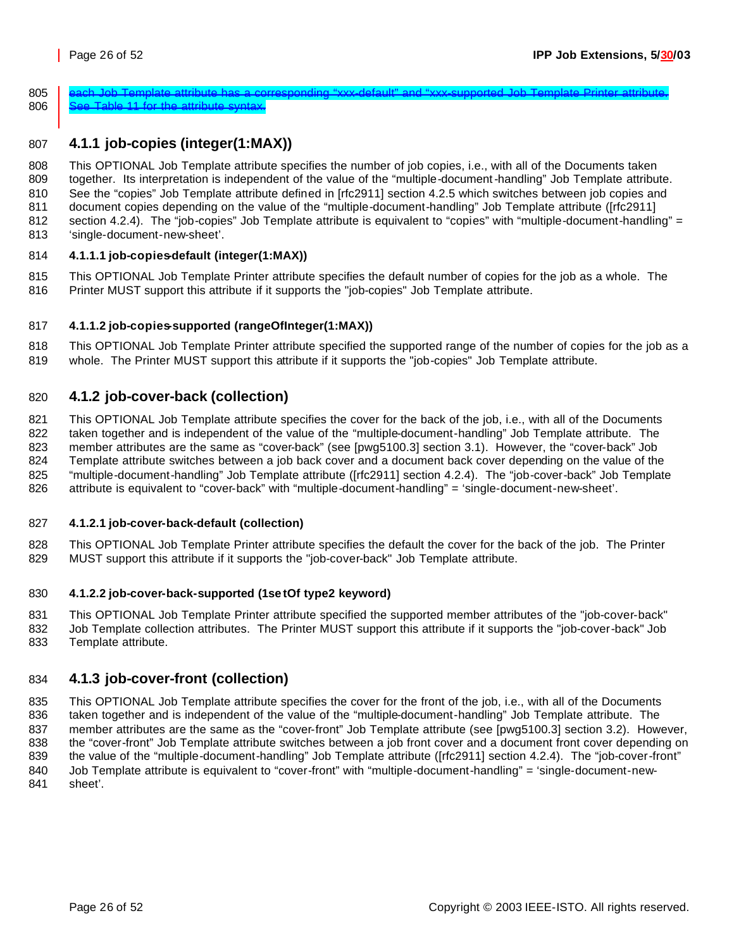$\,$  each Job Template attribute has a corresponding "xxx-default" and "xxx-supported Job Template Printer attribute. 806 See Table 11 for the attribute syntax.

### **4.1.1 job-copies (integer(1:MAX))**

 This OPTIONAL Job Template attribute specifies the number of job copies, i.e., with all of the Documents taken together. Its interpretation is independent of the value of the "multiple-document-handling" Job Template attribute. See the "copies" Job Template attribute defined in [rfc2911] section 4.2.5 which switches between job copies and document copies depending on the value of the "multiple-document-handling" Job Template attribute ([rfc2911] section 4.2.4). The "job-copies" Job Template attribute is equivalent to "copies" with "multiple-document-handling" = 'single-document-new-sheet'.

#### **4.1.1.1 job-copies-default (integer(1:MAX))**

 This OPTIONAL Job Template Printer attribute specifies the default number of copies for the job as a whole. The Printer MUST support this attribute if it supports the "job-copies" Job Template attribute.

#### **4.1.1.2 job-copies-supported (rangeOfInteger(1:MAX))**

 This OPTIONAL Job Template Printer attribute specified the supported range of the number of copies for the job as a whole. The Printer MUST support this attribute if it supports the "job-copies" Job Template attribute.

### **4.1.2 job-cover-back (collection)**

821 This OPTIONAL Job Template attribute specifies the cover for the back of the job, i.e., with all of the Documents taken together and is independent of the value of the "multiple-document-handling" Job Template attribute. The member attributes are the same as "cover-back" (see [pwg5100.3] section 3.1). However, the "cover-back" Job Template attribute switches between a job back cover and a document back cover depending on the value of the "multiple-document-handling" Job Template attribute ([rfc2911] section 4.2.4). The "job-cover-back" Job Template attribute is equivalent to "cover-back" with "multiple-document-handling" = 'single-document-new-sheet'.

#### **4.1.2.1 job-cover-back-default (collection)**

 This OPTIONAL Job Template Printer attribute specifies the default the cover for the back of the job. The Printer MUST support this attribute if it supports the "job-cover-back" Job Template attribute.

#### **4.1.2.2 job-cover-back-supported (1se tOf type2 keyword)**

 This OPTIONAL Job Template Printer attribute specified the supported member attributes of the "job-cover-back" Job Template collection attributes. The Printer MUST support this attribute if it supports the "job-cover-back" Job Template attribute.

### **4.1.3 job-cover-front (collection)**

 This OPTIONAL Job Template attribute specifies the cover for the front of the job, i.e., with all of the Documents taken together and is independent of the value of the "multiple-document-handling" Job Template attribute. The member attributes are the same as the "cover-front" Job Template attribute (see [pwg5100.3] section 3.2). However, the "cover-front" Job Template attribute switches between a job front cover and a document front cover depending on the value of the "multiple-document-handling" Job Template attribute ([rfc2911] section 4.2.4). The "job-cover-front" Job Template attribute is equivalent to "cover-front" with "multiple-document-handling" = 'single-document-new-sheet'.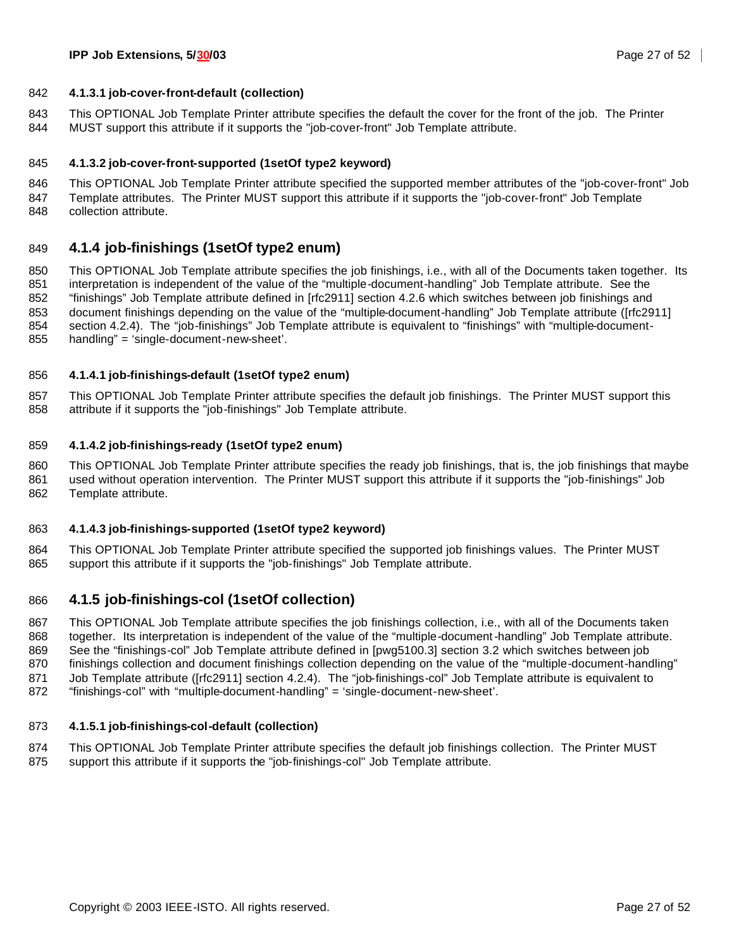#### **4.1.3.1 job-cover-front-default (collection)**

 This OPTIONAL Job Template Printer attribute specifies the default the cover for the front of the job. The Printer MUST support this attribute if it supports the "job-cover-front" Job Template attribute.

#### **4.1.3.2 job-cover-front-supported (1setOf type2 keyword)**

 This OPTIONAL Job Template Printer attribute specified the supported member attributes of the "job-cover-front" Job Template attributes. The Printer MUST support this attribute if it supports the "job-cover-front" Job Template collection attribute.

#### **4.1.4 job-finishings (1setOf type2 enum)**

 This OPTIONAL Job Template attribute specifies the job finishings, i.e., with all of the Documents taken together. Its interpretation is independent of the value of the "multiple-document-handling" Job Template attribute. See the "finishings" Job Template attribute defined in [rfc2911] section 4.2.6 which switches between job finishings and document finishings depending on the value of the "multiple-document-handling" Job Template attribute ([rfc2911] section 4.2.4). The "job-finishings" Job Template attribute is equivalent to "finishings" with "multiple-document-handling" = 'single-document-new-sheet'.

#### **4.1.4.1 job-finishings-default (1setOf type2 enum)**

 This OPTIONAL Job Template Printer attribute specifies the default job finishings. The Printer MUST support this attribute if it supports the "job-finishings" Job Template attribute.

#### **4.1.4.2 job-finishings-ready (1setOf type2 enum)**

 This OPTIONAL Job Template Printer attribute specifies the ready job finishings, that is, the job finishings that maybe used without operation intervention. The Printer MUST support this attribute if it supports the "job-finishings" Job Template attribute.

#### **4.1.4.3 job-finishings-supported (1setOf type2 keyword)**

 This OPTIONAL Job Template Printer attribute specified the supported job finishings values. The Printer MUST support this attribute if it supports the "job-finishings" Job Template attribute.

#### **4.1.5 job-finishings-col (1setOf collection)**

 This OPTIONAL Job Template attribute specifies the job finishings collection, i.e., with all of the Documents taken together. Its interpretation is independent of the value of the "multiple-document-handling" Job Template attribute. See the "finishings-col" Job Template attribute defined in [pwg5100.3] section 3.2 which switches between job finishings collection and document finishings collection depending on the value of the "multiple-document-handling" 871 Job Template attribute ([rfc2911] section 4.2.4). The "job-finishings-col" Job Template attribute is equivalent to "finishings-col" with "multiple-document-handling" = 'single-document-new-sheet'.

#### **4.1.5.1 job-finishings-col-default (collection)**

 This OPTIONAL Job Template Printer attribute specifies the default job finishings collection. The Printer MUST support this attribute if it supports the "job-finishings-col" Job Template attribute.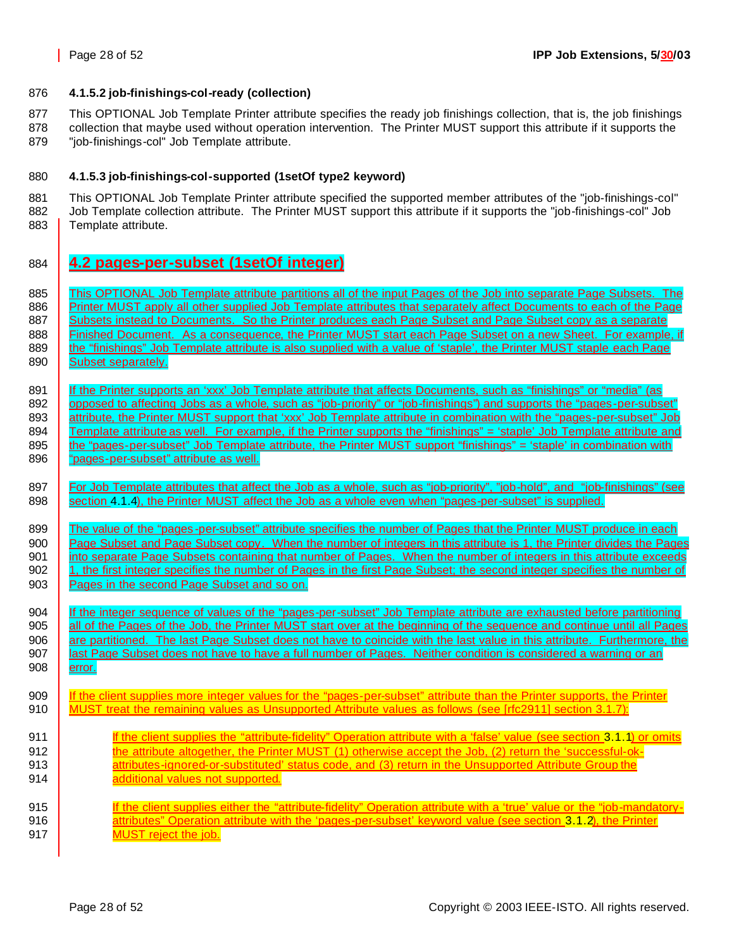#### 876 **4.1.5.2 job-finishings-col-ready (collection)**

877 This OPTIONAL Job Template Printer attribute specifies the ready job finishings collection, that is, the job finishings

878 collection that maybe used without operation intervention. The Printer MUST support this attribute if it supports the 879 "job-finishings-col" Job Template attribute.

#### 880 **4.1.5.3 job-finishings-col-supported (1setOf type2 keyword)**

881 This OPTIONAL Job Template Printer attribute specified the supported member attributes of the "job-finishings-col" 882 Job Template collection attribute. The Printer MUST support this attribute if it supports the "job-finishings-col" Job 883 | Template attribute.

884 **4.2 pages-per-subset (1setOf integer)**

885 This OPTIONAL Job Template attribute partitions all of the input Pages of the Job into separate Page Subsets. The 886 **Printer MUST apply all other supplied Job Template attributes that separately affect Documents to each of the Page** 887 Subsets instead to Documents. So the Printer produces each Page Subset and Page Subset copy as a separate 888 Finished Document. As a consequence, the Printer MUST start each Page Subset on a new Sheet. For example, if 889 the "finishings" Job Template attribute is also supplied with a value of 'staple', the Printer MUST staple each Page 890 | Subset separately. 891 If the Printer supports an 'xxx' Job Template attribute that affects Documents, such as "finishings" or "media" (as 892 opposed to affecting Jobs as a whole, such as "job-priority" or "job-finishings") and supports the "pages-per-subset" 893 attribute, the Printer MUST support that 'xxx' Job Template attribute in combination with the "pages-per-subset" Job 894 Template attribute as well. For example, if the Printer supports the "finishings" = 'staple' Job Template attribute and 895 the "pages-per-subset" Job Template attribute, the Printer MUST support "finishings" = 'staple' in combination with 896 | "pages-per-subset" attribute as well. 897 | For Job Template attributes that affect the Job as a whole, such as "job-priority", "job-hold", and "job-finishings" (see 898 section 4.1.4), the Printer MUST affect the Job as a whole even when "pages-per-subset" is supplied. 899 The value of the "pages-per-subset" attribute specifies the number of Pages that the Printer MUST produce in each 900 **Page Subset and Page Subset copy.** When the number of integers in this attribute is 1, the Printer divides the Pages 901 into separate Page Subsets containing that number of Pages. When the number of integers in this attribute exceeds 902 1, the first integer specifies the number of Pages in the first Page Subset; the second integer specifies the number of 903 **Pages in the second Page Subset and so on.** 904 If the integer sequence of values of the "pages-per-subset" Job Template attribute are exhausted before partitioning 905 all of the Pages of the Job, the Printer MUST start over at the beginning of the sequence and continue until all Pages 906 are partitioned. The last Page Subset does not have to coincide with the last value in this attribute. Furthermore, the 907 **last Page Subset does not have to have a full number of Pages. Neither condition is considered a warning or an** 908 | error. 909 | If the client supplies more integer values for the "pages-per-subset" attribute than the Printer supports, the Printer 910 MUST treat the remaining values as Unsupported Attribute values as follows (see [rfc2911] section 3.1.7): 911 **If the client supplies the "attribute-fidelity" Operation attribute with a 'false' value (see section 3.1.1) or omits** 912 **the attribute altogether, the Printer MUST** (1) otherwise accept the Job, (2) return the 'successful-ok-913 **attributes-ignored-or-substituted' status code, and (3) return in the Unsupported Attribute Group the** 914 **additional values not supported.** 915 **If the client supplies either the "attribute-fidelity" Operation attribute with a 'true' value or the "job-mandatory-**916 **attributes**" Operation attribute with the 'pages-per-subset' keyword value (see section 3.1.2), the Printer 917 | MUST reject the job.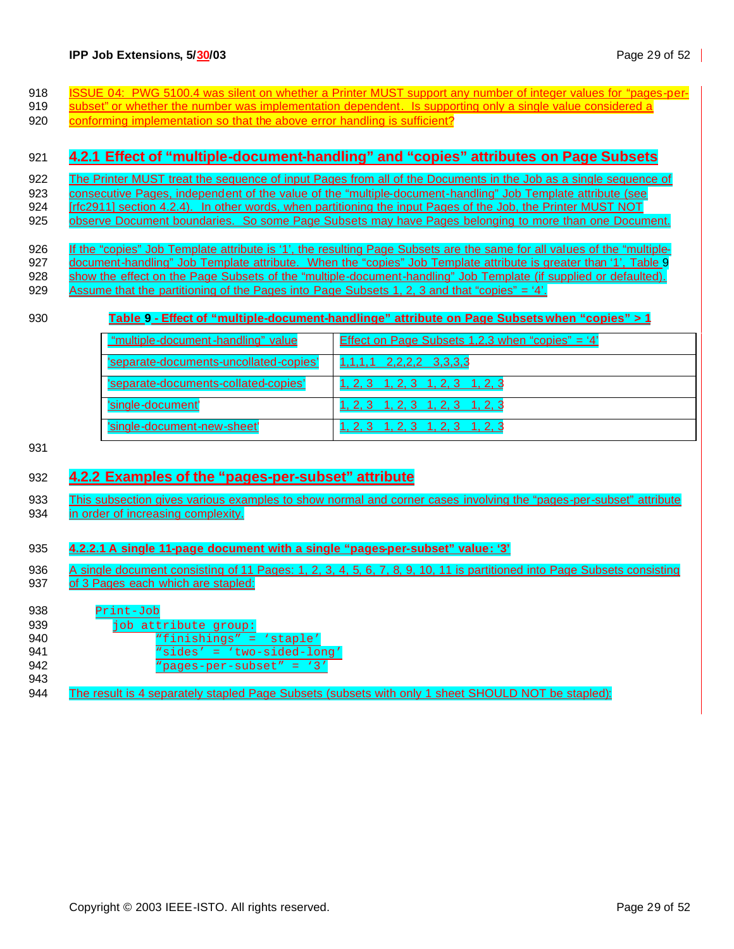- 918 **ISSUE 04: PWG 5100.4 was silent on whether a Printer MUST support any number of integer values for "pages-per-**
- 919 subset" or whether the number was implementation dependent. Is supporting only a single value considered a
- 920 conforming implementation so that the above error handling is sufficient?

#### 921 **4.2.1 Effect of "multiple-document-handling" and "copies" attributes on Page Subsets**

- 922 The Printer MUST treat the sequence of input Pages from all of the Documents in the Job as a single sequence of
- 923 consecutive Pages, independent of the value of the "multiple-document-handling" Job Template attribute (see
- 924 **[rfc2911] section 4.2.4).** In other words, when partitioning the input Pages of the Job, the Printer MUST NOT
- 925 observe Document boundaries. So some Page Subsets may have Pages belonging to more than one Document.
- 926 If the "copies" Job Template attribute is '1', the resulting Page Subsets are the same for all values of the "multiple-927 document-handling" Job Template attribute. When the "copies" Job Template attribute is greater than '1', Table 9 928 show the effect on the Page Subsets of the "multiple-document-handling" Job Template (if supplied or defaulted).
- 929 Assume that the partitioning of the Pages into Page Subsets 1, 2, 3 and that "copies" = '4'.

#### 930 **Table 9 - Effect of "multiple-document-handlinge" attribute on Page Subsets when "copies" > 1**

| "multiple-document-handling" value     | <u>Effect on Page Subsets 1,2,3 when "copies" = '4'</u> |
|----------------------------------------|---------------------------------------------------------|
| 'separate-documents-uncollated-copies' | $1,1,1,1$ $2,2,2,2$ $3,3,3,3$                           |
| 'separate-documents-collated-copies'   | <u>1, 2, 3 1, 2, 3 1, 2, 3 1, 2, 3</u>                  |
| 'single-document'                      | <u>1, 2, 3 1, 2, 3 1, 2, 3 1, 2, 3</u>                  |
| 'single-document-new-sheet'            | $1, 2, 3$ 1, 2, 3 1, 2, 3 1, 2, 3                       |

931

### 932 **4.2.2 Examples of the "pages-per-subset" attribute**

- 933 This subsection gives various examples to show normal and corner cases involving the "pages-per-subset" attribute 934 in order of increasing complexity.
- 935 **4.2.2.1 A single 11-page document with a single "pages-per-subset" value: '3'**
- 936 A single document consisting of 11 Pages: 1, 2, 3, 4, 5, 6, 7, 8, 9, 10, 11 is partitioned into Page Subsets consisting 937 of 3 Pages each which are stapled:

| 938 | Print-Job                                                                                          |
|-----|----------------------------------------------------------------------------------------------------|
| 939 | job attribute group:                                                                               |
| 940 | "finishings" = 'staple'                                                                            |
| 941 | "sides' = 'two-sided-long'                                                                         |
| 942 | "pages-per-subset" = $'3'$                                                                         |
| 943 |                                                                                                    |
| 944 | The result is 4 separately stapled Page Subsets (subsets with only 1 sheet SHOULD NOT be stapled): |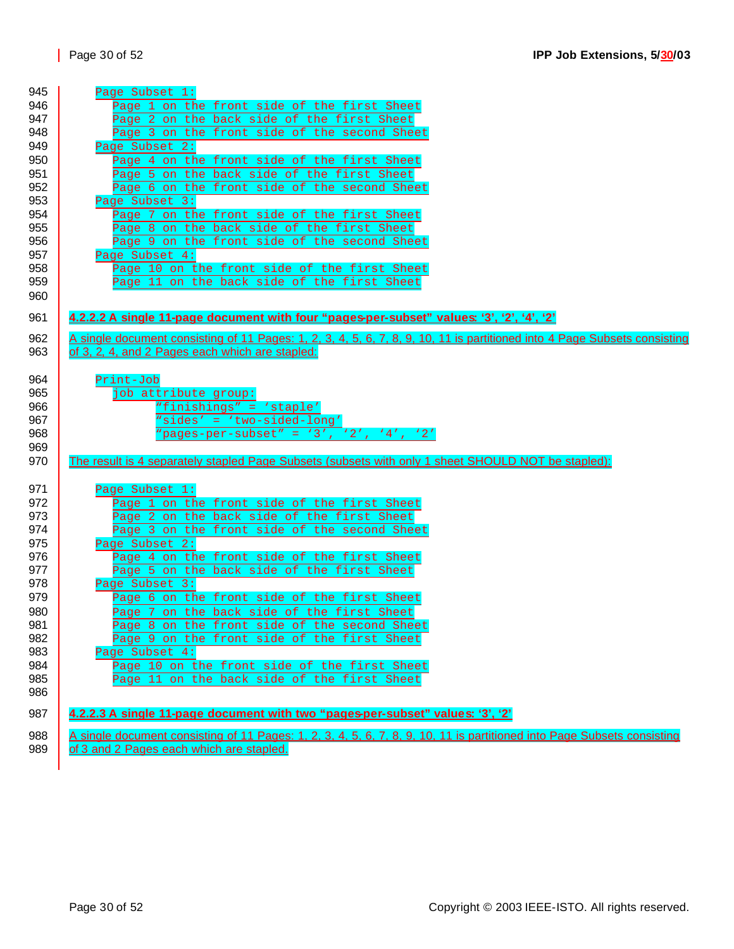| 945 | Page Subset 1:                                                                                                            |
|-----|---------------------------------------------------------------------------------------------------------------------------|
| 946 | Page 1 on the front side of the first Sheet                                                                               |
| 947 | Page 2 on the back side of the first Sheet                                                                                |
| 948 | Page 3 on the front side of the second Sheet                                                                              |
| 949 | Page Subset 2:                                                                                                            |
| 950 | Page 4 on the front side of the first Sheet                                                                               |
| 951 | Page 5 on the back side of the first Sheet                                                                                |
| 952 | Page 6 on the front side of the second Sheet                                                                              |
| 953 | Page Subset 3:                                                                                                            |
| 954 | Page 7 on the front side of the first Sheet                                                                               |
| 955 | Page 8 on the back side of the first Sheet                                                                                |
| 956 | Page 9 on the front side of the second Sheet                                                                              |
| 957 | Page Subset 4:                                                                                                            |
| 958 | Page 10 on the front side of the first Sheet                                                                              |
| 959 | Page 11 on the back side of the first Sheet                                                                               |
| 960 |                                                                                                                           |
|     |                                                                                                                           |
| 961 | 4.2.2.2 A single 11-page document with four "pages-per-subset" values: '3', '2', '4', '2'                                 |
| 962 | A single document consisting of 11 Pages: 1, 2, 3, 4, 5, 6, 7, 8, 9, 10, 11 is partitioned into 4 Page Subsets consisting |
| 963 | of 3, 2, 4, and 2 Pages each which are stapled:                                                                           |
|     |                                                                                                                           |
| 964 | Print-Job                                                                                                                 |
| 965 | job attribute group:                                                                                                      |
| 966 | "finishings" = 'staple'                                                                                                   |
| 967 | "sides' = 'two-sided-long'                                                                                                |
| 968 | "pages-per-subset" = '3', '2', '4', '2'                                                                                   |
| 969 |                                                                                                                           |
| 970 | The result is 4 separately stapled Page Subsets (subsets with only 1 sheet SHOULD NOT be stapled):                        |
|     |                                                                                                                           |
| 971 | Page Subset 1:                                                                                                            |
| 972 | Page 1 on the front side of the first Sheet                                                                               |
| 973 | Page 2 on the back side of the first Sheet                                                                                |
| 974 | Page 3 on the front side of the second Sheet                                                                              |
| 975 | Page Subset 2:                                                                                                            |
| 976 | Page 4 on the front side of the first Sheet                                                                               |
| 977 | Page 5 on the back side of the first Sheet                                                                                |
| 978 | Page Subset 3:                                                                                                            |
| 979 | Page 6 on the front side of the first Sheet                                                                               |
| 980 | Page 7 on the back side of the first Sheet                                                                                |
| 981 | Page 8 on the front side of the second Sheet                                                                              |
| 982 | Page 9 on the front side of the first Sheet                                                                               |
| 983 | Page Subset 4:                                                                                                            |
|     |                                                                                                                           |
| 984 | Page 10 on the front side of the first Sheet                                                                              |
| 985 | Page 11 on the back side of the first Sheet                                                                               |
| 986 |                                                                                                                           |
| 987 | 4.2.2.3 A single 11-page document with two "pages-per-subset" values: '3', '2'                                            |
|     |                                                                                                                           |
| 988 | A single document consisting of 11 Pages: 1, 2, 3, 4, 5, 6, 7, 8, 9, 10, 11 is partitioned into Page Subsets consisting   |
| 989 | of 3 and 2 Pages each which are stapled.                                                                                  |
|     |                                                                                                                           |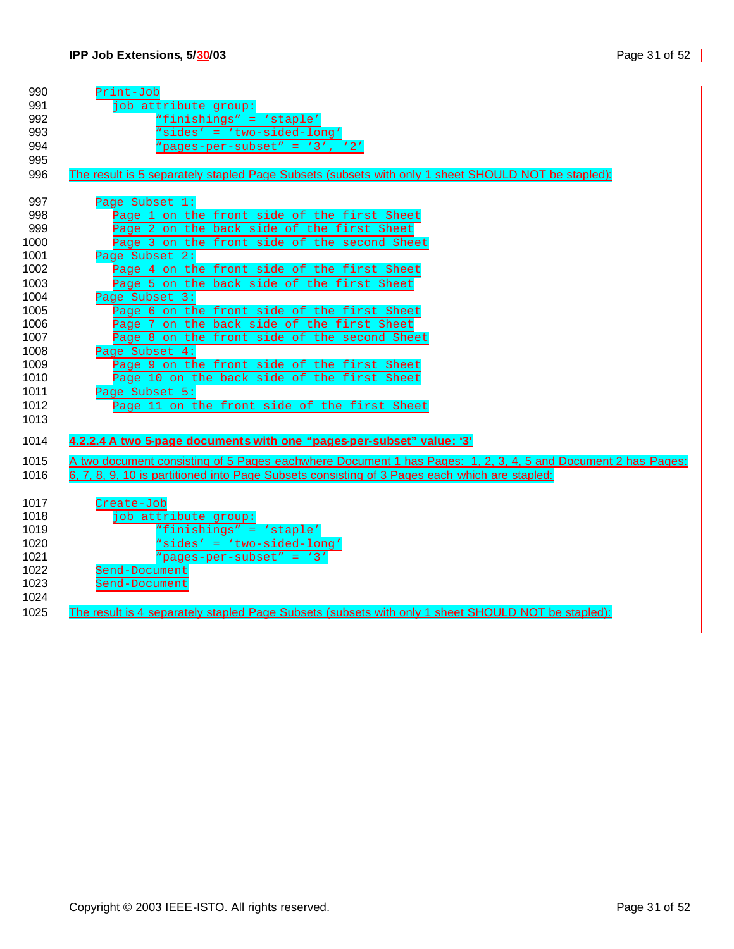| 990  | Print-Job                                                                                                    |
|------|--------------------------------------------------------------------------------------------------------------|
| 991  | job attribute group:                                                                                         |
| 992  | "finishings" = 'staple'                                                                                      |
| 993  | "sides' = 'two-sided-long'                                                                                   |
| 994  | "pages-per-subset" = '3', '2'                                                                                |
| 995  |                                                                                                              |
| 996  | The result is 5 separately stapled Page Subsets (subsets with only 1 sheet SHOULD NOT be stapled):           |
|      |                                                                                                              |
| 997  | Page Subset 1:                                                                                               |
| 998  | Page 1 on the front side of the first Sheet                                                                  |
| 999  | Page 2 on the back side of the first Sheet                                                                   |
| 1000 | Page 3 on the front side of the second Sheet                                                                 |
| 1001 | Page Subset 2:                                                                                               |
| 1002 | Page 4 on the front side of the first Sheet                                                                  |
| 1003 | Page 5 on the back side of the first Sheet                                                                   |
| 1004 | Page Subset 3:                                                                                               |
| 1005 | Page 6 on the front side of the first Sheet                                                                  |
| 1006 | Page 7 on the back side of the first Sheet                                                                   |
| 1007 | Page 8 on the front side of the second Sheet                                                                 |
| 1008 | Page Subset 4:                                                                                               |
| 1009 | Page 9 on the front side of the first Sheet                                                                  |
| 1010 | Page 10 on the back side of the first Sheet                                                                  |
| 1011 | Page Subset 5:                                                                                               |
| 1012 | Page 11 on the front side of the first Sheet                                                                 |
| 1013 |                                                                                                              |
| 1014 | 4.2.2.4 A two 5-page documents with one "pages-per-subset" value: '3'                                        |
|      |                                                                                                              |
| 1015 | A two document consisting of 5 Pages eachwhere Document 1 has Pages: 1, 2, 3, 4, 5 and Document 2 has Pages: |
| 1016 | 6, 7, 8, 9, 10 is partitioned into Page Subsets consisting of 3 Pages each which are stapled:                |
|      |                                                                                                              |
| 1017 | Create-Job                                                                                                   |
| 1018 | job attribute group:                                                                                         |
| 1019 | "finishings" = 'staple'                                                                                      |
| 1020 | "sides' = 'two-sided-long'                                                                                   |
| 1021 | "pages-per-subset" = '3'                                                                                     |
| 1022 | Send-Document                                                                                                |
| 1023 | Send-Document                                                                                                |
| 1024 |                                                                                                              |
| 1025 | The result is 4 separately stapled Page Subsets (subsets with only 1 sheet SHOULD NOT be stapled):           |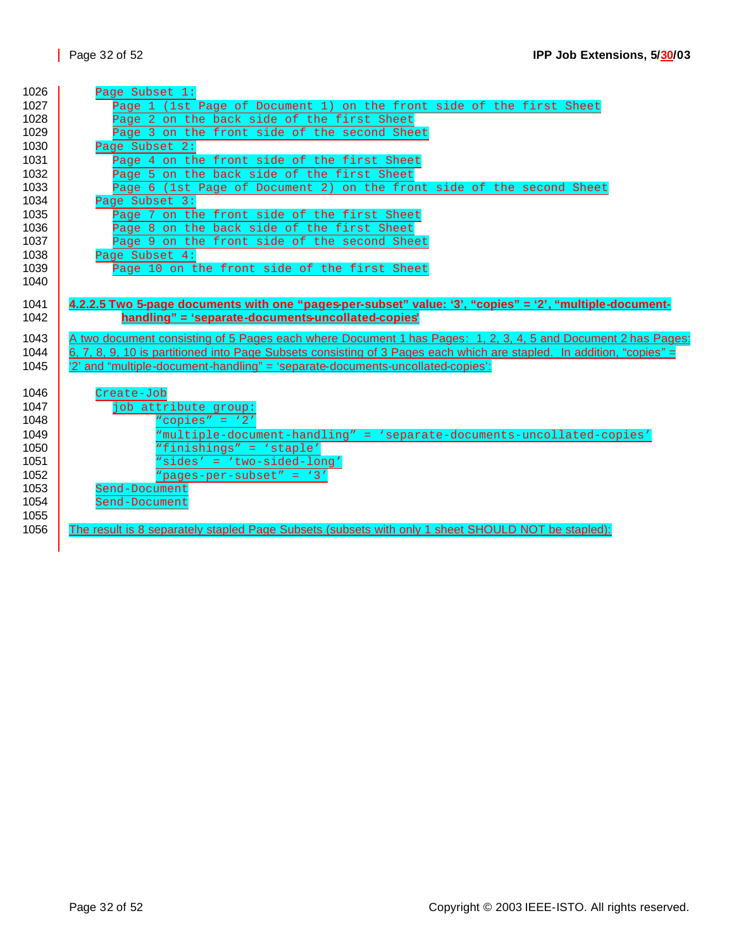| 1026 | Page Subset 1:                                                                                                        |
|------|-----------------------------------------------------------------------------------------------------------------------|
| 1027 | Page 1 (1st Page of Document 1) on the front side of the first Sheet                                                  |
| 1028 | Page 2 on the back side of the first Sheet                                                                            |
| 1029 | Page 3 on the front side of the second Sheet                                                                          |
| 1030 | Page Subset 2:                                                                                                        |
| 1031 | Page 4 on the front side of the first Sheet                                                                           |
| 1032 | Page 5 on the back side of the first Sheet                                                                            |
| 1033 | Page 6 (1st Page of Document 2) on the front side of the second Sheet                                                 |
| 1034 | Page Subset 3:                                                                                                        |
| 1035 | Page 7 on the front side of the first Sheet                                                                           |
| 1036 | Page 8 on the back side of the first Sheet                                                                            |
| 1037 | Page 9 on the front side of the second Sheet                                                                          |
| 1038 | Page Subset 4:                                                                                                        |
| 1039 | Page 10 on the front side of the first Sheet                                                                          |
| 1040 |                                                                                                                       |
| 1041 | 4.2.2.5 Two 5-page documents with one "pages-per-subset" value: '3', "copies" = '2', "multiple-document-              |
| 1042 | handling" = 'separate-documents-uncollated-copies'                                                                    |
|      |                                                                                                                       |
| 1043 | A two document consisting of 5 Pages each where Document 1 has Pages: 1, 2, 3, 4, 5 and Document 2 has Pages:         |
|      |                                                                                                                       |
| 1044 | 6, 7, 8, 9, 10 is partitioned into Page Subsets consisting of 3 Pages each which are stapled. In addition, "copies" = |
| 1045 | '2' and "multiple-document-handling" = 'separate-documents-uncollated-copies':                                        |
|      |                                                                                                                       |
| 1046 | Create-Job                                                                                                            |
| 1047 | job attribute group:                                                                                                  |
| 1048 | "copies" = $'2'$                                                                                                      |
| 1049 | "multiple-document-handling" = 'separate-documents-uncollated-copies'                                                 |
| 1050 | "finishings" = 'staple'                                                                                               |
| 1051 | "sides' = 'two-sided-long'                                                                                            |
| 1052 | "pages-per-subset" = '3'                                                                                              |
| 1053 | Send-Document                                                                                                         |
| 1054 | Send-Document                                                                                                         |
| 1055 |                                                                                                                       |
| 1056 | The result is 8 separately stapled Page Subsets (subsets with only 1 sheet SHOULD NOT be stapled):                    |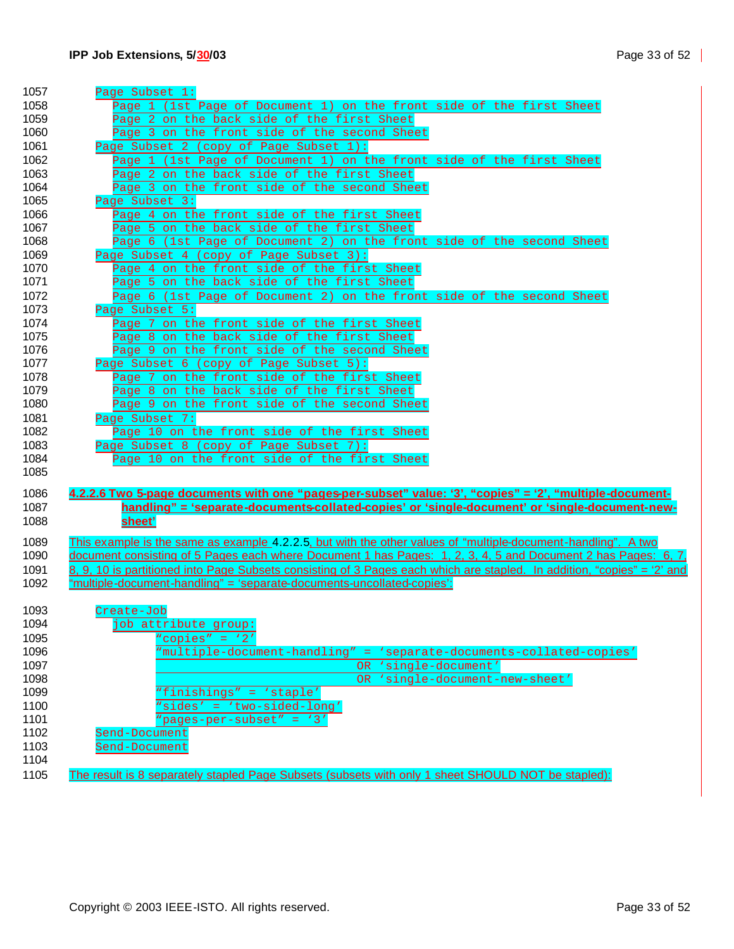| 1057         | Page Subset 1:                                                                                                          |
|--------------|-------------------------------------------------------------------------------------------------------------------------|
| 1058         | Page 1 (1st Page of Document 1) on the front side of the first Sheet                                                    |
| 1059         | Page 2 on the back side of the first Sheet                                                                              |
| 1060         | Page 3 on the front side of the second Sheet                                                                            |
| 1061         | Page Subset 2 (copy of Page Subset 1):                                                                                  |
| 1062         | Page 1 (1st Page of Document 1) on the front side of the first Sheet                                                    |
| 1063         | Page 2 on the back side of the first Sheet                                                                              |
| 1064         | Page 3 on the front side of the second Sheet                                                                            |
| 1065         | Page Subset 3:                                                                                                          |
| 1066         | Page 4 on the front side of the first Sheet                                                                             |
| 1067         | Page 5 on the back side of the first Sheet                                                                              |
| 1068         | Page 6 (1st Page of Document 2) on the front side of the second Sheet                                                   |
| 1069         | Page Subset 4 (copy of Page Subset 3):                                                                                  |
| 1070         | Page 4 on the front side of the first Sheet                                                                             |
| 1071         | Page 5 on the back side of the first Sheet                                                                              |
| 1072         | Page 6 (1st Page of Document 2) on the front side of the second Sheet                                                   |
| 1073         | Page Subset 5:                                                                                                          |
| 1074         | Page 7 on the front side of the first Sheet                                                                             |
| 1075         | Page 8 on the back side of the first Sheet                                                                              |
| 1076         | Page 9 on the front side of the second Sheet                                                                            |
| 1077         | Page Subset 6 (copy of Page Subset 5):                                                                                  |
| 1078         | Page 7 on the front side of the first Sheet                                                                             |
| 1079         | Page 8 on the back side of the first Sheet                                                                              |
| 1080         | Page 9 on the front side of the second Sheet                                                                            |
| 1081         | Page Subset 7:                                                                                                          |
| 1082         | Page 10 on the front side of the first Sheet                                                                            |
| 1083         | Page Subset 8 (copy of Page Subset 7):                                                                                  |
| 1084         | Page 10 on the front side of the first Sheet                                                                            |
| 1085         |                                                                                                                         |
|              |                                                                                                                         |
| 1086<br>1087 | 4.2.2.6 Two 5-page documents with one "pages-per-subset" value: '3', "copies" = '2', "multiple-document-                |
|              | <u>handling" = 'separate-documents-collated-copies' or 'single-document' or 'single-document-new-</u>                   |
| 1088         | sheet'                                                                                                                  |
| 1089         | This example is the same as example 4.2.2.5, but with the other values of "multiple-document-handling". A two           |
| 1090         | document consisting of 5 Pages each where Document 1 has Pages: 1, 2, 3, 4, 5 and Document 2 has Pages: 6, 7,           |
| 1091         | 8, 9, 10 is partitioned into Page Subsets consisting of 3 Pages each which are stapled. In addition, "copies" = '2' and |
| 1092         | "multiple-document-handling" = 'separate-documents-uncollated-copies':                                                  |
|              |                                                                                                                         |
| 1093         | Create-Job                                                                                                              |
| 1094         | job attribute group:                                                                                                    |
| 1095         | "copies" = $'2'$                                                                                                        |
| 1096         | 'multiple-document-handling" = 'separate-documents-collated-copies'                                                     |
| 1097         | OR 'single-document'                                                                                                    |
| 1098         | 'single-document-new-sheet'<br>OR .                                                                                     |
| 1099         | "finishings" = 'staple'                                                                                                 |
| 1100         | "sides' = 'two-sided-long'                                                                                              |
| 1101         | "pages-per-subset" = '3'                                                                                                |
| 1102         | Send-Document                                                                                                           |
| 1103         | Send-Document                                                                                                           |
| 1104         |                                                                                                                         |
| 1105         | The result is 8 separately stapled Page Subsets (subsets with only 1 sheet SHOULD NOT be stapled):                      |
|              |                                                                                                                         |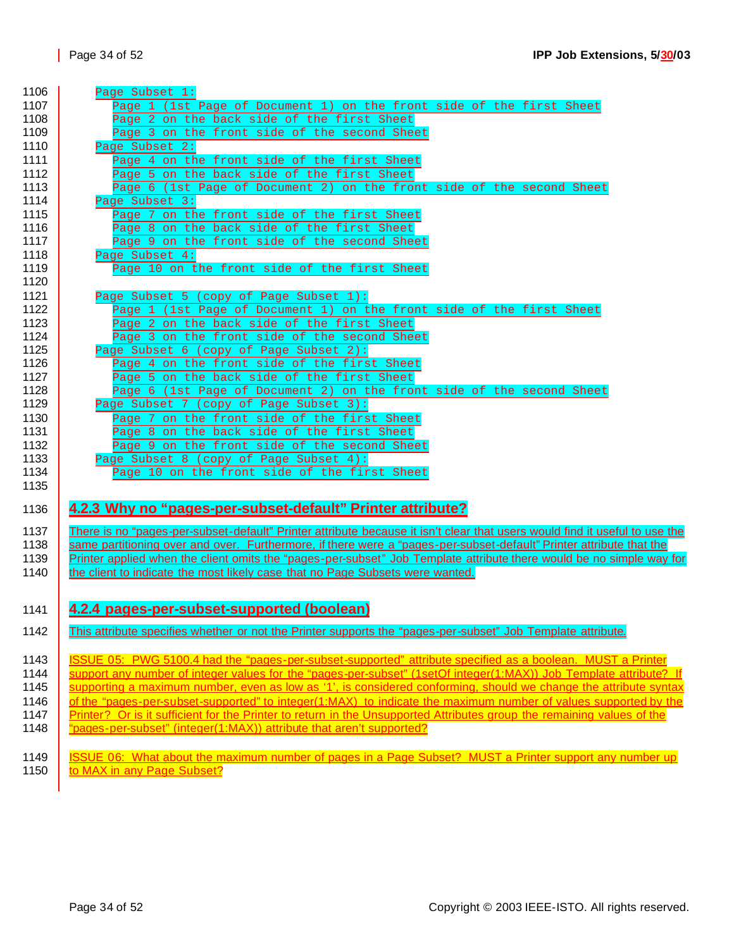1146 <u>of the "pages-per-subset-supported" to integer(1:MAX) to indicate the maximum number of values supported by the</u> 1147 | Printer? Or is it sufficient for the Printer to return in the Unsupported Attributes group the remaining values of the

- 1148 | "pages-per-subset" (integer(1:MAX)) attribute that aren't supported?
- 1149 | **ISSUE 06: What about the maximum number of pages in a Page Subset? MUST a Printer support any number up**<br>1150 | to MAX in any Page Subset? to MAX in any Page Subset?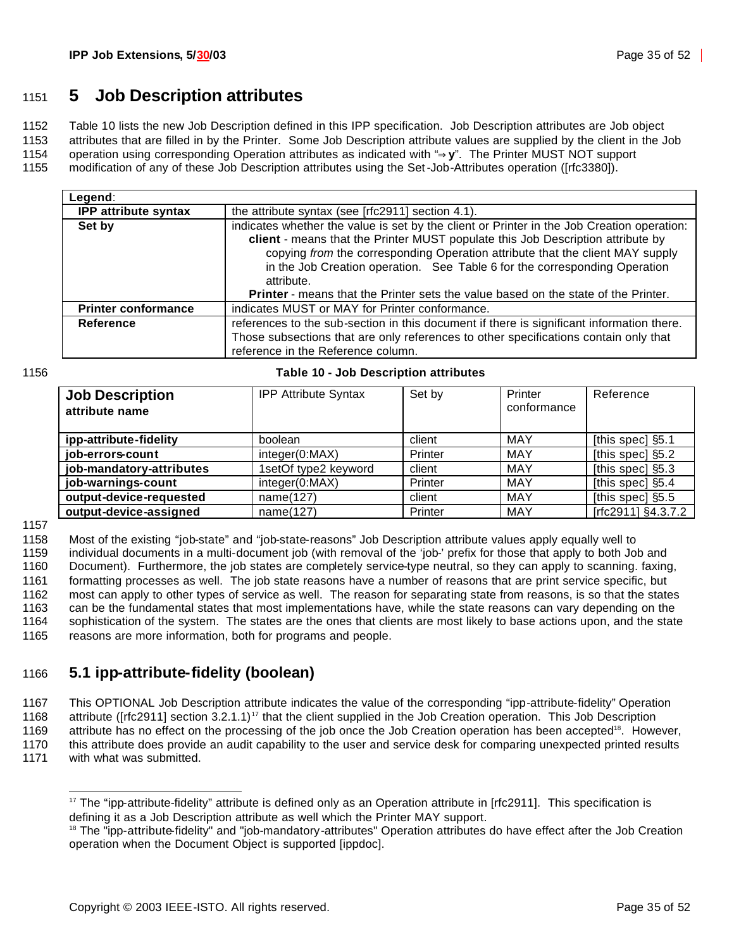### <sup>1151</sup> **5 Job Description attributes**

1152 Table 10 lists the new Job Description defined in this IPP specification. Job Description attributes are Job object

1153 attributes that are filled in by the Printer. Some Job Description attribute values are supplied by the client in the Job

1154 operation using corresponding Operation attributes as indicated with "**Þy**". The Printer MUST NOT support

1155 modification of any of these Job Description attributes using the Set-Job-Attributes operation ([rfc3380]).

| Legend:                     |                                                                                                                                                                                                                                                                                                                                                                                                                                                         |  |  |
|-----------------------------|---------------------------------------------------------------------------------------------------------------------------------------------------------------------------------------------------------------------------------------------------------------------------------------------------------------------------------------------------------------------------------------------------------------------------------------------------------|--|--|
| <b>IPP attribute syntax</b> | the attribute syntax (see [rfc2911] section 4.1).                                                                                                                                                                                                                                                                                                                                                                                                       |  |  |
| Set by                      | indicates whether the value is set by the client or Printer in the Job Creation operation:<br>client - means that the Printer MUST populate this Job Description attribute by<br>copying from the corresponding Operation attribute that the client MAY supply<br>in the Job Creation operation. See Table 6 for the corresponding Operation<br>attribute.<br><b>Printer</b> - means that the Printer sets the value based on the state of the Printer. |  |  |
| <b>Printer conformance</b>  | indicates MUST or MAY for Printer conformance.                                                                                                                                                                                                                                                                                                                                                                                                          |  |  |
| Reference                   | references to the sub-section in this document if there is significant information there.<br>Those subsections that are only references to other specifications contain only that<br>reference in the Reference column.                                                                                                                                                                                                                                 |  |  |

#### 1156 **Table 10 - Job Description attributes**

| <b>Job Description</b><br>attribute name | <b>IPP Attribute Syntax</b> | Set by  | Printer<br>conformance | Reference          |
|------------------------------------------|-----------------------------|---------|------------------------|--------------------|
| ipp-attribute-fidelity                   | boolean                     | client  | MAY                    | [this spec] §5.1   |
| job-errors-count                         | integer(0:MAX)              | Printer | MAY                    | [this spec] §5.2   |
| job-mandatory-attributes                 | 1setOf type2 keyword        | client  | MAY                    | [this spec] §5.3   |
| job-warnings-count                       | integer(0:MAX)              | Printer | MAY                    | [this spec] §5.4   |
| output-device-requested                  | name(127)                   | client  | MAY                    | [this spec] §5.5   |
| output-device-assigned                   | name(127)                   | Printer | MAY                    | [rfc2911] §4.3.7.2 |

1157

 Most of the existing "job-state" and "job-state-reasons" Job Description attribute values apply equally well to individual documents in a multi-document job (with removal of the 'job-' prefix for those that apply to both Job and Document). Furthermore, the job states are completely service-type neutral, so they can apply to scanning. faxing, formatting processes as well. The job state reasons have a number of reasons that are print service specific, but most can apply to other types of service as well. The reason for separating state from reasons, is so that the states can be the fundamental states that most implementations have, while the state reasons can vary depending on the sophistication of the system. The states are the ones that clients are most likely to base actions upon, and the state reasons are more information, both for programs and people.

### 1166 **5.1 ipp-attribute-fidelity (boolean)**

1167 This OPTIONAL Job Description attribute indicates the value of the corresponding "ipp-attribute-fidelity" Operation

1168 attribute ([rfc2911] section  $3.2.1.1$ )<sup>17</sup> that the client supplied in the Job Creation operation. This Job Description

1169 attribute has no effect on the processing of the job once the Job Creation operation has been accepted<sup>18</sup>. However, 1170 this attribute does provide an audit capability to the user and service desk for comparing unexpected printed results 1171 with what was submitted.

<sup>&</sup>lt;sup>17</sup> The "ipp-attribute-fidelity" attribute is defined only as an Operation attribute in [rfc2911]. This specification is defining it as a Job Description attribute as well which the Printer MAY support.

<sup>&</sup>lt;sup>18</sup> The "ipp-attribute-fidelity" and "job-mandatory-attributes" Operation attributes do have effect after the Job Creation operation when the Document Object is supported [ippdoc].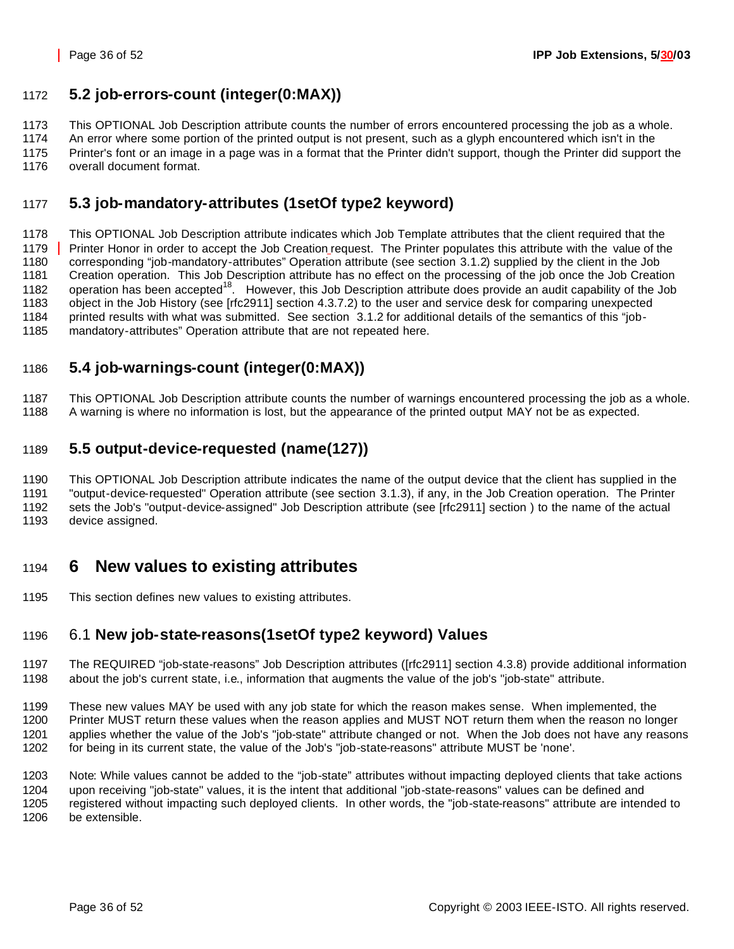### **5.2 job-errors-count (integer(0:MAX))**

This OPTIONAL Job Description attribute counts the number of errors encountered processing the job as a whole.

 An error where some portion of the printed output is not present, such as a glyph encountered which isn't in the Printer's font or an image in a page was in a format that the Printer didn't support, though the Printer did support the

overall document format.

### **5.3 job-mandatory-attributes (1setOf type2 keyword)**

 This OPTIONAL Job Description attribute indicates which Job Template attributes that the client required that the Printer Honor in order to accept the Job Creation request. The Printer populates this attribute with the value of the corresponding "job-mandatory-attributes" Operation attribute (see section 3.1.2) supplied by the client in the Job Creation operation. This Job Description attribute has no effect on the processing of the job once the Job Creation 1182 operation has been accepted<sup>18</sup>. However, this Job Description attribute does provide an audit capability of the Job object in the Job History (see [rfc2911] section 4.3.7.2) to the user and service desk for comparing unexpected printed results with what was submitted. See section 3.1.2 for additional details of the semantics of this "job-mandatory-attributes" Operation attribute that are not repeated here.

### **5.4 job-warnings-count (integer(0:MAX))**

 This OPTIONAL Job Description attribute counts the number of warnings encountered processing the job as a whole. A warning is where no information is lost, but the appearance of the printed output MAY not be as expected.

### **5.5 output-device-requested (name(127))**

 This OPTIONAL Job Description attribute indicates the name of the output device that the client has supplied in the "output-device-requested" Operation attribute (see section 3.1.3), if any, in the Job Creation operation. The Printer

 sets the Job's "output-device-assigned" Job Description attribute (see [rfc2911] section ) to the name of the actual device assigned.

## **6 New values to existing attributes**

This section defines new values to existing attributes.

### 6.1 **New job-state-reasons(1setOf type2 keyword) Values**

- The REQUIRED "job-state-reasons" Job Description attributes ([rfc2911] section 4.3.8) provide additional information about the job's current state, i.e., information that augments the value of the job's "job-state" attribute.
- These new values MAY be used with any job state for which the reason makes sense. When implemented, the Printer MUST return these values when the reason applies and MUST NOT return them when the reason no longer applies whether the value of the Job's "job-state" attribute changed or not. When the Job does not have any reasons for being in its current state, the value of the Job's "job-state-reasons" attribute MUST be 'none'.

 Note: While values cannot be added to the "job-state" attributes without impacting deployed clients that take actions upon receiving "job-state" values, it is the intent that additional "job-state-reasons" values can be defined and registered without impacting such deployed clients. In other words, the "job-state-reasons" attribute are intended to be extensible.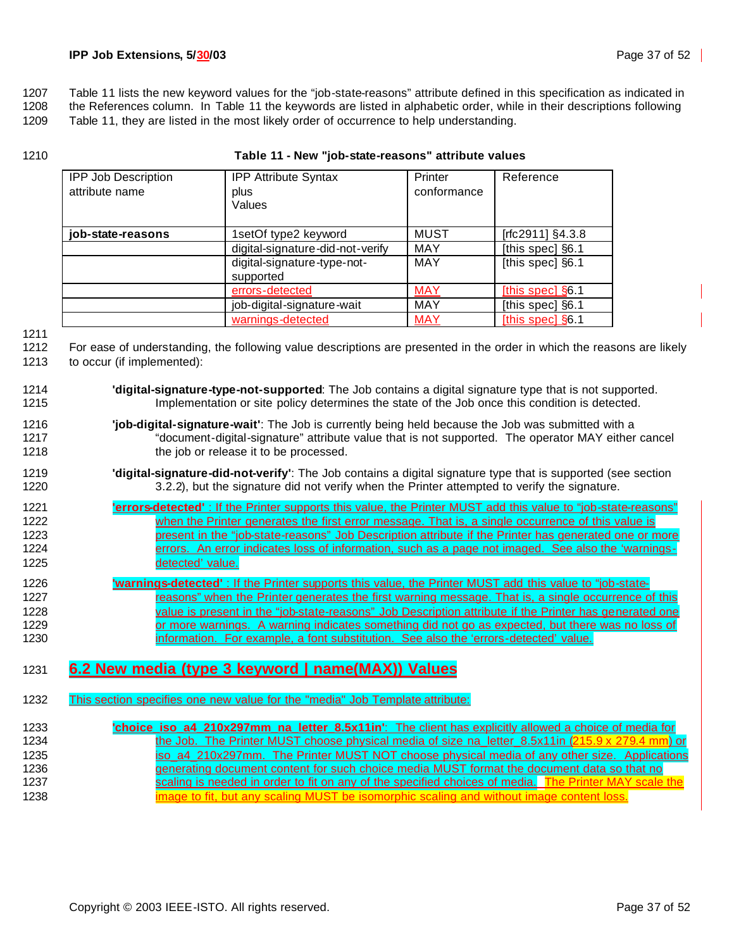1207 Table 11 lists the new keyword values for the "job-state-reasons" attribute defined in this specification as indicated in

1208 the References column. In Table 11 the keywords are listed in alphabetic order, while in their descriptions following

1209 Table 11, they are listed in the most likely order of occurrence to help understanding.

1210 **Table 11 - New "job-state-reasons" attribute values**

| <b>IPP Job Description</b><br>attribute name | <b>IPP Attribute Syntax</b><br>plus<br>Values | Printer<br>conformance | Reference        |
|----------------------------------------------|-----------------------------------------------|------------------------|------------------|
| job-state-reasons                            | 1setOf type2 keyword                          | <b>MUST</b>            | [rfc2911] §4.3.8 |
|                                              | digital-signature-did-not-verify              | <b>MAY</b>             | [this spec] §6.1 |
|                                              | digital-signature-type-not-<br>supported      | <b>MAY</b>             | [this spec] §6.1 |
|                                              | errors-detected                               | <b>MAY</b>             | [this spec] §6.1 |
|                                              | job-digital-signature-wait                    | <b>MAY</b>             | [this spec] §6.1 |
|                                              | warnings-detected                             | <b>MAY</b>             | [this spec] §6.1 |

1211

1212 For ease of understanding, the following value descriptions are presented in the order in which the reasons are likely 1213 to occur (if implemented):

- 1214 **'digital-signature-type-not-supported**: The Job contains a digital signature type that is not supported. 1215 Implementation or site policy determines the state of the Job once this condition is detected.
- 1216 **'job-digital-signature-wait'**: The Job is currently being held because the Job was submitted with a 1217 "document-digital-signature" attribute value that is not supported. The operator MAY either cancel 1218 **the job or release it to be processed.**
- 1219 **'digital-signature-did-not-verify'**: The Job contains a digital signature type that is supported (see section 1220 3.2.2), but the signature did not verify when the Printer attempted to verify the signature.
- 1221 **'errors-detected'** : If the Printer supports this value, the Printer MUST add this value to "job-state-reasons" 1222 when the Printer generates the first error message. That is, a single occurrence of this value is 1223 **present in the "job-state-reasons" Job Description attribute if the Printer has generated one or more** 1224 errors. An error indicates loss of information, such as a page not imaged. See also the 'warnings-1225 detected' value.
- 1226 **'warnings-detected'** : If the Printer supports this value, the Printer MUST add this value to "job-state-1227 reasons" when the Printer generates the first warning message. That is, a single occurrence of this 1228 value is present in the "job-state-reasons" Job Description attribute if the Printer has generated one 1229 **or more warnings.** A warning indicates something did not go as expected, but there was no loss of 1230 **information.** For example, a font substitution. See also the 'errors-detected' value.

### 1231 **6.2 New media (type 3 keyword | name(MAX)) Values**

1232 This section specifies one new value for the "media" Job Template attribute:

| 1233 | "choice iso a4 210x297mm na letter 8.5x11in": The client has explicitly allowed a choice of media for |
|------|-------------------------------------------------------------------------------------------------------|
| 1234 | the Job. The Printer MUST choose physical media of size na letter 8.5x11in (215.9 x 279.4 mm) or      |
| 1235 | iso a4 210x297mm. The Printer MUST NOT choose physical media of any other size. Applications          |
| 1236 | generating document content for such choice media MUST format the document data so that no            |
| 1237 | scaling is needed in order to fit on any of the specified choices of media. The Printer MAY scale the |
| 1238 | image to fit, but any scaling MUST be isomorphic scaling and without image content loss.              |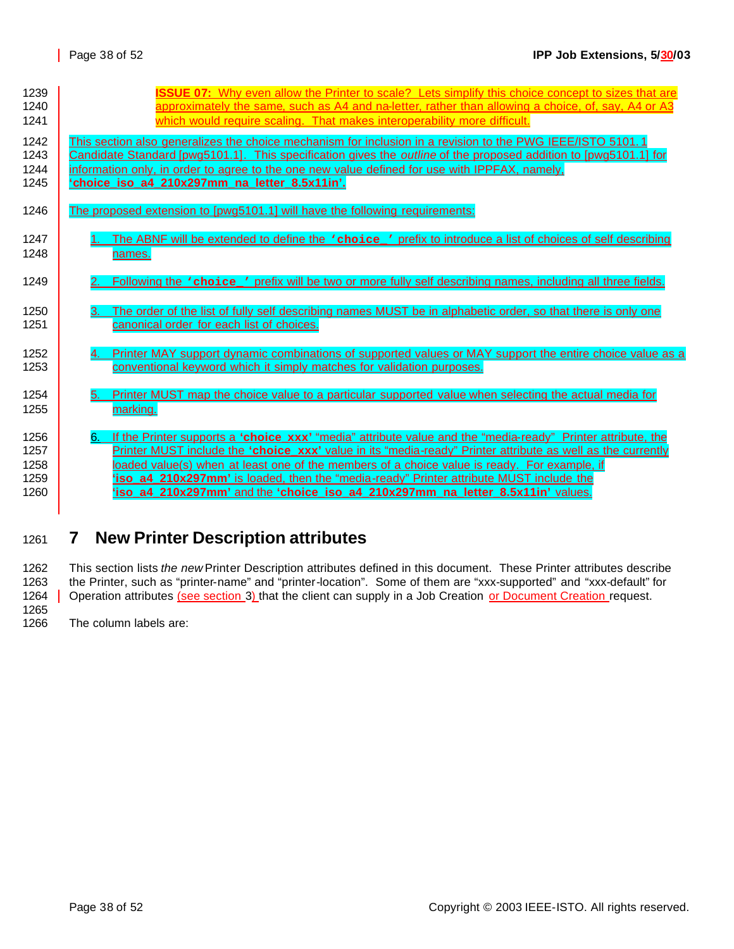| 1239 | <b>ISSUE 07:</b> Why even allow the Printer to scale? Lets simplify this choice concept to sizes that are                      |
|------|--------------------------------------------------------------------------------------------------------------------------------|
| 1240 | approximately the same, such as A4 and na-letter, rather than allowing a choice, of, say, A4 or A3                             |
| 1241 | which would require scaling. That makes interoperability more difficult.                                                       |
| 1242 | This section also generalizes the choice mechanism for inclusion in a revision to the PWG IEEE/ISTO 5101.1                     |
| 1243 | <u>Candidate Standard [pwq5101.1]. This specification gives the <i>outline</i> of the proposed addition to [pwq5101.1] for</u> |
| 1244 | information only, in order to agree to the one new value defined for use with IPPFAX, namely,                                  |
| 1245 | 'choice iso a4 210x297mm na letter 8.5x11in'.                                                                                  |
| 1246 | The proposed extension to [pwg5101.1] will have the following requirements:                                                    |
| 1247 | The ABNF will be extended to define the vchoice ' prefix to introduce a list of choices of self describing                     |
| 1248 | names.                                                                                                                         |
| 1249 | Following the <i>'choice'</i> prefix will be two or more fully self describing names, including all three fields.              |
| 1250 | The order of the list of fully self describing names MUST be in alphabetic order, so that there is only one                    |
| 1251 | canonical order for each list of choices.                                                                                      |
| 1252 | Printer MAY support dynamic combinations of supported values or MAY support the entire choice value as a                       |
| 1253 | conventional keyword which it simply matches for validation purposes.                                                          |
| 1254 | Printer MUST map the choice value to a particular supported value when selecting the actual media for                          |
| 1255 | marking.                                                                                                                       |
| 1256 | If the Printer supports a 'choice xxx' "media" attribute value and the "media-ready" Printer attribute, the                    |
| 1257 | Printer MUST include the 'choice xxx' value in its "media-ready" Printer attribute as well as the currently                    |
| 1258 | loaded value(s) when at least one of the members of a choice value is ready. For example, if                                   |
| 1259 | 'iso a4 210x297mm' is loaded, then the "media-ready" Printer attribute MUST include the                                        |
| 1260 | 'iso a4 210x297mm' and the 'choice iso a4 210x297mm na letter 8.5x11in' values.                                                |

# <sup>1261</sup> **7 New Printer Description attributes**

1262 This section lists *the new* Printer Description attributes defined in this document. These Printer attributes describe 1263 the Printer, such as "printer-name" and "printer-location". Some of them are "xxx-supported" and "xxx-default" for 1264 | Operation attributes (see section 3) that the client can supply in a Job Creation or Document Creation request. 1265

1266 The column labels are: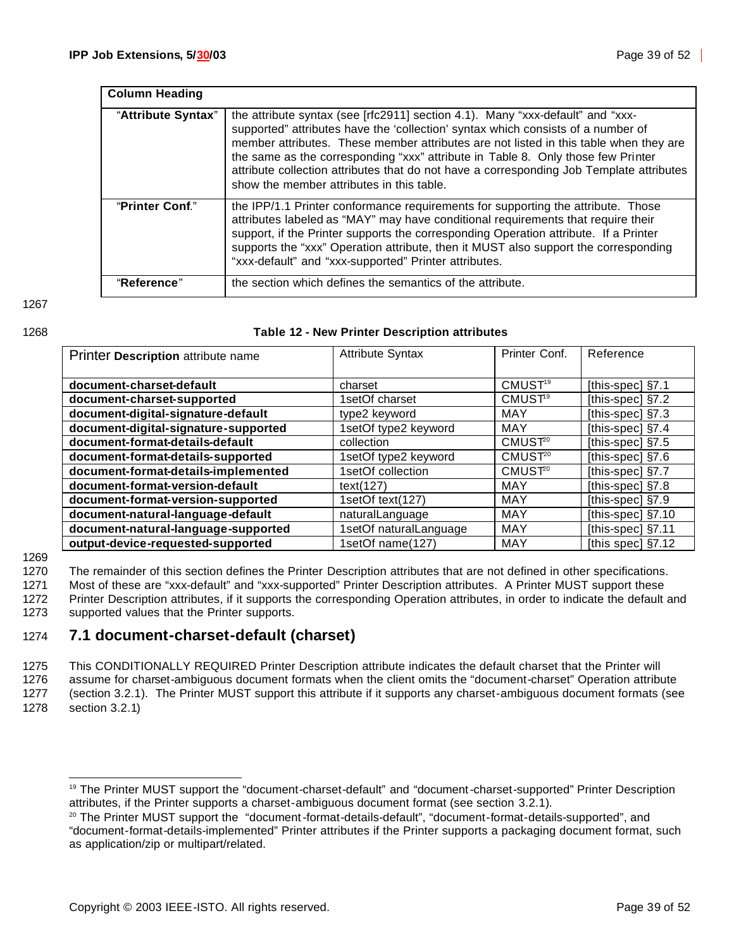| <b>Column Heading</b> |                                                                                                                                                                                                                                                                                                                                                                                                                                                                                          |
|-----------------------|------------------------------------------------------------------------------------------------------------------------------------------------------------------------------------------------------------------------------------------------------------------------------------------------------------------------------------------------------------------------------------------------------------------------------------------------------------------------------------------|
| "Attribute Syntax"    | the attribute syntax (see [rfc2911] section 4.1). Many "xxx-default" and "xxx-<br>supported" attributes have the 'collection' syntax which consists of a number of<br>member attributes. These member attributes are not listed in this table when they are<br>the same as the corresponding "xxx" attribute in Table 8. Only those few Printer<br>attribute collection attributes that do not have a corresponding Job Template attributes<br>show the member attributes in this table. |
| "Printer Conf."       | the IPP/1.1 Printer conformance requirements for supporting the attribute. Those<br>attributes labeled as "MAY" may have conditional requirements that require their<br>support, if the Printer supports the corresponding Operation attribute. If a Printer<br>supports the "xxx" Operation attribute, then it MUST also support the corresponding<br>"xxx-default" and "xxx-supported" Printer attributes.                                                                             |
| "Reference"           | the section which defines the semantics of the attribute.                                                                                                                                                                                                                                                                                                                                                                                                                                |

1267

#### 1268 **Table 12 - New Printer Description attributes**

| Printer Description attribute name   | <b>Attribute Syntax</b> | Printer Conf.       | Reference           |
|--------------------------------------|-------------------------|---------------------|---------------------|
|                                      |                         |                     |                     |
| document-charset-default             | charset                 | CMUST <sup>19</sup> | [this-spec] §7.1    |
| document-charset-supported           | 1setOf charset          | CMUST <sup>9</sup>  | [this-spec] §7.2    |
| document-digital-signature-default   | type2 keyword           | <b>MAY</b>          | [this-spec] §7.3    |
| document-digital-signature-supported | 1setOf type2 keyword    | MAY                 | [this-spec] §7.4    |
| document-format-details-default      | collection              | CMUST <sup>20</sup> | [this-spec] §7.5    |
| document-format-details-supported    | 1setOf type2 keyword    | CMUST <sup>20</sup> | [this-spec] §7.6    |
| document-format-details-implemented  | 1setOf collection       | CMUST <sup>20</sup> | [this-spec] §7.7    |
| document-format-version-default      | text(127)               | MAY                 | [this-spec] §7.8    |
| document-format-version-supported    | 1setOf text(127)        | MAY                 | [this-spec] §7.9    |
| document-natural-language-default    | naturalLanguage         | MAY                 | [this-spec] $§7.10$ |
| document-natural-language-supported  | 1setOf naturalLanguage  | MAY                 | [this-spec] §7.11   |
| output-device-requested-supported    | 1setOf name(127)        | <b>MAY</b>          | [this spec] §7.12   |

1269

1270 The remainder of this section defines the Printer Description attributes that are not defined in other specifications.

1271 Most of these are "xxx-default" and "xxx-supported" Printer Description attributes. A Printer MUST support these

1272 Printer Description attributes, if it supports the corresponding Operation attributes, in order to indicate the default and 1273 supported values that the Printer supports.

### 1274 **7.1 document-charset-default (charset)**

1275 This CONDITIONALLY REQUIRED Printer Description attribute indicates the default charset that the Printer will 1276 assume for charset-ambiguous document formats when the client omits the "document-charset" Operation attribute 1277 (section 3.2.1). The Printer MUST support this attribute if it supports any charset-ambiguous document formats (see

1278 section 3.2.1)

<sup>19</sup> The Printer MUST support the "document-charset-default" and "document-charset-supported" Printer Description attributes, if the Printer supports a charset-ambiguous document format (see section 3.2.1).

<sup>20</sup> The Printer MUST support the "document-format-details-default", "document-format-details-supported", and "document-format-details-implemented" Printer attributes if the Printer supports a packaging document format, such as application/zip or multipart/related.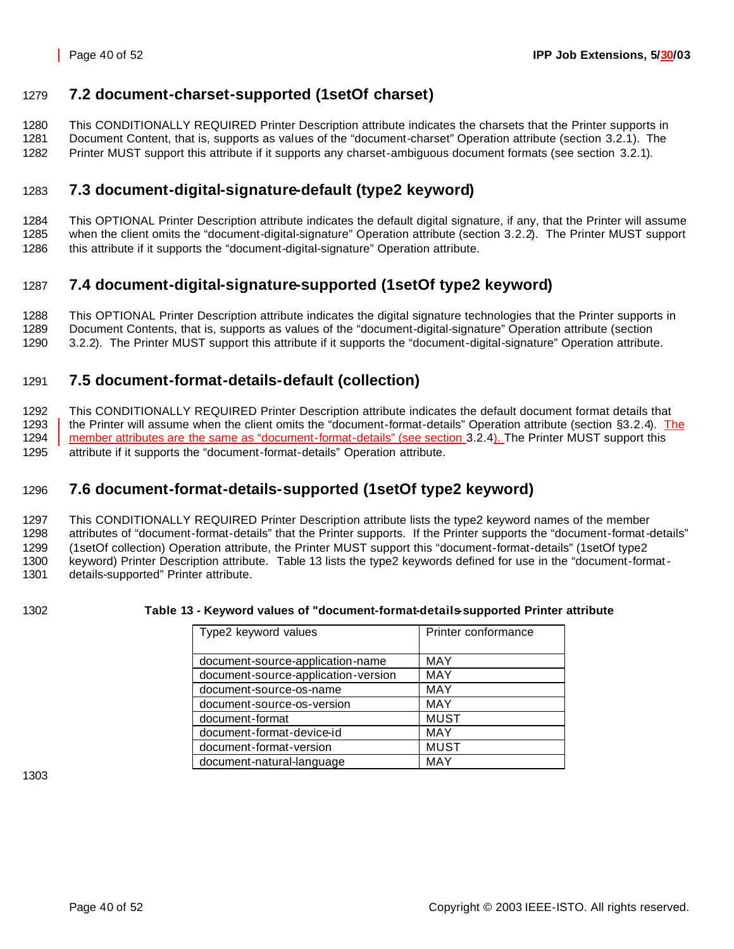### **7.2 document-charset-supported (1setOf charset)**

 This CONDITIONALLY REQUIRED Printer Description attribute indicates the charsets that the Printer supports in Document Content, that is, supports as values of the "document-charset" Operation attribute (section 3.2.1). The Printer MUST support this attribute if it supports any charset-ambiguous document formats (see section 3.2.1).

### **7.3 document-digital-signature-default (type2 keyword)**

 This OPTIONAL Printer Description attribute indicates the default digital signature, if any, that the Printer will assume when the client omits the "document-digital-signature" Operation attribute (section 3.2.2). The Printer MUST support this attribute if it supports the "document-digital-signature" Operation attribute.

### **7.4 document-digital-signature-supported (1setOf type2 keyword)**

 This OPTIONAL Printer Description attribute indicates the digital signature technologies that the Printer supports in Document Contents, that is, supports as values of the "document-digital-signature" Operation attribute (section

3.2.2). The Printer MUST support this attribute if it supports the "document-digital-signature" Operation attribute.

### **7.5 document-format-details-default (collection)**

 This CONDITIONALLY REQUIRED Printer Description attribute indicates the default document format details that 1293 the Printer will assume when the client omits the "document-format-details" Operation attribute (section §3.2.4). The 1294 member attributes are the same as "document-format-details" (see section 3.2.4). The Printer MUST support this attribute if it supports the "document-format-details" Operation attribute.

### **7.6 document-format-details-supported (1setOf type2 keyword)**

 This CONDITIONALLY REQUIRED Printer Description attribute lists the type2 keyword names of the member attributes of "document-format-details" that the Printer supports. If the Printer supports the "document-format-details" (1setOf collection) Operation attribute, the Printer MUST support this "document-format-details" (1setOf type2 keyword) Printer Description attribute. Table 13 lists the type2 keywords defined for use in the "document-format-details-supported" Printer attribute.

#### **Table 13 - Keyword values of "document-format-details-supported Printer attribute**

| Type2 keyword values                | Printer conformance |
|-------------------------------------|---------------------|
| document-source-application-name    | MAY                 |
| document-source-application-version | <b>MAY</b>          |
| document-source-os-name             | <b>MAY</b>          |
| document-source-os-version          | <b>MAY</b>          |
| document-format                     | <b>MUST</b>         |
| document-format-device-id           | MAY                 |
| document-format-version             | <b>MUST</b>         |
| document-natural-language           | <b>MAY</b>          |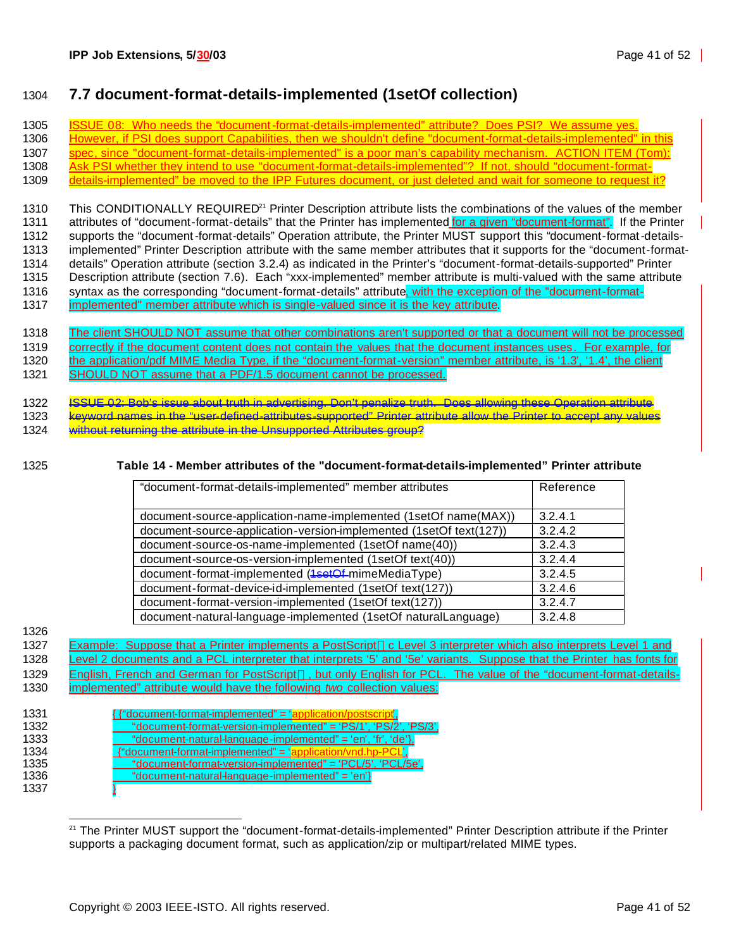### 1304 **7.7 document-format-details-implemented (1setOf collection)**

 ISSUE 08: Who needs the "document-format-details-implemented" attribute? Does PSI? We assume yes. 1306 However, if PSI does support Capabilities, then we shouldn't define "document-format-details-implemented" in this spec, since "document-format-details-implemented" is a poor man's capability mechanism. ACTION ITEM (Tom): Ask PSI whether they intend to use "document-format-details-implemented"? If not, should "document-format- details-implemented" be moved to the IPP Futures document, or just deleted and wait for someone to request it? 1310 This CONDITIONALLY REQUIRED<sup>21</sup> Printer Description attribute lists the combinations of the values of the member 1311 attributes of "document-format-details" that the Printer has implemented for a given "document-format". If the Printer supports the "document-format-details" Operation attribute, the Printer MUST support this "document-format-details- implemented" Printer Description attribute with the same member attributes that it supports for the "document-format- details" Operation attribute (section 3.2.4) as indicated in the Printer's "document-format-details-supported" Printer Description attribute (section 7.6). Each "xxx-implemented" member attribute is multi-valued with the same attribute 1316 syntax as the corresponding "document-format-details" attribute, with the exception of the "document-format-implemented" member attribute which is single-valued since it is the key attribute.

- 1318 The client SHOULD NOT assume that other combinations aren't supported or that a document will not be processed 1319 correctly if the document content does not contain the values that the document instances uses. For example, for 1320 the application/pdf MIME Media Type, if the "document-format-version" member attribute, is '1.3', '1.4', the client 1321 SHOULD NOT assume that a PDF/1.5 document cannot be processed.
- 1322 ISSUE 02: Bob's issue about truth in advertising. Don't penalize truth. Does allowing these Operation attribute
- 1323 keyword names in the "user-defined-attributes-supported" Printer attribute allow the Printer to accept any values 1324 without returning the attribute in the Unsupported Attributes group?
- 

#### 1325 **Table 14 - Member attributes of the "document-format-details-implemented" Printer attribute**

| "document-format-details-implemented" member attributes            | Reference |
|--------------------------------------------------------------------|-----------|
|                                                                    |           |
| document-source-application-name-implemented (1setOf name(MAX))    | 3.2.4.1   |
| document-source-application-version-implemented (1setOf text(127)) | 3.2.4.2   |
| document-source-os-name-implemented (1setOf name(40))              | 3.2.4.3   |
| document-source-os-version-implemented (1setOf text(40))           | 3.2.4.4   |
| document-format-implemented (1setOf-mimeMediaType)                 | 3.2.4.5   |
| document-format-device-id-implemented (1setOf text(127))           | 3.2.4.6   |
| document-format-version-implemented (1setOf text(127))             | 3.2.4.7   |
| document-natural-language-implemented (1setOf naturalLanguage)     | 3.2.4.8   |

1326

1327 Example: Suppose that a Printer implements a PostScript™c Level 3 interpreter which also interprets Level 1 and 1328 Level 2 documents and a PCL interpreter that interprets '5' and '5e' variants. Suppose that the Printer has fonts for 1329 English, French and German for PostScript<sup>™</sup>, but only English for PCL. The value of the "document-format-details-1330 implemented" attribute would have the following *two* collection values:

| 1331 | "document-format-implemented" = 'application/postscript',       |
|------|-----------------------------------------------------------------|
| 1332 | "document-format-version-implemented" = 'PS/1', 'PS/2', 'PS/3', |
| 1333 | "document-natural-language-implemented" = 'en', 'fr', 'de'},    |
| 1334 | "document-format-implemented" = 'application/vnd.hp-PC          |
| 1335 | "document-format-version-implemented" = 'PCL/5', 'PCL/5e',      |
| 1336 | "document-natural-language-implemented" = 'en'}                 |
| 1337 |                                                                 |

 <sup>21</sup> The Printer MUST support the "document-format-details-implemented" Printer Description attribute if the Printer supports a packaging document format, such as application/zip or multipart/related MIME types.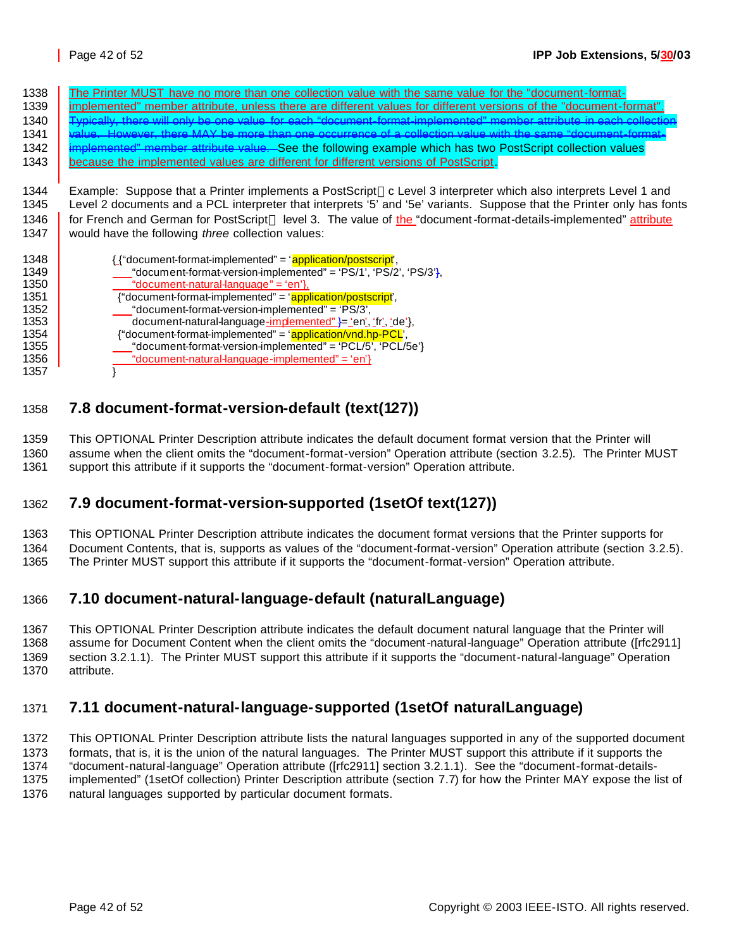1338 The Printer MUST have no more than one collection value with the same value for the "document-format- implemented" member attribute, unless there are different values for different versions of the "document-format". 1340 Typically, there will only be one value for each "document-format-implemented" member attribute in each collecti value. However, there MAY be more than one occurrence of a collection value with the same "document-format-1342 implemented" member attribute value. See the following example which has two PostScript collection values because the implemented values are different for different versions of PostScript.

1344 Example: Suppose that a Printer implements a PostScript<sup>TM</sup>c Level 3 interpreter which also interprets Level 1 and Level 2 documents and a PCL interpreter that interprets '5' and '5e' variants. Suppose that the Printer only has fonts 1346 for French and German for PostScript™ level 3. The value of the "document-format-details-implemented" attribute would have the following *three* collection values:

| 1348 | { {"document-format-implemented" = 'application/postscript',     |
|------|------------------------------------------------------------------|
| 1349 | "document-format-version-implemented" = 'PS/1', 'PS/2', 'PS/3'}, |
| 1350 | "document-natural-language" = 'en'},                             |
| 1351 | {"document-format-implemented" = 'application/postscript',       |
| 1352 | "document-format-version-implemented" = 'PS/3',                  |
| 1353 | document-natural-language-implemented" }= 'en', 'fr', 'de'},     |
| 1354 | {"document-format-implemented" = 'application/vnd.hp-PCL',       |
| 1355 | $"document-format-version-implemented" = 'PCL/5', 'PCL/5e'$      |
| 1356 | "document-natural-language-implemented" = 'en'}                  |
| 1357 |                                                                  |

### **7.8 document-format-version-default (text(127))**

 This OPTIONAL Printer Description attribute indicates the default document format version that the Printer will assume when the client omits the "document-format-version" Operation attribute (section 3.2.5). The Printer MUST support this attribute if it supports the "document-format-version" Operation attribute.

### **7.9 document-format-version-supported (1setOf text(127))**

This OPTIONAL Printer Description attribute indicates the document format versions that the Printer supports for

Document Contents, that is, supports as values of the "document-format-version" Operation attribute (section 3.2.5).

The Printer MUST support this attribute if it supports the "document-format-version" Operation attribute.

### **7.10 document-natural-language-default (naturalLanguage)**

 This OPTIONAL Printer Description attribute indicates the default document natural language that the Printer will assume for Document Content when the client omits the "document-natural-language" Operation attribute ([rfc2911] section 3.2.1.1). The Printer MUST support this attribute if it supports the "document-natural-language" Operation attribute.

### **7.11 document-natural-language-supported (1setOf naturalLanguage)**

 This OPTIONAL Printer Description attribute lists the natural languages supported in any of the supported document formats, that is, it is the union of the natural languages. The Printer MUST support this attribute if it supports the "document-natural-language" Operation attribute ([rfc2911] section 3.2.1.1). See the "document-format-details- implemented" (1setOf collection) Printer Description attribute (section 7.7) for how the Printer MAY expose the list of natural languages supported by particular document formats.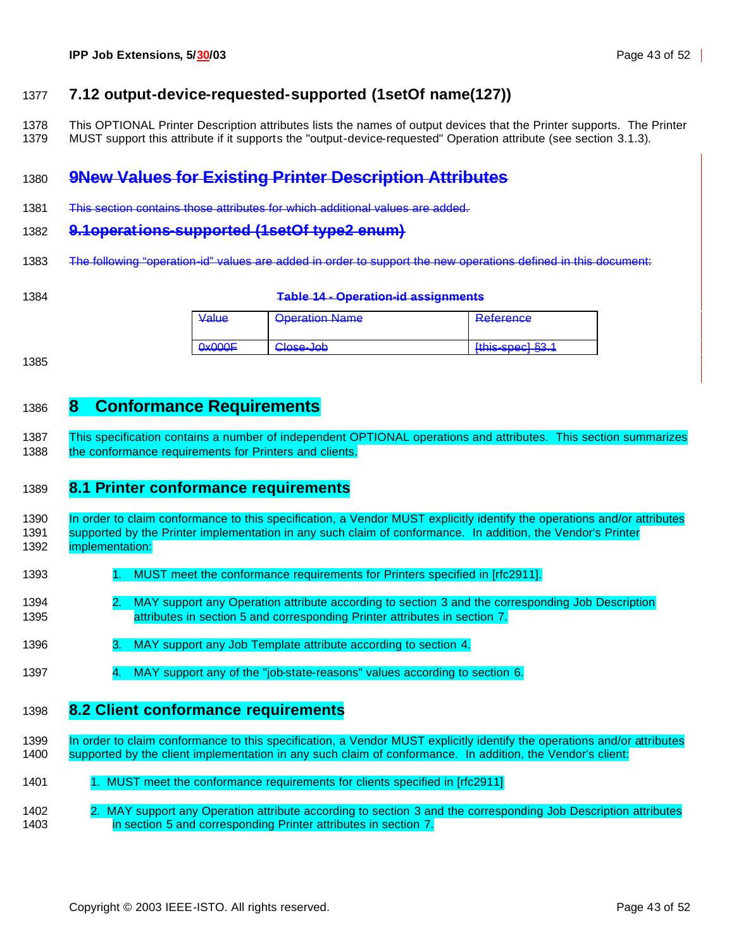### **7.12 output-device-requested-supported (1setOf name(127))**

- This OPTIONAL Printer Description attributes lists the names of output devices that the Printer supports. The Printer
- MUST support this attribute if it supports the "output-device-requested" Operation attribute (see section 3.1.3).

## **9New Values for Existing Printer Description Attributes**

This section contains those attributes for which additional values are added.

#### **9.1operations-supported (1setOf type2 enum)**

- The following "operation-id" values are added in order to support the new operations defined in this document:
- 

#### **Table 14 - Operation-id assignments**

| من را دا                             | Oneration Name                      | Reference                                          |
|--------------------------------------|-------------------------------------|----------------------------------------------------|
| $\mathbf{v}$ can be the $\mathbf{v}$ | <del>oporanon namo</del>            | <del>noisionos</del>                               |
| <del>unuun</del>                     | Close- loh<br><del>uluoo juul</del> | $[$ thie-engel $831$<br><del>ullio opoop you</del> |

### **8 Conformance Requirements**

 This specification contains a number of independent OPTIONAL operations and attributes. This section summarizes 1388 the conformance requirements for Printers and clients.

### **8.1 Printer conformance requirements**

 In order to claim conformance to this specification, a Vendor MUST explicitly identify the operations and/or attributes 1391 supported by the Printer implementation in any such claim of conformance. In addition, the Vendor's Printer implementation:

- 1393 1. MUST meet the conformance requirements for Printers specified in [rfc2911].
- 2. MAY support any Operation attribute according to section 3 and the corresponding Job Description attributes in section 5 and corresponding Printer attributes in section 7.
- 1396 3. MAY support any Job Template attribute according to section 4.
- 4. MAY support any of the "job-state-reasons" values according to section 6.

### **8.2 Client conformance requirements**

- 1399 In order to claim conformance to this specification, a Vendor MUST explicitly identify the operations and/or attributes supported by the client implementation in any such claim of conformance. In addition, the Vendor's client:
- 1401 1. MUST meet the conformance requirements for clients specified in [rfc2911]
- 2. MAY support any Operation attribute according to section 3 and the corresponding Job Description attributes in section 5 and corresponding Printer attributes in section 7.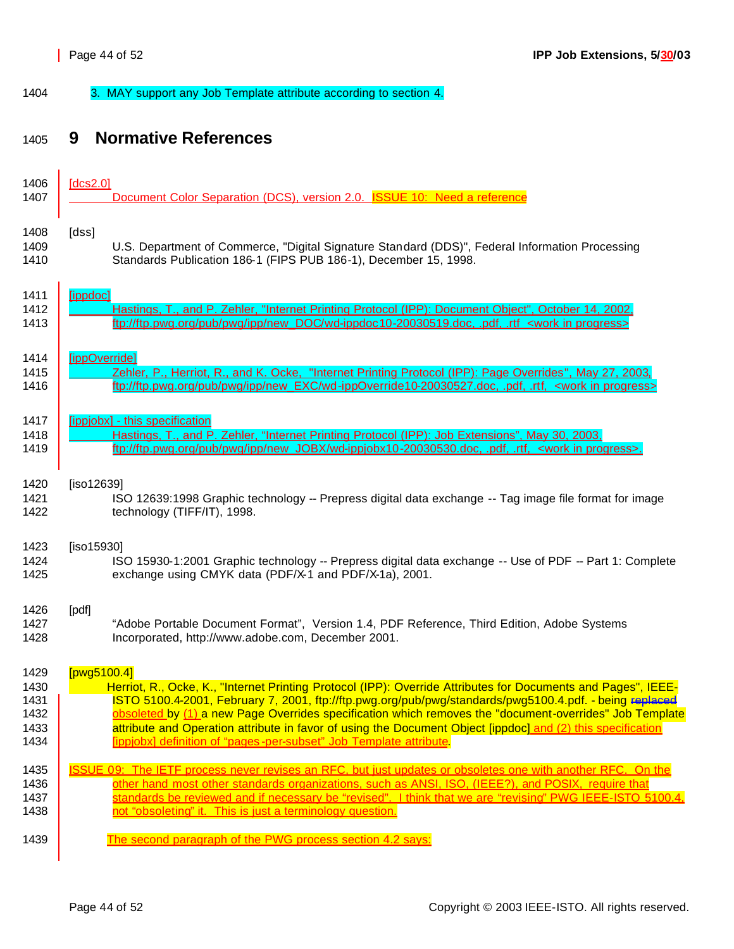1404 3. MAY support any Job Template attribute according to section 4.

# <sup>1405</sup> **9 Normative References**

| 1406 | [dcs2.0]                                                                                                         |
|------|------------------------------------------------------------------------------------------------------------------|
| 1407 | Document Color Separation (DCS), version 2.0. ISSUE 10: Need a reference                                         |
| 1408 | [dss]                                                                                                            |
| 1409 | U.S. Department of Commerce, "Digital Signature Standard (DDS)", Federal Information Processing                  |
| 1410 | Standards Publication 186-1 (FIPS PUB 186-1), December 15, 1998.                                                 |
| 1411 | [ippdoc]                                                                                                         |
| 1412 | Hastings, T., and P. Zehler, "Internet Printing Protocol (IPP): Document Object", October 14, 2002,              |
| 1413 | ftp://ftp.pwg.org/pub/pwg/ipp/new_DOC/wd-ippdoc10-20030519.doc, .pdf, .rtf <work in="" progress=""></work>       |
| 1414 | [ippOverride]                                                                                                    |
| 1415 | Zehler, P., Herriot, R., and K. Ocke, "Internet Printing Protocol (IPP): Page Overrides", May 27, 2003,          |
| 1416 | ftp://ftp.pwg.org/pub/pwg/ipp/new_EXC/wd-ippOverride10-20030527.doc, .pdf, .rtf, <work in="" progress=""></work> |
| 1417 | [ippjobx] - this specification                                                                                   |
| 1418 | Hastings, T., and P. Zehler, "Internet Printing Protocol (IPP): Job Extensions", May 30, 2003,                   |
| 1419 | ftp://ftp.pwg.org/pub/pwg/ipp/new_JOBX/wd-ippjobx10-20030530.doc, .pdf, .rtf, <work in="" progress="">.</work>   |
| 1420 | [iso12639]                                                                                                       |
| 1421 | ISO 12639:1998 Graphic technology -- Prepress digital data exchange -- Tag image file format for image           |
| 1422 | technology (TIFF/IT), 1998.                                                                                      |
| 1423 | [iso15930]                                                                                                       |
| 1424 | ISO 15930-1:2001 Graphic technology -- Prepress digital data exchange -- Use of PDF -- Part 1: Complete          |
| 1425 | exchange using CMYK data (PDF/X-1 and PDF/X-1a), 2001.                                                           |
| 1426 | [pdf]                                                                                                            |
| 1427 | "Adobe Portable Document Format", Version 1.4, PDF Reference, Third Edition, Adobe Systems                       |
| 1428 | Incorporated, http://www.adobe.com, December 2001.                                                               |
| 1429 | [ $pvg5100.4$ ]                                                                                                  |
| 1430 | Herriot, R., Ocke, K., "Internet Printing Protocol (IPP): Override Attributes for Documents and Pages", IEEE-    |
| 1431 | ISTO 5100.4-2001, February 7, 2001, ftp://ftp.pwg.org/pub/pwg/standards/pwg5100.4.pdf. - being replaced          |
| 1432 | obsoleted by (1) a new Page Overrides specification which removes the "document-overrides" Job Template          |
| 1433 | attribute and Operation attribute in favor of using the Document Object [ippdoc] and (2) this specification      |
| 1434 | [ippiobx] definition of "pages-per-subset" Job Template attribute.                                               |
| 1435 | ISSUE 09: The IETF process never revises an RFC, but just updates or obsoletes one with another RFC. On the      |
| 1436 | other hand most other standards organizations, such as ANSI, ISO, (IEEE?), and POSIX, require that               |
| 1437 | standards be reviewed and if necessary be "revised". I think that we are "revising" PWG IEEE-ISTO 5100.4,        |
| 1438 | not "obsoleting" it. This is just a terminology question.                                                        |
| 1439 | The second paragraph of the PWG process section 4.2 says:                                                        |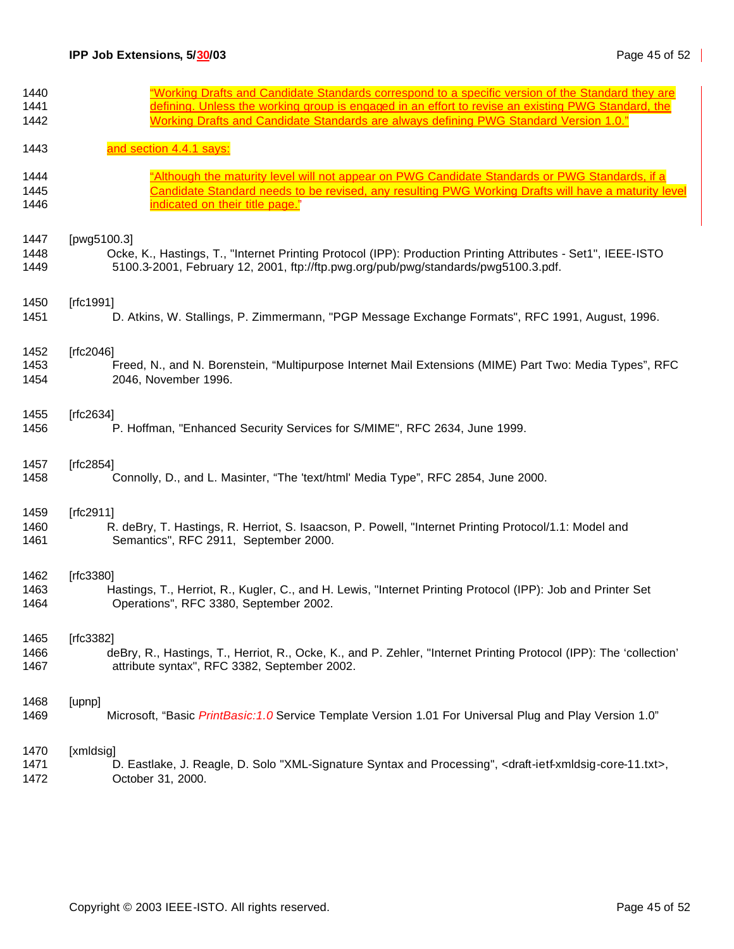| 1440 | "Working Drafts and Candidate Standards correspond to a specific version of the Standard they are                                         |
|------|-------------------------------------------------------------------------------------------------------------------------------------------|
| 1441 | defining. Unless the working group is engaged in an effort to revise an existing PWG Standard, the                                        |
| 1442 | Working Drafts and Candidate Standards are always defining PWG Standard Version 1.0."                                                     |
| 1443 | and section 4.4.1 says:                                                                                                                   |
| 1444 | "Although the maturity level will not appear on PWG Candidate Standards or PWG Standards, if a                                            |
| 1445 | Candidate Standard needs to be revised, any resulting PWG Working Drafts will have a maturity level                                       |
| 1446 | indicated on their title page."                                                                                                           |
| 1447 | [pwg5100.3]                                                                                                                               |
| 1448 | Ocke, K., Hastings, T., "Internet Printing Protocol (IPP): Production Printing Attributes - Set1", IEEE-ISTO                              |
| 1449 | 5100.3-2001, February 12, 2001, ftp://ftp.pwg.org/pub/pwg/standards/pwg5100.3.pdf.                                                        |
| 1450 | [ $rfc1991$ ]                                                                                                                             |
| 1451 | D. Atkins, W. Stallings, P. Zimmermann, "PGP Message Exchange Formats", RFC 1991, August, 1996.                                           |
| 1452 | [rfc2046]                                                                                                                                 |
| 1453 | Freed, N., and N. Borenstein, "Multipurpose Internet Mail Extensions (MIME) Part Two: Media Types", RFC                                   |
| 1454 | 2046, November 1996.                                                                                                                      |
| 1455 | [ $rfc2634$ ]                                                                                                                             |
| 1456 | P. Hoffman, "Enhanced Security Services for S/MIME", RFC 2634, June 1999.                                                                 |
| 1457 | [rfc2854]                                                                                                                                 |
| 1458 | Connolly, D., and L. Masinter, "The 'text/html' Media Type", RFC 2854, June 2000.                                                         |
| 1459 | [ $rfc2911$ ]                                                                                                                             |
| 1460 | R. deBry, T. Hastings, R. Herriot, S. Isaacson, P. Powell, "Internet Printing Protocol/1.1: Model and                                     |
| 1461 | Semantics", RFC 2911, September 2000.                                                                                                     |
| 1462 | [rfc3380]                                                                                                                                 |
| 1463 | Hastings, T., Herriot, R., Kugler, C., and H. Lewis, "Internet Printing Protocol (IPP): Job and Printer Set                               |
| 1464 | Operations", RFC 3380, September 2002.                                                                                                    |
| 1465 | [ $rfc3382$ ]                                                                                                                             |
| 1466 | deBry, R., Hastings, T., Herriot, R., Ocke, K., and P. Zehler, "Internet Printing Protocol (IPP): The 'collection'                        |
| 1467 | attribute syntax", RFC 3382, September 2002.                                                                                              |
| 1468 | [upnp]                                                                                                                                    |
| 1469 | Microsoft, "Basic PrintBasic: 1.0 Service Template Version 1.01 For Universal Plug and Play Version 1.0"                                  |
| 1470 | [xmldsig]                                                                                                                                 |
| 1471 | D. Eastlake, J. Reagle, D. Solo "XML-Signature Syntax and Processing", <draft-ietf-xmldsig-core-11.txt>,</draft-ietf-xmldsig-core-11.txt> |
| 1472 | October 31, 2000.                                                                                                                         |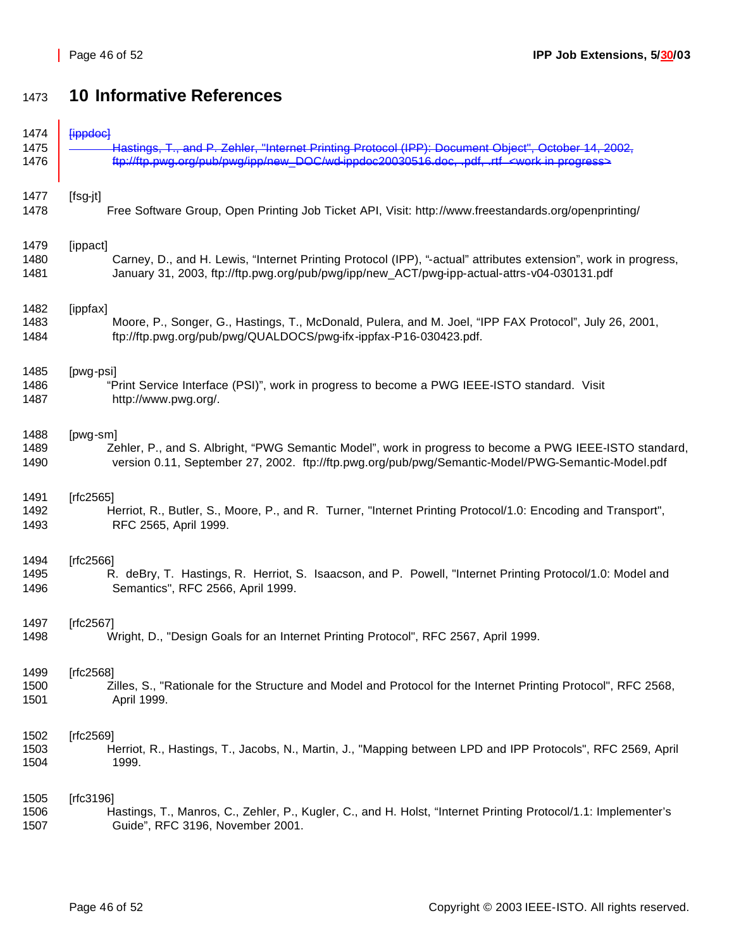# **10 Informative References**

| 1474 | <u>lippdocl</u>                                                                                                 |
|------|-----------------------------------------------------------------------------------------------------------------|
| 1475 | Hastings, T., and P. Zehler, "Internet Printing Protocol (IPP): Document Object", October 14, 2002,             |
| 1476 | ttp://ttp.pwg.org/pub/pwg/ipp/new_DOC/wd-ippdoc20030516.doc._pdf._rtf_ <work in="" progress=""></work>          |
| 1477 | [fsg-jt]                                                                                                        |
| 1478 | Free Software Group, Open Printing Job Ticket API, Visit: http://www.freestandards.org/openprinting/            |
| 1479 | [ippact]                                                                                                        |
| 1480 | Carney, D., and H. Lewis, "Internet Printing Protocol (IPP), "-actual" attributes extension", work in progress, |
| 1481 | January 31, 2003, ftp://ftp.pwg.org/pub/pwg/ipp/new_ACT/pwg-ipp-actual-attrs-v04-030131.pdf                     |
| 1482 | [ippfax]                                                                                                        |
| 1483 | Moore, P., Songer, G., Hastings, T., McDonald, Pulera, and M. Joel, "IPP FAX Protocol", July 26, 2001,          |
| 1484 | ftp://ftp.pwg.org/pub/pwg/QUALDOCS/pwg-ifx-ippfax-P16-030423.pdf.                                               |
| 1485 | [pwg-psi]                                                                                                       |
| 1486 | "Print Service Interface (PSI)", work in progress to become a PWG IEEE-ISTO standard. Visit                     |
| 1487 | http://www.pwg.org/.                                                                                            |
| 1488 | [pwg-sm]                                                                                                        |
| 1489 | Zehler, P., and S. Albright, "PWG Semantic Model", work in progress to become a PWG IEEE-ISTO standard,         |
| 1490 | version 0.11, September 27, 2002. ftp://ftp.pwg.org/pub/pwg/Semantic-Model/PWG-Semantic-Model.pdf               |
| 1491 | [rfc2565]                                                                                                       |
| 1492 | Herriot, R., Butler, S., Moore, P., and R. Turner, "Internet Printing Protocol/1.0: Encoding and Transport",    |
| 1493 | RFC 2565, April 1999.                                                                                           |
| 1494 | [ $fc2566$ ]                                                                                                    |
| 1495 | R. deBry, T. Hastings, R. Herriot, S. Isaacson, and P. Powell, "Internet Printing Protocol/1.0: Model and       |
| 1496 | Semantics", RFC 2566, April 1999.                                                                               |
| 1497 | [ $rfc2567$ ]                                                                                                   |
| 1498 | Wright, D., "Design Goals for an Internet Printing Protocol", RFC 2567, April 1999.                             |
| 1499 | [rfc2568]                                                                                                       |
| 1500 | Zilles, S., "Rationale for the Structure and Model and Protocol for the Internet Printing Protocol", RFC 2568,  |
| 1501 | April 1999.                                                                                                     |
| 1502 | [rfc2569]                                                                                                       |
| 1503 | Herriot, R., Hastings, T., Jacobs, N., Martin, J., "Mapping between LPD and IPP Protocols", RFC 2569, April     |
| 1504 | 1999.                                                                                                           |
| 1505 | [ $rfc3196$ ]                                                                                                   |
| 1506 | Hastings, T., Manros, C., Zehler, P., Kugler, C., and H. Holst, "Internet Printing Protocol/1.1: Implementer's  |
| 1507 | Guide", RFC 3196, November 2001.                                                                                |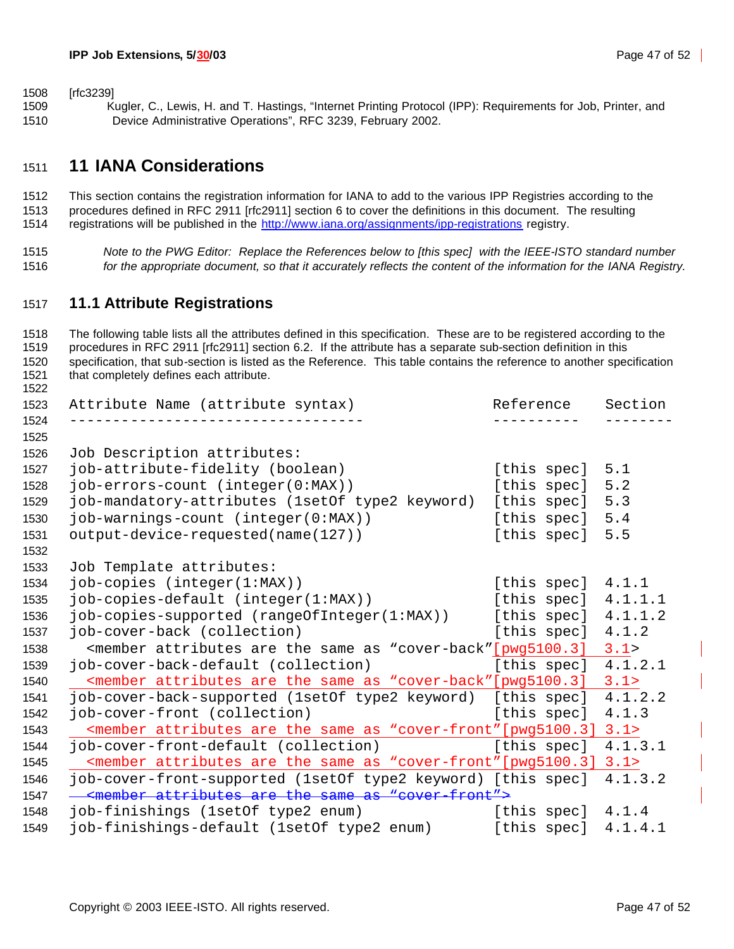[rfc3239]

 Kugler, C., Lewis, H. and T. Hastings, "Internet Printing Protocol (IPP): Requirements for Job, Printer, and Device Administrative Operations", RFC 3239, February 2002.

### **11 IANA Considerations**

 This section contains the registration information for IANA to add to the various IPP Registries according to the procedures defined in RFC 2911 [rfc2911] section 6 to cover the definitions in this document. The resulting 1514 registrations will be published in the http://www.iana.org/assignments/ipp-registrations registry.

 *Note to the PWG Editor: Replace the References below to [this spec] with the IEEE-ISTO standard number for the appropriate document, so that it accurately reflects the content of the information for the IANA Registry.*

### **11.1 Attribute Registrations**

 The following table lists all the attributes defined in this specification. These are to be registered according to the procedures in RFC 2911 [rfc2911] section 6.2. If the attribute has a separate sub-section definition in this specification, that sub-section is listed as the Reference. This table contains the reference to another specification that completely defines each attribute. Attribute Name (attribute syntax) Reference Section ---------------------------------- ---------- -------- Job Description attributes: job-attribute-fidelity (boolean) [this spec] 5.1 job-errors-count (integer(0:MAX)) [this spec] 5.2 job-mandatory-attributes (1setOf type2 keyword) [this spec] 5.3 job-warnings-count (integer(0:MAX)) [this spec] 5.4 output-device-requested(name(127)) [this spec] 5.5 Job Template attributes: 1534 job-copies (integer(1:MAX)) [this spec] 4.1.1 job-copies-default (integer(1:MAX)) [this spec] 4.1.1.1 job-copies-supported (rangeOfInteger(1:MAX)) [this spec] 4.1.1.2 job-cover-back (collection) [this spec] 4.1.2 1538 < member attributes are the same as "cover-back" [pwg5100.3] 3.1><br>1539 job-cover-back-default (collection) [this spec] 4.1.2 job-cover-back-default (collection) [this spec] 4.1.2.1 <member attributes are the same as "cover-back"[pwg5100.3] 3.1> job-cover-back-supported (1setOf type2 keyword) [this spec] 4.1.2.2 job-cover-front (collection) [this spec] 4.1.3 1543 Kmember attributes are the same as "cover-front"[pwg5100.3] 3.1><br>1544 Pob-cover-front-default (collection) [this spec] 4.1.3.1 1544 job-cover-front-default (collection) [this spec] <member attributes are the same as "cover-front"[pwg5100.3] 3.1> job-cover-front-supported (1setOf type2 keyword) [this spec] 4.1.3.2 1547 - < member attributes are the same as "cover-front"> job-finishings (1setOf type2 enum) [this spec] 4.1.4 job-finishings-default (1setOf type2 enum) [this spec] 4.1.4.1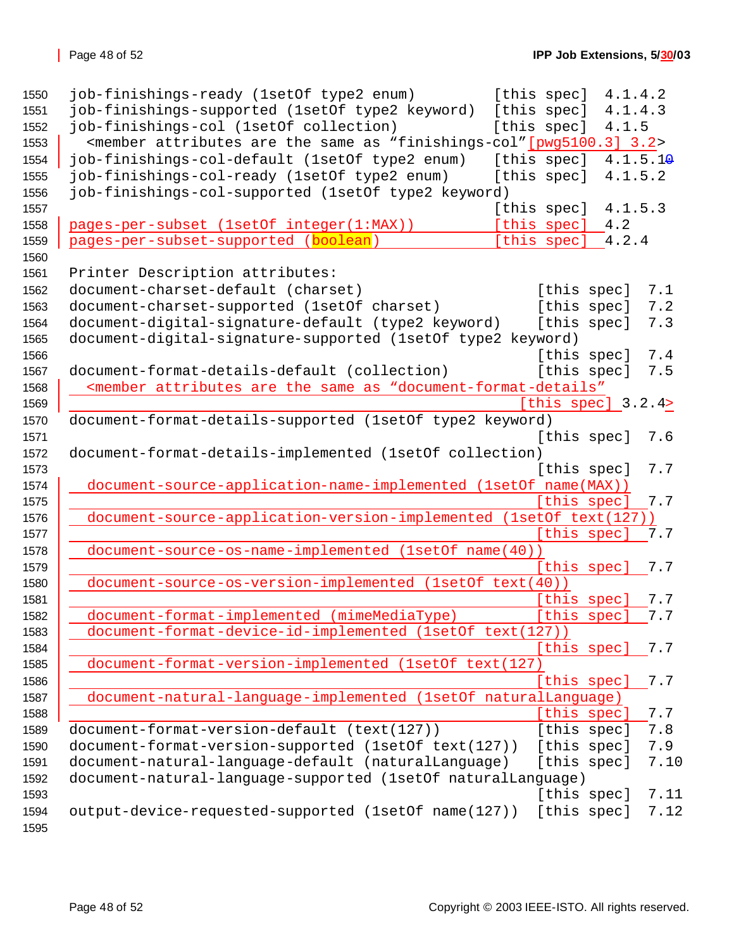| 1550 | job-finishings-ready (1setOf type2 enum)                                                                                   | [this spec] | 4.1.4.2             |      |
|------|----------------------------------------------------------------------------------------------------------------------------|-------------|---------------------|------|
| 1551 | job-finishings-supported (1setOf type2 keyword)                                                                            | [this spec] | 4.1.4.3             |      |
| 1552 | job-finishings-col (1setOf collection)                                                                                     | [this spec] | 4.1.5               |      |
| 1553 | <member "finishings-col"="" 3.2="" [pwg5100.3]="" are="" as="" attributes="" same="" the=""></member>                      |             |                     |      |
| 1554 | job-finishings-col-default (1setOf type2 enum)                                                                             | [this spec] | 4.1.5.14            |      |
| 1555 | job-finishings-col-ready (1setOf type2 enum)                                                                               | [this spec] | 4.1.5.2             |      |
| 1556 | job-finishings-col-supported (1setOf type2 keyword)                                                                        |             |                     |      |
| 1557 |                                                                                                                            | [this spec] | 4.1.5.3             |      |
| 1558 | pages-per-subset (1setOf integer(1:MAX))                                                                                   | [this spec] | 4.2                 |      |
| 1559 | pages-per-subset-supported (boolean)                                                                                       | [this spec] | 4.2.4               |      |
| 1560 |                                                                                                                            |             |                     |      |
| 1561 | Printer Description attributes:                                                                                            |             |                     |      |
| 1562 | document-charset-default (charset)                                                                                         |             | [this spec]         | 7.1  |
| 1563 | document-charset-supported (1setOf charset)                                                                                |             | [this spec]         | 7.2  |
| 1564 | document-digital-signature-default (type2 keyword)                                                                         | [this spec] |                     | 7.3  |
| 1565 | document-digital-signature-supported (lsetOf type2 keyword)                                                                |             |                     |      |
| 1566 |                                                                                                                            |             | [this spec]         | 7.4  |
| 1567 | document-format-details-default (collection)                                                                               | [this spec] |                     | 7.5  |
| 1568 | <member "document-format-details"<="" are="" as="" attributes="" same="" td="" the=""><td></td><td></td><td></td></member> |             |                     |      |
| 1569 |                                                                                                                            |             | [this spec] $3.2.4$ |      |
| 1570 | document-format-details-supported (1setOf type2 keyword)                                                                   |             |                     |      |
| 1571 |                                                                                                                            | [this spec] |                     | 7.6  |
| 1572 | document-format-details-implemented (1setOf collection)                                                                    |             |                     |      |
| 1573 |                                                                                                                            | [this spec] |                     | 7.7  |
| 1574 | document-source-application-name-implemented (1setOf name(MAX))                                                            |             |                     |      |
| 1575 |                                                                                                                            | [this spec] |                     | 7.7  |
| 1576 | document-source-application-version-implemented                                                                            |             | (lsetOf text(127))  |      |
| 1577 |                                                                                                                            |             | [this spec]         | 7.7  |
| 1578 | document-source-os-name-implemented (1setOf name(40))                                                                      |             |                     |      |
| 1579 |                                                                                                                            | [this spec] |                     | 7.7  |
| 1580 | document-source-os-version-implemented (1setOf text(40))                                                                   |             |                     |      |
| 1581 |                                                                                                                            | [this spec] |                     | 7.7  |
| 1582 | document-format-implemented (mimeMediaType)                                                                                | [this spec] |                     | 7.7  |
| 1583 | document-format-device-id-implemented (1setOf text(127))                                                                   |             |                     |      |
| 1584 |                                                                                                                            | [this spec] |                     | 7.7  |
| 1585 | document-format-version-implemented (1set0f text(127)                                                                      |             |                     |      |
| 1586 |                                                                                                                            | [this spec] |                     | 7.7  |
| 1587 | document-natural-language-implemented (1setOf naturalLanguage)                                                             |             |                     |      |
| 1588 |                                                                                                                            | [this spec] |                     | 7.7  |
| 1589 | document-format-version-default (text(127))                                                                                | [this spec] |                     | 7.8  |
| 1590 | document-format-version-supported (1setOf text(127))                                                                       | [this spec] |                     | 7.9  |
| 1591 | document-natural-language-default (naturalLanguage)                                                                        | [this spec] |                     | 7.10 |
| 1592 | document-natural-language-supported (1setOf naturalLanguage)                                                               |             |                     |      |
| 1593 |                                                                                                                            | [this spec] |                     | 7.11 |
| 1594 | output-device-requested-supported (1setOf name(127))                                                                       | [this spec] |                     | 7.12 |
| 1595 |                                                                                                                            |             |                     |      |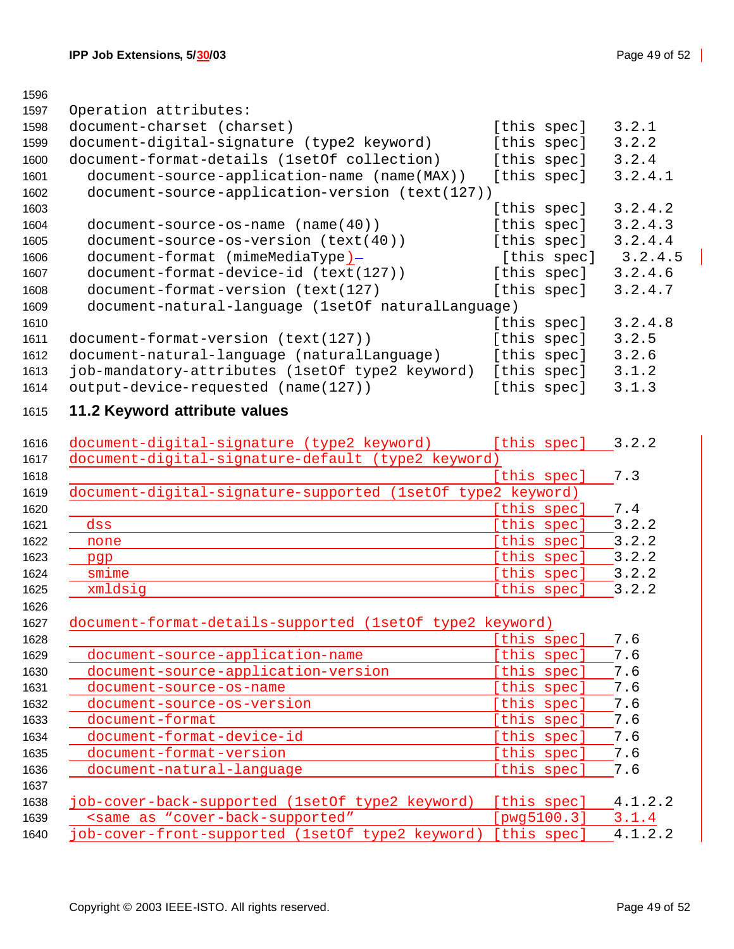#### 

| 1597 | Operation attributes:                              |             |         |
|------|----------------------------------------------------|-------------|---------|
| 1598 | document-charset (charset)                         | [this spec] | 3.2.1   |
| 1599 | document-digital-signature (type2 keyword)         | [this spec] | 3.2.2   |
| 1600 | document-format-details (1setOf collection)        | [this spec] | 3.2.4   |
| 1601 | document-source-application-name (name(MAX))       | [this spec] | 3.2.4.1 |
| 1602 | document-source-application-version (text(127))    |             |         |
| 1603 |                                                    | [this spec] | 3.2.4.2 |
| 1604 | $document-source-os-name (name(40))$               | [this spec] | 3.2.4.3 |
| 1605 | document-source-os-version (text(40))              | [this spec] | 3.2.4.4 |
| 1606 | document-format (mimeMediaType)-                   | [this spec] | 3.2.4.5 |
| 1607 | document-format-device-id (text(127))              | [this spec] | 3.2.4.6 |
| 1608 | document-format-version (text(127)                 | [this spec] | 3.2.4.7 |
| 1609 | document-natural-language (1setOf naturalLanguage) |             |         |
| 1610 |                                                    | [this spec] | 3.2.4.8 |
| 1611 | document-format-version (text(127))                | [this spec] | 3.2.5   |
| 1612 | document-natural-language (naturalLanguage)        | [this spec] | 3.2.6   |
| 1613 | job-mandatory-attributes (1setOf type2 keyword)    | [this spec] | 3.1.2   |
| 1614 | output-device-requested (name(127))                | [this spec] | 3.1.3   |

# **11.2 Keyword attribute values**

| document-digital-signature (type2 keyword)                  | [this spec] | 3.2.2 |
|-------------------------------------------------------------|-------------|-------|
| document-digital-signature-default (type2 keyword)          |             |       |
|                                                             | [this spec] | 7.3   |
| document-digital-signature-supported (lsetOf type2 keyword) |             |       |
|                                                             | [this spec] | 7.4   |
| dss                                                         | [this spec] | 3.2.2 |
| none                                                        | [this spec] | 3.2.2 |
| pgp                                                         | [this spec] | 3.2.2 |
| smime                                                       | [this spec] | 3.2.2 |
| xmldsig                                                     | [this spec] | 3.2.2 |
|                                                             |             |       |
| document-format-details-supported (lsetOf type2 keyword)    |             |       |

| 1628 |                                                                                        | [this spec] | 7.6     |
|------|----------------------------------------------------------------------------------------|-------------|---------|
| 1629 | document-source-application-name                                                       | this spec]  | 7.6     |
| 1630 | document-source-application-version                                                    | [this spec] | 7.6     |
| 1631 | document-source-os-name                                                                | [this spec] | 7.6     |
| 1632 | document-source-os-version                                                             | [this spec] | 7.6     |
| 1633 | document-format                                                                        | [this spec] | 7.6     |
| 1634 | document-format-device-id                                                              | this spec]  | 7.6     |
| 1635 | document-format-version                                                                | [this spec] | 7.6     |
| 1636 | document-natural-language                                                              | [this spec] | 7.6     |
| 1637 |                                                                                        |             |         |
| 1638 | job-cover-back-supported (1setOf type2 keyword)                                        | [this spec] | 4.1.2.2 |
| 1639 | <same "cover-back-supported"<="" as="" td=""><td>[pwg5100.3]</td><td>3.1.4</td></same> | [pwg5100.3] | 3.1.4   |
| 1640 | job-cover-front-supported (1setOf type2 keyword)                                       | [this spec] | 4.1.2.2 |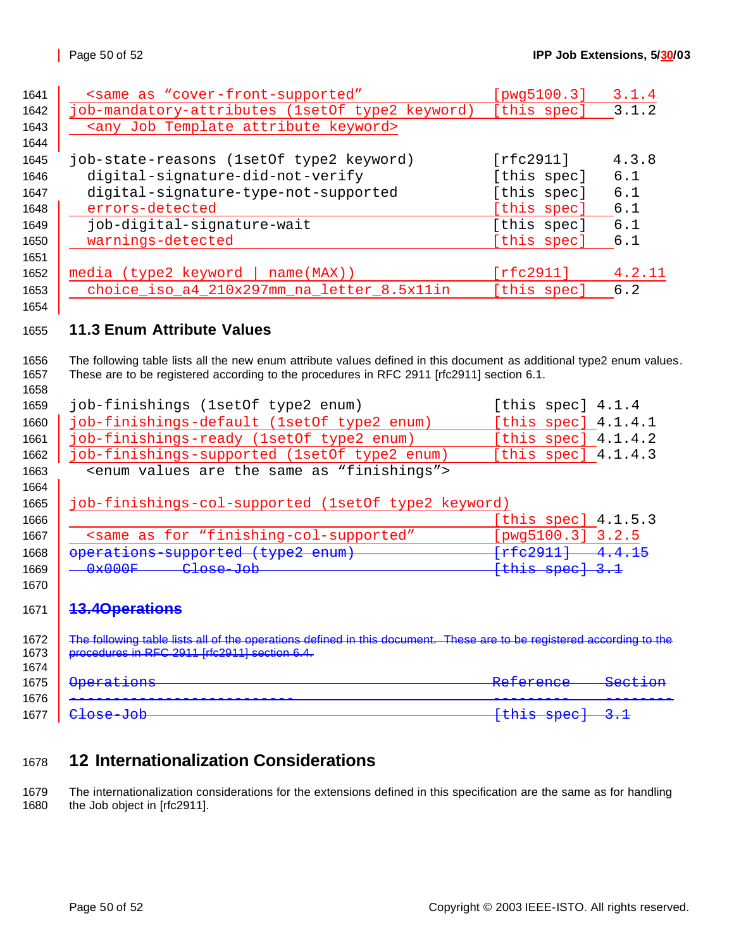| 1641 | <same "cover-front-supported"<="" as="" th=""><th>[pwg5100.3]</th><th>3.1.4</th></same>                                     | [pwg5100.3]             | 3.1.4             |
|------|-----------------------------------------------------------------------------------------------------------------------------|-------------------------|-------------------|
| 1642 | job-mandatory-attributes (1setOf type2 keyword)                                                                             | [this spec]             | 3.1.              |
| 1643 | <any attribute="" job="" keyword="" template=""></any>                                                                      |                         |                   |
| 1644 |                                                                                                                             |                         |                   |
| 1645 | job-state-reasons (1setOf type2 keyword)                                                                                    | [rfc2911]               | 4.3.8             |
| 1646 | digital-signature-did-not-verify                                                                                            | [this spec]             | 6.1               |
| 1647 | digital-signature-type-not-supported                                                                                        | [this spec]             | 6.1               |
| 1648 | errors-detected                                                                                                             | [this spec]             | 6.1               |
| 1649 | job-digital-signature-wait                                                                                                  | [this spec]             | 6.1               |
| 1650 | warnings-detected                                                                                                           | [this spec]             | 6.1               |
| 1651 |                                                                                                                             |                         |                   |
| 1652 | $media$ (type2 keyword   name(MAX))                                                                                         | [rfc2911]               | 4.2.11            |
| 1653 | choice_iso_a4_210x297mm_na_letter_8.5x11in                                                                                  | [this spec]             | 6.2               |
| 1654 |                                                                                                                             |                         |                   |
|      | <b>11.3 Enum Attribute Values</b>                                                                                           |                         |                   |
| 1655 |                                                                                                                             |                         |                   |
| 1656 | The following table lists all the new enum attribute values defined in this document as additional type2 enum values.       |                         |                   |
| 1657 | These are to be registered according to the procedures in RFC 2911 [rfc2911] section 6.1.                                   |                         |                   |
| 1658 |                                                                                                                             |                         |                   |
| 1659 | job-finishings (1setOf type2 enum)                                                                                          | [this spec] $4.1.4$     |                   |
| 1660 | job-finishings-default (1setOf type2 enum)                                                                                  | [this spec] $4.1.4.1$   |                   |
| 1661 | job-finishings-ready (1setOf type2 enum)                                                                                    | [this spec] $4.1.4.2$   |                   |
| 1662 | job-finishings-supported (1setOf type2 enum)                                                                                | [this spec] $4.1.4.3$   |                   |
| 1663 | <enum "finishings"="" are="" as="" same="" the="" values=""></enum>                                                         |                         |                   |
| 1664 |                                                                                                                             |                         |                   |
| 1665 | job-finishings-col-supported (1setOf type2 keyword)                                                                         |                         |                   |
| 1666 |                                                                                                                             | [this spec] $4.1.5.3$   |                   |
| 1667 | <same "finishing-col-supported"<="" as="" for="" th=""><th>[<math>pvg5100.3</math>] <math>3.2.5</math></th><th></th></same> | [ $pvg5100.3$ ] $3.2.5$ |                   |
| 1668 | operations-supported (type2 enum)                                                                                           | $[rfe2911] -4.4.15$     |                   |
| 1669 | 0x000F<br>Close-Job                                                                                                         | [this spec] 3.1         |                   |
| 1670 |                                                                                                                             |                         |                   |
| 1671 | <b>13.4Operations</b>                                                                                                       |                         |                   |
|      |                                                                                                                             |                         |                   |
| 1672 | The following table lists all of the operations defined in this document. These are to be registered according to the       |                         |                   |
| 1673 | procedures in RFC 2911 [rfc2911] section 6.4.                                                                               |                         |                   |
| 1674 |                                                                                                                             |                         |                   |
| 1675 | <b>Operations</b>                                                                                                           | Reference               | <del>Sect i</del> |
| 1676 |                                                                                                                             |                         |                   |
| 1677 | Close-Job                                                                                                                   | [this spec]             |                   |
|      |                                                                                                                             |                         |                   |

# **12 Internationalization Considerations**

1679 The internationalization considerations for the extensions defined in this specification are the same as for handling<br>1680 the Job object in [rfc2911]. the Job object in [rfc2911].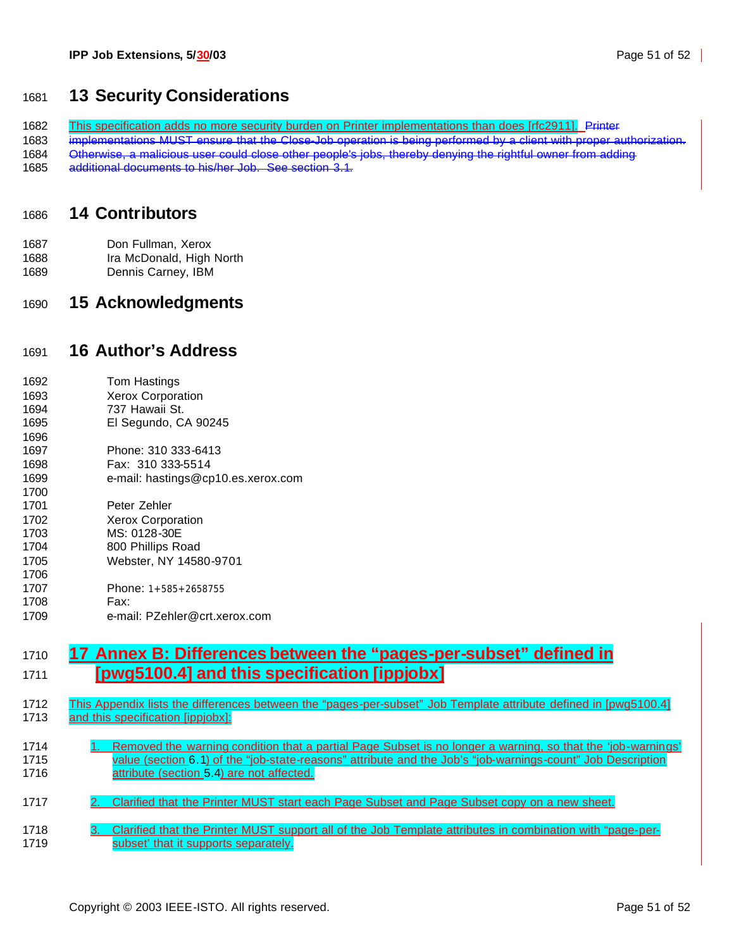## **13 Security Considerations**

1682 This specification adds no more security burden on Printer implementations than does [rfc2911]. Printer

1683 implementations MUST ensure that the Close-Job operation is being performed by a client with proper authorization

Otherwise, a malicious user could close other people's jobs, thereby denying the rightful owner from adding

1685 additional documents to his/her Job. See section 3.1.

### **14 Contributors**

- Don Fullman, Xerox Ira McDonald, High North
- Dennis Carney, IBM

# **15 Acknowledgments**

## **16 Author's Address**

| 1692 | Tom Hastings                       |
|------|------------------------------------|
| 1693 | <b>Xerox Corporation</b>           |
| 1694 | 737 Hawaii St.                     |
| 1695 | El Segundo, CA 90245               |
| 1696 |                                    |
| 1697 | Phone: 310 333-6413                |
| 1698 | Fax: 310 333-5514                  |
| 1699 | e-mail: hastings@cp10.es.xerox.com |
| 1700 |                                    |
| 1701 | Peter Zehler                       |
| 1702 | <b>Xerox Corporation</b>           |
| 1703 | MS: 0128-30E                       |
| 1704 | 800 Phillips Road                  |
| 1705 | Webster, NY 14580-9701             |
| 1706 |                                    |
| 1707 | Phone: 1+585+2658755               |
| 1708 | Fax:                               |
| 1709 | e-mail: PZehler@crt.xerox.com      |

# **17 Annex B: Differences between the "pages-per-subset" defined in [pwg5100.4] and this specification [ippjobx]**

- This Appendix lists the differences between the "pages-per-subset" Job Template attribute defined in [pwg5100.4] 1713 and this specification [ippjobx]:
- 1714 1. Removed the warning condition that a partial Page Subset is no longer a warning, so that the 'job-warnings' 1715 value (section 6.1) of the "job-state-reasons" attribute and the Job's "job-warnings-count" Job Description attribute (section 5.4) are not affected.
- 1717 2. Clarified that the Printer MUST start each Page Subset and Page Subset copy on a new sheet.
- 1718 3. Clarified that the Printer MUST support all of the Job Template attributes in combination with "page-per-**Subset' that it supports separately.**